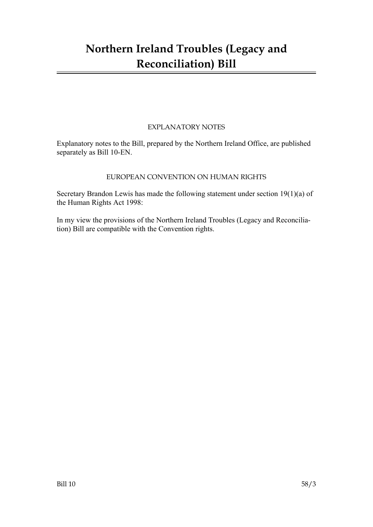## **Northern Ireland Troubles (Legacy and Reconciliation) Bill**

#### EXPLANATORY NOTES

Explanatory notes to the Bill, prepared by the Northern Ireland Office, are published separately as Bill 10-EN.

#### EUROPEAN CONVENTION ON HUMAN RIGHTS

Secretary Brandon Lewis has made the following statement under section 19(1)(a) of the Human Rights Act 1998:

In my view the provisions of the Northern Ireland Troubles (Legacy and Reconciliation) Bill are compatible with the Convention rights.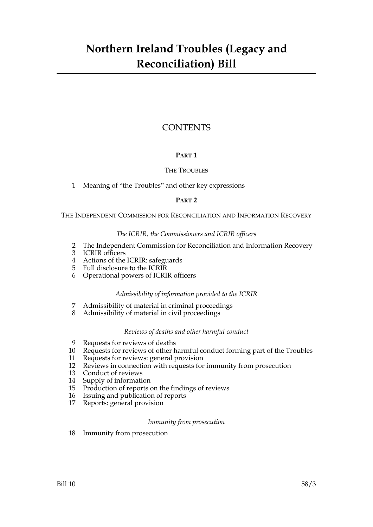## **CONTENTS**

### **PART 1**

#### THE TROUBLES

1 Meaning of "the Troubles" and other key expressions

#### **PART 2**

THE INDEPENDENT COMMISSION FOR RECONCILIATION AND INFORMATION RECOVERY

#### *The ICRIR, the Commissioners and ICRIR officers*

- 2 The Independent Commission for Reconciliation and Information Recovery
- 3 ICRIR officers
- 4 Actions of the ICRIR: safeguards
- 5 Full disclosure to the ICRIR
- 6 Operational powers of ICRIR officers

#### *Admissibility of information provided to the ICRIR*

- 7 Admissibility of material in criminal proceedings
- 8 Admissibility of material in civil proceedings

#### *Reviews of deaths and other harmful conduct*

- 9 Requests for reviews of deaths
- 10 Requests for reviews of other harmful conduct forming part of the Troubles
- 11 Requests for reviews: general provision
- 12 Reviews in connection with requests for immunity from prosecution
- 13 Conduct of reviews
- 14 Supply of information
- 15 Production of reports on the findings of reviews
- 16 Issuing and publication of reports
- 17 Reports: general provision

#### *Immunity from prosecution*

18 Immunity from prosecution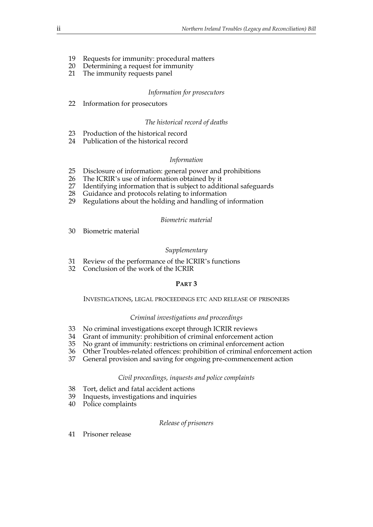- 19 Requests for immunity: procedural matters
- 20 Determining a request for immunity
- 21 The immunity requests panel

#### *Information for prosecutors*

22 Information for prosecutors

#### *The historical record of deaths*

- 23 Production of the historical record
- 24 Publication of the historical record

#### *Information*

- 25 Disclosure of information: general power and prohibitions
- 26 The ICRIR's use of information obtained by it
- 27 Identifying information that is subject to additional safeguards
- 28 Guidance and protocols relating to information
- 29 Regulations about the holding and handling of information

#### *Biometric material*

30 Biometric material

#### *Supplementary*

- 31 Review of the performance of the ICRIR's functions
- 32 Conclusion of the work of the ICRIR

#### **PART 3**

#### INVESTIGATIONS, LEGAL PROCEEDINGS ETC AND RELEASE OF PRISONERS

#### *Criminal investigations and proceedings*

- 33 No criminal investigations except through ICRIR reviews
- 34 Grant of immunity: prohibition of criminal enforcement action
- 35 No grant of immunity: restrictions on criminal enforcement action
- 36 Other Troubles-related offences: prohibition of criminal enforcement action
- 37 General provision and saving for ongoing pre-commencement action

#### *Civil proceedings, inquests and police complaints*

- 38 Tort, delict and fatal accident actions
- 39 Inquests, investigations and inquiries
- 40 Police complaints

#### *Release of prisoners*

41 Prisoner release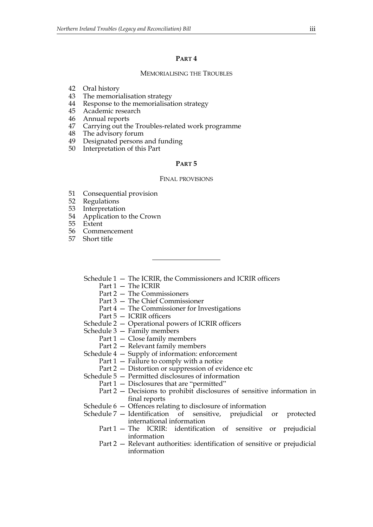#### **PART 4**

#### MEMORIALISING THE TROUBLES

- 42 Oral history
- 43 The memorialisation strategy
- 44 Response to the memorialisation strategy
- 45 Academic research
- 46 Annual reports
- 47 Carrying out the Troubles-related work programme
- 48 The advisory forum
- 49 Designated persons and funding
- 50 Interpretation of this Part

#### **PART 5**

#### FINAL PROVISIONS

- 51 Consequential provision
- 52 Regulations
- 53 Interpretation
- 54 Application to the Crown
- 55 Extent
- 56 Commencement
- 57 Short title
	- Schedule 1 The ICRIR, the Commissioners and ICRIR officers
		- Part 1 The ICRIR
		- Part 2 The Commissioners
		- Part 3 The Chief Commissioner
		- Part 4 The Commissioner for Investigations
		- Part 5 ICRIR officers
	- Schedule 2 Operational powers of ICRIR officers
	- Schedule 3 Family members
		- Part 1 Close family members
		- Part 2 Relevant family members
	- Schedule 4 Supply of information: enforcement
		- Part 1 Failure to comply with a notice
		- Part 2 Distortion or suppression of evidence etc
	- Schedule 5 Permitted disclosures of information
		- Part 1 Disclosures that are "permitted"
		- Part 2 Decisions to prohibit disclosures of sensitive information in final reports
	- Schedule 6 Offences relating to disclosure of information
	- Schedule 7 Identification of sensitive, prejudicial or protected international information
		- Part 1 The ICRIR: identification of sensitive or prejudicial information
		- Part 2 Relevant authorities: identification of sensitive or prejudicial information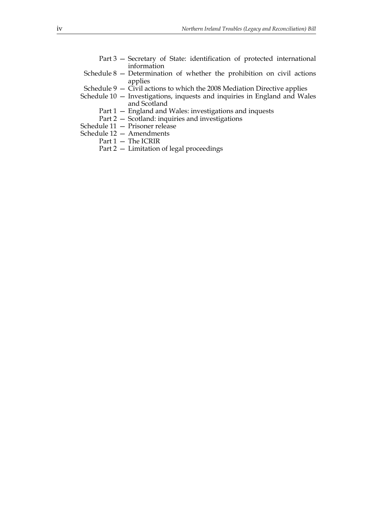- Part 3 Secretary of State: identification of protected international information
- Schedule 8 Determination of whether the prohibition on civil actions applies
- Schedule  $9 \tilde{C}$ ivil actions to which the 2008 Mediation Directive applies
- Schedule 10 Investigations, inquests and inquiries in England and Wales and Scotland
	- Part 1 England and Wales: investigations and inquests
	- Part 2 Scotland: inquiries and investigations
- Schedule 11 Prisoner release
- Schedule 12 Amendments
	- Part 1 The ICRIR
	- Part 2 Limitation of legal proceedings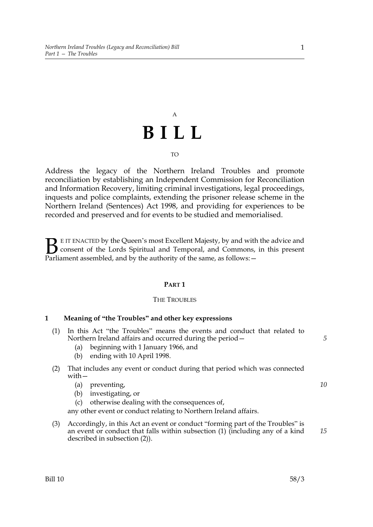# A **BILL**

#### $T<sub>O</sub>$

Address the legacy of the Northern Ireland Troubles and promote reconciliation by establishing an Independent Commission for Reconciliation and Information Recovery, limiting criminal investigations, legal proceedings, inquests and police complaints, extending the prisoner release scheme in the Northern Ireland (Sentences) Act 1998, and providing for experiences to be recorded and preserved and for events to be studied and memorialised.

E IT ENACTED by the Queen's most Excellent Majesty, by and with the advice and consent of the Lords Spiritual and Temporal, and Commons, in this present Parliament assembled, and by the authority of the same, as follows: - $\mathbf{B}_{\text{e}$ 

#### **PART 1**

#### THE TROUBLES

#### **1 Meaning of "the Troubles" and other key expressions**

- (1) In this Act "the Troubles" means the events and conduct that related to Northern Ireland affairs and occurred during the period—
	- (a) beginning with 1 January 1966, and
	- (b) ending with 10 April 1998.

#### (2) That includes any event or conduct during that period which was connected with—

- (a) preventing,
- (b) investigating, or
- (c) otherwise dealing with the consequences of,

any other event or conduct relating to Northern Ireland affairs.

(3) Accordingly, in this Act an event or conduct "forming part of the Troubles" is an event or conduct that falls within subsection (1) (including any of a kind described in subsection (2)).

*5*

*10*

*15*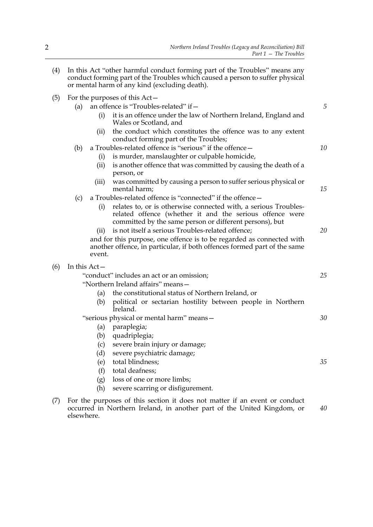|     |                                          |        | conduct forming part of the Troubles which caused a person to suffer physical<br>or mental harm of any kind (excluding death).                                                         |    |  |
|-----|------------------------------------------|--------|----------------------------------------------------------------------------------------------------------------------------------------------------------------------------------------|----|--|
| (5) | For the purposes of this Act-            |        |                                                                                                                                                                                        |    |  |
|     | (a)                                      |        | an offence is "Troubles-related" if -                                                                                                                                                  | 5  |  |
|     |                                          | (i)    | it is an offence under the law of Northern Ireland, England and<br>Wales or Scotland, and                                                                                              |    |  |
|     |                                          | (ii)   | the conduct which constitutes the offence was to any extent<br>conduct forming part of the Troubles;                                                                                   |    |  |
|     | (b)                                      |        | a Troubles-related offence is "serious" if the offence-                                                                                                                                | 10 |  |
|     |                                          | (i)    | is murder, manslaughter or culpable homicide,                                                                                                                                          |    |  |
|     |                                          | (ii)   | is another offence that was committed by causing the death of a<br>person, or                                                                                                          |    |  |
|     |                                          | (iii)  | was committed by causing a person to suffer serious physical or<br>mental harm;                                                                                                        | 15 |  |
|     | (c)                                      |        | a Troubles-related offence is "connected" if the offence -                                                                                                                             |    |  |
|     |                                          | (i)    | relates to, or is otherwise connected with, a serious Troubles-<br>related offence (whether it and the serious offence were<br>committed by the same person or different persons), but |    |  |
|     |                                          | (ii)   | is not itself a serious Troubles-related offence;                                                                                                                                      | 20 |  |
|     |                                          | event. | and for this purpose, one offence is to be regarded as connected with<br>another offence, in particular, if both offences formed part of the same                                      |    |  |
| (6) | In this $Act-$                           |        |                                                                                                                                                                                        |    |  |
|     |                                          |        | "conduct" includes an act or an omission;                                                                                                                                              | 25 |  |
|     | "Northern Ireland affairs" means-        |        |                                                                                                                                                                                        |    |  |
|     |                                          | (a)    | the constitutional status of Northern Ireland, or                                                                                                                                      |    |  |
|     |                                          | (b)    | political or sectarian hostility between people in Northern<br>Ireland.                                                                                                                |    |  |
|     | "serious physical or mental harm" means- |        |                                                                                                                                                                                        |    |  |
|     |                                          | (a)    | paraplegia;                                                                                                                                                                            |    |  |
|     |                                          | (b)    | quadriplegia;                                                                                                                                                                          |    |  |
|     |                                          | (c)    | severe brain injury or damage;                                                                                                                                                         |    |  |
|     |                                          | (d)    | severe psychiatric damage;                                                                                                                                                             |    |  |
|     |                                          | (e)    | total blindness;                                                                                                                                                                       | 35 |  |
|     |                                          | (f)    | total deafness;                                                                                                                                                                        |    |  |
|     |                                          | (g)    | loss of one or more limbs;                                                                                                                                                             |    |  |

(4) In this Act "other harmful conduct forming part of the Troubles" means any

- (h) severe scarring or disfigurement.
- (7) For the purposes of this section it does not matter if an event or conduct occurred in Northern Ireland, in another part of the United Kingdom, or elsewhere. *40*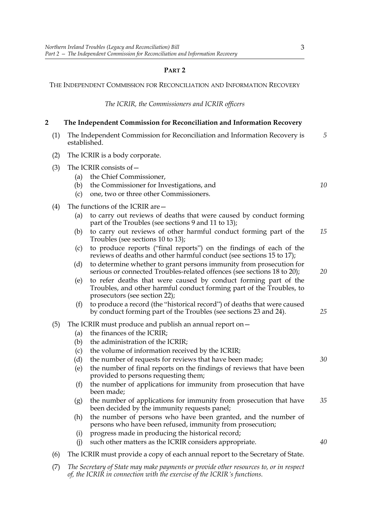#### **PART 2**

THE INDEPENDENT COMMISSION FOR RECONCILIATION AND INFORMATION RECOVERY

*The ICRIR, the Commissioners and ICRIR officers*

#### **2 The Independent Commission for Reconciliation and Information Recovery**

|   | (1) The Independent Commission for Reconciliation and Information Recovery is<br>established. |  |  |  |  |  |  |  |
|---|-----------------------------------------------------------------------------------------------|--|--|--|--|--|--|--|
| . | _____                                                                                         |  |  |  |  |  |  |  |

- (2) The ICRIR is a body corporate.
- (3) The ICRIR consists of—
	- (a) the Chief Commissioner,
	- (b) the Commissioner for Investigations, and
	- (c) one, two or three other Commissioners.
- (4) The functions of the ICRIR are—
	- (a) to carry out reviews of deaths that were caused by conduct forming part of the Troubles (see sections 9 and 11 to 13);
	- (b) to carry out reviews of other harmful conduct forming part of the Troubles (see sections 10 to 13); *15*
	- (c) to produce reports ("final reports") on the findings of each of the reviews of deaths and other harmful conduct (see sections 15 to 17);
	- (d) to determine whether to grant persons immunity from prosecution for serious or connected Troubles-related offences (see sections 18 to 20);
	- (e) to refer deaths that were caused by conduct forming part of the Troubles, and other harmful conduct forming part of the Troubles, to prosecutors (see section 22);
	- (f) to produce a record (the "historical record") of deaths that were caused by conduct forming part of the Troubles (see sections 23 and 24).
- (5) The ICRIR must produce and publish an annual report on—
	- (a) the finances of the ICRIR;
	- (b) the administration of the ICRIR;
	- (c) the volume of information received by the ICRIR;
	- (d) the number of requests for reviews that have been made;
	- (e) the number of final reports on the findings of reviews that have been provided to persons requesting them;
	- (f) the number of applications for immunity from prosecution that have been made;
	- (g) the number of applications for immunity from prosecution that have been decided by the immunity requests panel; *35*
	- (h) the number of persons who have been granted, and the number of persons who have been refused, immunity from prosecution;
	- (i) progress made in producing the historical record;
	- (j) such other matters as the ICRIR considers appropriate. *40*
- (6) The ICRIR must provide a copy of each annual report to the Secretary of State.
- (7) *The Secretary of State may make payments or provide other resources to, or in respect of, the ICRIR in connection with the exercise of the ICRIR's functions.*

*10*

*20*

*25*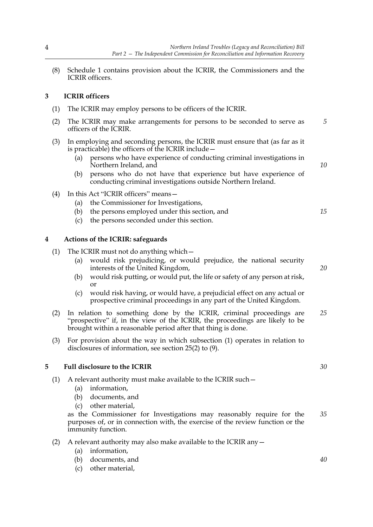(8) Schedule 1 contains provision about the ICRIR, the Commissioners and the ICRIR officers.

#### **3 ICRIR officers**

- (1) The ICRIR may employ persons to be officers of the ICRIR.
- (2) The ICRIR may make arrangements for persons to be seconded to serve as officers of the ICRIR. *5*
- (3) In employing and seconding persons, the ICRIR must ensure that (as far as it is practicable) the officers of the ICRIR include—
	- (a) persons who have experience of conducting criminal investigations in Northern Ireland, and
	- (b) persons who do not have that experience but have experience of conducting criminal investigations outside Northern Ireland.
- (4) In this Act "ICRIR officers" means—
	- (a) the Commissioner for Investigations,
	- (b) the persons employed under this section, and
	- (c) the persons seconded under this section.

#### **4 Actions of the ICRIR: safeguards**

- (1) The ICRIR must not do anything which—
	- (a) would risk prejudicing, or would prejudice, the national security interests of the United Kingdom,
	- (b) would risk putting, or would put, the life or safety of any person at risk, or
	- (c) would risk having, or would have, a prejudicial effect on any actual or prospective criminal proceedings in any part of the United Kingdom.
- (2) In relation to something done by the ICRIR, criminal proceedings are "prospective" if, in the view of the ICRIR, the proceedings are likely to be brought within a reasonable period after that thing is done. *25*
- (3) For provision about the way in which subsection (1) operates in relation to disclosures of information, see section 25(2) to (9).

#### **5 Full disclosure to the ICRIR**

- (1) A relevant authority must make available to the ICRIR such—
	- (a) information,
	- (b) documents, and
	- (c) other material,

as the Commissioner for Investigations may reasonably require for the purposes of, or in connection with, the exercise of the review function or the immunity function. *35*

- (2) A relevant authority may also make available to the ICRIR any  $-$ 
	- (a) information,
	- (b) documents, and
	- (c) other material,

*10*

*15*

*20*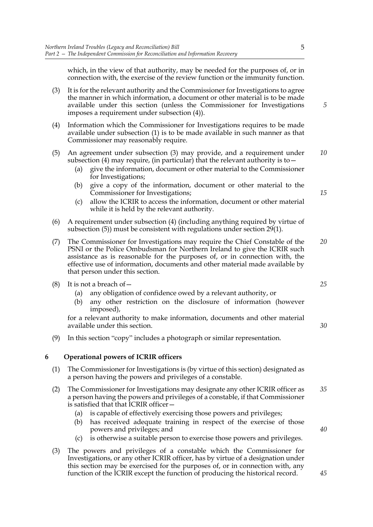which, in the view of that authority, may be needed for the purposes of, or in connection with, the exercise of the review function or the immunity function.

- (3) It is for the relevant authority and the Commissioner for Investigations to agree the manner in which information, a document or other material is to be made available under this section (unless the Commissioner for Investigations imposes a requirement under subsection (4)).
- (4) Information which the Commissioner for Investigations requires to be made available under subsection (1) is to be made available in such manner as that Commissioner may reasonably require.
- (5) An agreement under subsection (3) may provide, and a requirement under subsection (4) may require, (in particular) that the relevant authority is to  $-$ *10*
	- (a) give the information, document or other material to the Commissioner for Investigations;
	- (b) give a copy of the information, document or other material to the Commissioner for Investigations;
	- (c) allow the ICRIR to access the information, document or other material while it is held by the relevant authority.
- (6) A requirement under subsection (4) (including anything required by virtue of subsection (5)) must be consistent with regulations under section 29(1).
- (7) The Commissioner for Investigations may require the Chief Constable of the PSNI or the Police Ombudsman for Northern Ireland to give the ICRIR such assistance as is reasonable for the purposes of, or in connection with, the effective use of information, documents and other material made available by that person under this section. *20*
- (8) It is not a breach of  $-$ 
	- (a) any obligation of confidence owed by a relevant authority, or
	- (b) any other restriction on the disclosure of information (however imposed),

for a relevant authority to make information, documents and other material available under this section.

(9) In this section "copy" includes a photograph or similar representation.

#### **6 Operational powers of ICRIR officers**

- (1) The Commissioner for Investigations is (by virtue of this section) designated as a person having the powers and privileges of a constable.
- (2) The Commissioner for Investigations may designate any other ICRIR officer as a person having the powers and privileges of a constable, if that Commissioner is satisfied that that ICRIR officer— *35*
	- (a) is capable of effectively exercising those powers and privileges;
	- (b) has received adequate training in respect of the exercise of those powers and privileges; and
	- (c) is otherwise a suitable person to exercise those powers and privileges.
- (3) The powers and privileges of a constable which the Commissioner for Investigations, or any other ICRIR officer, has by virtue of a designation under this section may be exercised for the purposes of, or in connection with, any function of the ICRIR except the function of producing the historical record.

*15*

*5*

*25*

*30*

*40*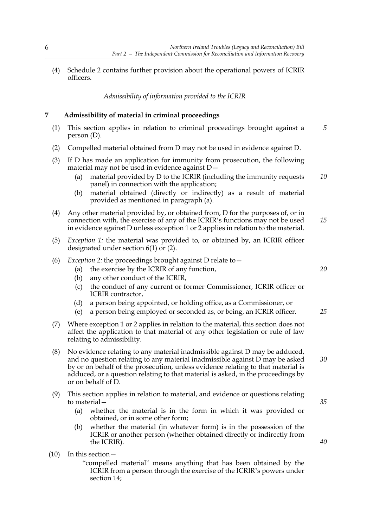(4) Schedule 2 contains further provision about the operational powers of ICRIR officers.

*Admissibility of information provided to the ICRIR*

#### **7 Admissibility of material in criminal proceedings**

- (1) This section applies in relation to criminal proceedings brought against a person (D). *5*
- (2) Compelled material obtained from D may not be used in evidence against D.
- (3) If D has made an application for immunity from prosecution, the following material may not be used in evidence against D—
	- (a) material provided by D to the ICRIR (including the immunity requests panel) in connection with the application; *10*
	- (b) material obtained (directly or indirectly) as a result of material provided as mentioned in paragraph (a).
- (4) Any other material provided by, or obtained from, D for the purposes of, or in connection with, the exercise of any of the ICRIR's functions may not be used in evidence against D unless exception 1 or 2 applies in relation to the material. *15*
- (5) *Exception 1:* the material was provided to, or obtained by, an ICRIR officer designated under section 6(1) or (2).
- (6) *Exception 2:* the proceedings brought against D relate to—
	- (a) the exercise by the ICRIR of any function,
	- (b) any other conduct of the ICRIR,
	- (c) the conduct of any current or former Commissioner, ICRIR officer or ICRIR contractor,
	- (d) a person being appointed, or holding office, as a Commissioner, or
	- (e) a person being employed or seconded as, or being, an ICRIR officer.
- (7) Where exception 1 or 2 applies in relation to the material, this section does not affect the application to that material of any other legislation or rule of law relating to admissibility.
- (8) No evidence relating to any material inadmissible against D may be adduced, and no question relating to any material inadmissible against D may be asked by or on behalf of the prosecution, unless evidence relating to that material is adduced, or a question relating to that material is asked, in the proceedings by or on behalf of D.
- (9) This section applies in relation to material, and evidence or questions relating to material—
	- (a) whether the material is in the form in which it was provided or obtained, or in some other form;
	- (b) whether the material (in whatever form) is in the possession of the ICRIR or another person (whether obtained directly or indirectly from the ICRIR).
- (10) In this section—

"compelled material" means anything that has been obtained by the ICRIR from a person through the exercise of the ICRIR's powers under section 14;

- *20*
- *25*

*35*

*30*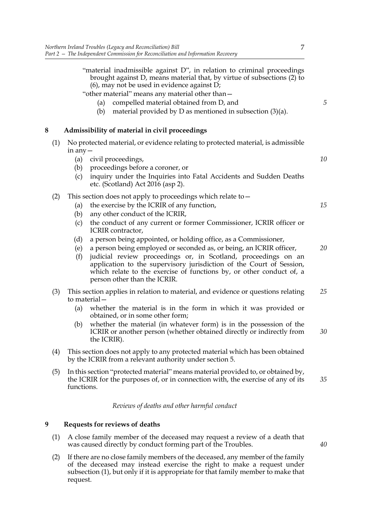|   |     | "material inadmissible against D", in relation to criminal proceedings<br>brought against D, means material that, by virtue of subsections (2) to<br>$(6)$ , may not be used in evidence against D;<br>"other material" means any material other than-<br>compelled material obtained from D, and<br>(a)<br>material provided by $D$ as mentioned in subsection $(3)(a)$ .<br>(b)                                                                                                                                                                                                                                                                                               | 5        |
|---|-----|---------------------------------------------------------------------------------------------------------------------------------------------------------------------------------------------------------------------------------------------------------------------------------------------------------------------------------------------------------------------------------------------------------------------------------------------------------------------------------------------------------------------------------------------------------------------------------------------------------------------------------------------------------------------------------|----------|
| 8 |     | Admissibility of material in civil proceedings                                                                                                                                                                                                                                                                                                                                                                                                                                                                                                                                                                                                                                  |          |
|   | (1) | No protected material, or evidence relating to protected material, is admissible<br>in any $-$<br>civil proceedings,<br>(a)<br>proceedings before a coroner, or<br>(b)<br>inquiry under the Inquiries into Fatal Accidents and Sudden Deaths<br>(c)<br>etc. (Scotland) Act 2016 (asp 2).                                                                                                                                                                                                                                                                                                                                                                                        | 10       |
|   | (2) | This section does not apply to proceedings which relate to -<br>the exercise by the ICRIR of any function,<br>(a)<br>any other conduct of the ICRIR,<br>(b)<br>the conduct of any current or former Commissioner, ICRIR officer or<br>(c)<br>ICRIR contractor,<br>a person being appointed, or holding office, as a Commissioner,<br>(d)<br>a person being employed or seconded as, or being, an ICRIR officer,<br>(e)<br>judicial review proceedings or, in Scotland, proceedings on an<br>(f)<br>application to the supervisory jurisdiction of the Court of Session,<br>which relate to the exercise of functions by, or other conduct of, a<br>person other than the ICRIR. | 15<br>20 |
|   | (3) | This section applies in relation to material, and evidence or questions relating<br>to material-<br>(a)<br>whether the material is in the form in which it was provided or<br>obtained, or in some other form;<br>whether the material (in whatever form) is in the possession of the<br>(b)<br>ICRIR or another person (whether obtained directly or indirectly from<br>the ICRIR).                                                                                                                                                                                                                                                                                            | 25<br>30 |
|   | (4) | This section does not apply to any protected material which has been obtained<br>by the ICRIR from a relevant authority under section 5.                                                                                                                                                                                                                                                                                                                                                                                                                                                                                                                                        |          |
|   | (5) | In this section "protected material" means material provided to, or obtained by,<br>the ICRIR for the purposes of, or in connection with, the exercise of any of its<br>functions.                                                                                                                                                                                                                                                                                                                                                                                                                                                                                              | 35       |
|   |     | Reviews of deaths and other harmful conduct                                                                                                                                                                                                                                                                                                                                                                                                                                                                                                                                                                                                                                     |          |

#### **9 Requests for reviews of deaths**

- (1) A close family member of the deceased may request a review of a death that was caused directly by conduct forming part of the Troubles.
- (2) If there are no close family members of the deceased, any member of the family of the deceased may instead exercise the right to make a request under subsection (1), but only if it is appropriate for that family member to make that request.

*40*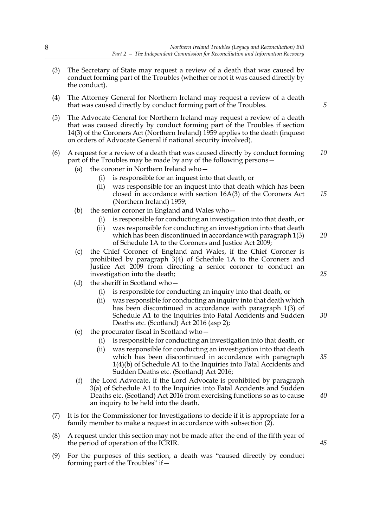- (3) The Secretary of State may request a review of a death that was caused by conduct forming part of the Troubles (whether or not it was caused directly by the conduct).
- (4) The Attorney General for Northern Ireland may request a review of a death that was caused directly by conduct forming part of the Troubles.
- (5) The Advocate General for Northern Ireland may request a review of a death that was caused directly by conduct forming part of the Troubles if section 14(3) of the Coroners Act (Northern Ireland) 1959 applies to the death (inquest on orders of Advocate General if national security involved).
- (6) A request for a review of a death that was caused directly by conduct forming part of the Troubles may be made by any of the following persons— *10*
	- (a) the coroner in Northern Ireland who—
		- (i) is responsible for an inquest into that death, or
		- (ii) was responsible for an inquest into that death which has been closed in accordance with section 16A(3) of the Coroners Act (Northern Ireland) 1959; *15*
	- (b) the senior coroner in England and Wales who—
		- (i) is responsible for conducting an investigation into that death, or
		- (ii) was responsible for conducting an investigation into that death which has been discontinued in accordance with paragraph 1(3) of Schedule 1A to the Coroners and Justice Act 2009; *20*
	- (c) the Chief Coroner of England and Wales, if the Chief Coroner is prohibited by paragraph 3(4) of Schedule 1A to the Coroners and Justice Act 2009 from directing a senior coroner to conduct an investigation into the death;
	- (d) the sheriff in Scotland who—
		- (i) is responsible for conducting an inquiry into that death, or
		- (ii) was responsible for conducting an inquiry into that death which has been discontinued in accordance with paragraph 1(3) of Schedule A1 to the Inquiries into Fatal Accidents and Sudden Deaths etc. (Scotland) Act 2016 (asp 2);
	- (e) the procurator fiscal in Scotland who—
		- (i) is responsible for conducting an investigation into that death, or
		- (ii) was responsible for conducting an investigation into that death which has been discontinued in accordance with paragraph 1(4)(b) of Schedule A1 to the Inquiries into Fatal Accidents and Sudden Deaths etc. (Scotland) Act 2016; *35*
	- (f) the Lord Advocate, if the Lord Advocate is prohibited by paragraph 3(a) of Schedule A1 to the Inquiries into Fatal Accidents and Sudden Deaths etc. (Scotland) Act 2016 from exercising functions so as to cause an inquiry to be held into the death.
- (7) It is for the Commissioner for Investigations to decide if it is appropriate for a family member to make a request in accordance with subsection (2).
- (8) A request under this section may not be made after the end of the fifth year of the period of operation of the ICRIR.
- (9) For the purposes of this section, a death was "caused directly by conduct forming part of the Troubles" if—

*5*

*25*

*30*

*45*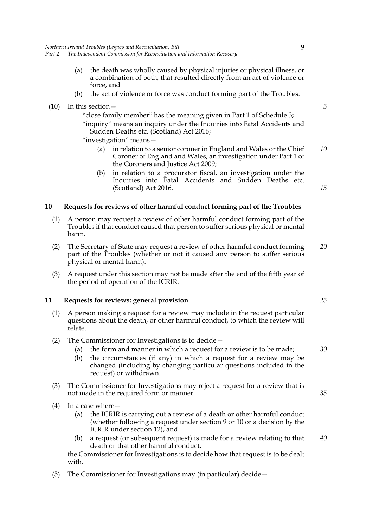|      | Northern Ireland Troubles (Legacy and Reconciliation) Bill<br>9<br>Part 2 - The Independent Commission for Reconciliation and Information Recovery                                                                                                                                                           |  |
|------|--------------------------------------------------------------------------------------------------------------------------------------------------------------------------------------------------------------------------------------------------------------------------------------------------------------|--|
|      | the death was wholly caused by physical injuries or physical illness, or<br>(a)<br>a combination of both, that resulted directly from an act of violence or<br>force, and                                                                                                                                    |  |
|      | the act of violence or force was conduct forming part of the Troubles.<br>(b)                                                                                                                                                                                                                                |  |
| (10) | In this section -<br>"close family member" has the meaning given in Part 1 of Schedule 3;<br>"inquiry" means an inquiry under the Inquiries into Fatal Accidents and<br>Sudden Deaths etc. (Scotland) Act 2016;<br>"investigation" means-                                                                    |  |
|      | in relation to a senior coroner in England and Wales or the Chief<br>(a)<br>Coroner of England and Wales, an investigation under Part 1 of<br>the Coroners and Justice Act 2009;                                                                                                                             |  |
|      | in relation to a procurator fiscal, an investigation under the<br>(b)<br>Inquiries into Fatal Accidents and Sudden Deaths etc.<br>(Scotland) Act 2016.                                                                                                                                                       |  |
| 10   | Requests for reviews of other harmful conduct forming part of the Troubles                                                                                                                                                                                                                                   |  |
| (1)  | A person may request a review of other harmful conduct forming part of the<br>Troubles if that conduct caused that person to suffer serious physical or mental<br>harm.                                                                                                                                      |  |
| (2)  | The Secretary of State may request a review of other harmful conduct forming<br>part of the Troubles (whether or not it caused any person to suffer serious<br>physical or mental harm).                                                                                                                     |  |
| (3)  | A request under this section may not be made after the end of the fifth year of<br>the period of operation of the ICRIR.                                                                                                                                                                                     |  |
| 11   | Requests for reviews: general provision                                                                                                                                                                                                                                                                      |  |
| (1)  | A person making a request for a review may include in the request particular<br>questions about the death, or other harmful conduct, to which the review will<br>relate.                                                                                                                                     |  |
| (2)  | The Commissioner for Investigations is to decide -<br>the form and manner in which a request for a review is to be made;<br>(a)<br>the circumstances (if any) in which a request for a review may be<br>(b)<br>changed (including by changing particular questions included in the<br>request) or withdrawn. |  |
| (3)  | The Commissioner for Investigations may reject a request for a review that is<br>not made in the required form or manner.                                                                                                                                                                                    |  |
| (4)  | In a case where -                                                                                                                                                                                                                                                                                            |  |
|      | the ICRIR is carrying out a review of a death or other harmful conduct<br>(a)<br>(whether following a request under section 9 or 10 or a decision by the<br>ICRIR under section 12), and                                                                                                                     |  |
|      | a request (or subsequent request) is made for a review relating to that<br>(b)<br>death or that other harmful conduct,                                                                                                                                                                                       |  |
|      | the Commissioner for Investigations is to decide how that request is to be dealt<br>with.                                                                                                                                                                                                                    |  |
|      |                                                                                                                                                                                                                                                                                                              |  |

(5) The Commissioner for Investigations may (in particular) decide—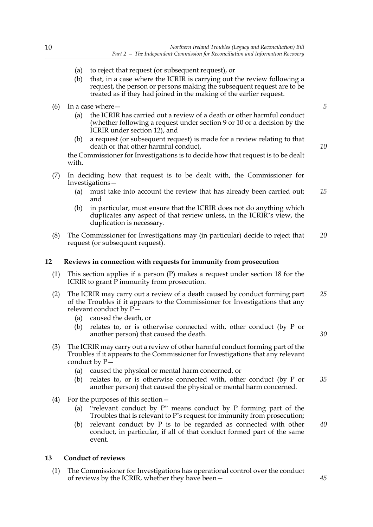- (a) to reject that request (or subsequent request), or
- (b) that, in a case where the ICRIR is carrying out the review following a request, the person or persons making the subsequent request are to be treated as if they had joined in the making of the earlier request.
- (6) In a case where—
	- (a) the ICRIR has carried out a review of a death or other harmful conduct (whether following a request under section 9 or 10 or a decision by the ICRIR under section 12), and
	- (b) a request (or subsequent request) is made for a review relating to that death or that other harmful conduct,

the Commissioner for Investigations is to decide how that request is to be dealt with.

- (7) In deciding how that request is to be dealt with, the Commissioner for Investigations—
	- (a) must take into account the review that has already been carried out; and *15*
	- (b) in particular, must ensure that the ICRIR does not do anything which duplicates any aspect of that review unless, in the ICRIR's view, the duplication is necessary.
- (8) The Commissioner for Investigations may (in particular) decide to reject that request (or subsequent request). *20*

#### **12 Reviews in connection with requests for immunity from prosecution**

- (1) This section applies if a person (P) makes a request under section 18 for the ICRIR to grant P immunity from prosecution.
- (2) The ICRIR may carry out a review of a death caused by conduct forming part of the Troubles if it appears to the Commissioner for Investigations that any relevant conduct by P— *25*
	- (a) caused the death, or
	- (b) relates to, or is otherwise connected with, other conduct (by P or another person) that caused the death.
- (3) The ICRIR may carry out a review of other harmful conduct forming part of the Troubles if it appears to the Commissioner for Investigations that any relevant conduct by  $P-$ 
	- (a) caused the physical or mental harm concerned, or
	- (b) relates to, or is otherwise connected with, other conduct (by P or another person) that caused the physical or mental harm concerned. *35*
- (4) For the purposes of this section—
	- (a) "relevant conduct by P" means conduct by P forming part of the Troubles that is relevant to P's request for immunity from prosecution;
	- (b) relevant conduct by P is to be regarded as connected with other conduct, in particular, if all of that conduct formed part of the same event.

#### **13 Conduct of reviews**

(1) The Commissioner for Investigations has operational control over the conduct of reviews by the ICRIR, whether they have been*10*

*5*

*30*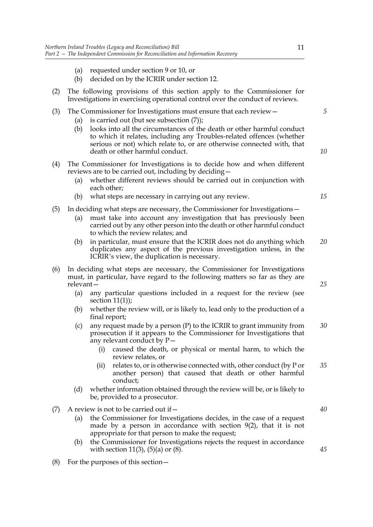| Northern Ireland Troubles (Legacy and Reconciliation) Bill<br>11<br>Part 2 - The Independent Commission for Reconciliation and Information Recovery<br>requested under section 9 or 10, or<br>(a)<br>decided on by the ICRIR under section 12.<br>(b)<br>The following provisions of this section apply to the Commissioner for<br>(2)<br>Investigations in exercising operational control over the conduct of reviews.<br>(3)<br>The Commissioner for Investigations must ensure that each review -<br>is carried out (but see subsection (7));<br>(a)<br>looks into all the circumstances of the death or other harmful conduct<br>(b)<br>to which it relates, including any Troubles-related offences (whether<br>serious or not) which relate to, or are otherwise connected with, that<br>death or other harmful conduct.<br>The Commissioner for Investigations is to decide how and when different<br>(4)<br>reviews are to be carried out, including by deciding -<br>whether different reviews should be carried out in conjunction with<br>(a)<br>each other;<br>what steps are necessary in carrying out any review.<br>(b)<br>(5)<br>In deciding what steps are necessary, the Commissioner for Investigations -<br>must take into account any investigation that has previously been<br>(a)<br>carried out by any other person into the death or other harmful conduct<br>to which the review relates; and<br>in particular, must ensure that the ICRIR does not do anything which<br>(b)<br>duplicates any aspect of the previous investigation unless, in the<br>ICRIR's view, the duplication is necessary.<br>(6)<br>In deciding what steps are necessary, the Commissioner for Investigations<br>must, in particular, have regard to the following matters so far as they are<br>relevant-<br>any particular questions included in a request for the review (see<br>(a) |     |               |                                                                                                                                                                                                                                                                                                                                         |          |
|-------------------------------------------------------------------------------------------------------------------------------------------------------------------------------------------------------------------------------------------------------------------------------------------------------------------------------------------------------------------------------------------------------------------------------------------------------------------------------------------------------------------------------------------------------------------------------------------------------------------------------------------------------------------------------------------------------------------------------------------------------------------------------------------------------------------------------------------------------------------------------------------------------------------------------------------------------------------------------------------------------------------------------------------------------------------------------------------------------------------------------------------------------------------------------------------------------------------------------------------------------------------------------------------------------------------------------------------------------------------------------------------------------------------------------------------------------------------------------------------------------------------------------------------------------------------------------------------------------------------------------------------------------------------------------------------------------------------------------------------------------------------------------------------------------------------------------------------------------------------------------------------|-----|---------------|-----------------------------------------------------------------------------------------------------------------------------------------------------------------------------------------------------------------------------------------------------------------------------------------------------------------------------------------|----------|
|                                                                                                                                                                                                                                                                                                                                                                                                                                                                                                                                                                                                                                                                                                                                                                                                                                                                                                                                                                                                                                                                                                                                                                                                                                                                                                                                                                                                                                                                                                                                                                                                                                                                                                                                                                                                                                                                                           |     |               |                                                                                                                                                                                                                                                                                                                                         |          |
|                                                                                                                                                                                                                                                                                                                                                                                                                                                                                                                                                                                                                                                                                                                                                                                                                                                                                                                                                                                                                                                                                                                                                                                                                                                                                                                                                                                                                                                                                                                                                                                                                                                                                                                                                                                                                                                                                           |     |               |                                                                                                                                                                                                                                                                                                                                         |          |
|                                                                                                                                                                                                                                                                                                                                                                                                                                                                                                                                                                                                                                                                                                                                                                                                                                                                                                                                                                                                                                                                                                                                                                                                                                                                                                                                                                                                                                                                                                                                                                                                                                                                                                                                                                                                                                                                                           |     |               | 5<br>10                                                                                                                                                                                                                                                                                                                                 |          |
|                                                                                                                                                                                                                                                                                                                                                                                                                                                                                                                                                                                                                                                                                                                                                                                                                                                                                                                                                                                                                                                                                                                                                                                                                                                                                                                                                                                                                                                                                                                                                                                                                                                                                                                                                                                                                                                                                           |     |               |                                                                                                                                                                                                                                                                                                                                         | 15       |
|                                                                                                                                                                                                                                                                                                                                                                                                                                                                                                                                                                                                                                                                                                                                                                                                                                                                                                                                                                                                                                                                                                                                                                                                                                                                                                                                                                                                                                                                                                                                                                                                                                                                                                                                                                                                                                                                                           |     |               |                                                                                                                                                                                                                                                                                                                                         | 20       |
|                                                                                                                                                                                                                                                                                                                                                                                                                                                                                                                                                                                                                                                                                                                                                                                                                                                                                                                                                                                                                                                                                                                                                                                                                                                                                                                                                                                                                                                                                                                                                                                                                                                                                                                                                                                                                                                                                           | (b) | final report; | section $11(1)$ ;<br>whether the review will, or is likely to, lead only to the production of a                                                                                                                                                                                                                                         | 25       |
|                                                                                                                                                                                                                                                                                                                                                                                                                                                                                                                                                                                                                                                                                                                                                                                                                                                                                                                                                                                                                                                                                                                                                                                                                                                                                                                                                                                                                                                                                                                                                                                                                                                                                                                                                                                                                                                                                           | (c) | (i)<br>(ii)   | any request made by a person (P) to the ICRIR to grant immunity from<br>prosecution if it appears to the Commissioner for Investigations that<br>any relevant conduct by $P-$<br>caused the death, or physical or mental harm, to which the<br>review relates, or<br>relates to, or is otherwise connected with, other conduct (by P or | 30<br>35 |
|                                                                                                                                                                                                                                                                                                                                                                                                                                                                                                                                                                                                                                                                                                                                                                                                                                                                                                                                                                                                                                                                                                                                                                                                                                                                                                                                                                                                                                                                                                                                                                                                                                                                                                                                                                                                                                                                                           | (d) |               | another person) that caused that death or other harmful<br>conduct;<br>whether information obtained through the review will be, or is likely to<br>be, provided to a prosecutor.                                                                                                                                                        |          |

- (7) A review is not to be carried out if—
	- (a) the Commissioner for Investigations decides, in the case of a request made by a person in accordance with section 9(2), that it is not appropriate for that person to make the request;

*40*

- (b) the Commissioner for Investigations rejects the request in accordance with section 11(3), (5)(a) or  $(8)$ .
- (8) For the purposes of this section—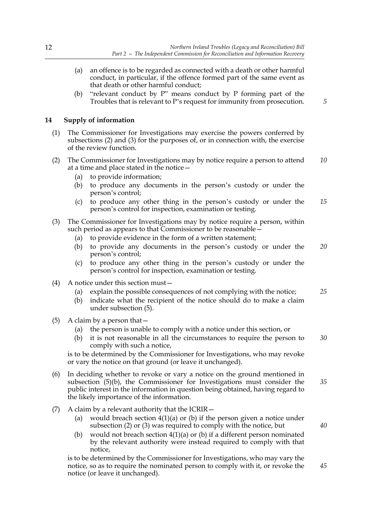- (a) an offence is to be regarded as connected with a death or other harmful conduct, in particular, if the offence formed part of the same event as that death or other harmful conduct;
- (b) "relevant conduct by P" means conduct by P forming part of the Troubles that is relevant to P's request for immunity from prosecution.

#### **14 Supply of information**

- (1) The Commissioner for Investigations may exercise the powers conferred by subsections (2) and (3) for the purposes of, or in connection with, the exercise of the review function.
- (2) The Commissioner for Investigations may by notice require a person to attend at a time and place stated in the notice— *10*
	- (a) to provide information;
	- (b) to produce any documents in the person's custody or under the person's control;
	- (c) to produce any other thing in the person's custody or under the person's control for inspection, examination or testing. *15*
- (3) The Commissioner for Investigations may by notice require a person, within such period as appears to that Commissioner to be reasonable –
	- (a) to provide evidence in the form of a written statement;
	- (b) to provide any documents in the person's custody or under the person's control; *20*
	- (c) to produce any other thing in the person's custody or under the person's control for inspection, examination or testing.
- (4) A notice under this section must—
	- (a) explain the possible consequences of not complying with the notice;
	- (b) indicate what the recipient of the notice should do to make a claim under subsection (5).
- (5) A claim by a person that—
	- (a) the person is unable to comply with a notice under this section, or
	- (b) it is not reasonable in all the circumstances to require the person to comply with such a notice, *30*

is to be determined by the Commissioner for Investigations, who may revoke or vary the notice on that ground (or leave it unchanged).

- (6) In deciding whether to revoke or vary a notice on the ground mentioned in subsection (5)(b), the Commissioner for Investigations must consider the public interest in the information in question being obtained, having regard to the likely importance of the information. *35*
- (7) A claim by a relevant authority that the ICRIR—
	- (a) would breach section  $4(1)(a)$  or (b) if the person given a notice under subsection (2) or (3) was required to comply with the notice, but
	- (b) would not breach section 4(1)(a) or (b) if a different person nominated by the relevant authority were instead required to comply with that notice,

is to be determined by the Commissioner for Investigations, who may vary the notice, so as to require the nominated person to comply with it, or revoke the notice (or leave it unchanged).

*25*

*45*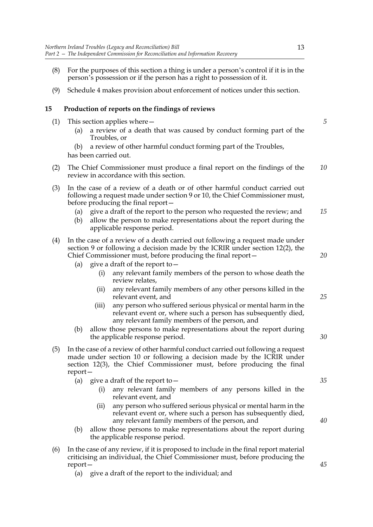- (8) For the purposes of this section a thing is under a person's control if it is in the person's possession or if the person has a right to possession of it.
- (9) Schedule 4 makes provision about enforcement of notices under this section.

#### **15 Production of reports on the findings of reviews**

- (1) This section applies where—
	- (a) a review of a death that was caused by conduct forming part of the Troubles, or
	- (b) a review of other harmful conduct forming part of the Troubles,

has been carried out.

- (2) The Chief Commissioner must produce a final report on the findings of the review in accordance with this section. *10*
- (3) In the case of a review of a death or of other harmful conduct carried out following a request made under section 9 or 10, the Chief Commissioner must, before producing the final report—
	- (a) give a draft of the report to the person who requested the review; and *15*
	- (b) allow the person to make representations about the report during the applicable response period.
- (4) In the case of a review of a death carried out following a request made under section 9 or following a decision made by the ICRIR under section 12(2), the Chief Commissioner must, before producing the final report—
	- (a) give a draft of the report to  $-$ 
		- (i) any relevant family members of the person to whose death the review relates,
		- (ii) any relevant family members of any other persons killed in the relevant event, and
		- (iii) any person who suffered serious physical or mental harm in the relevant event or, where such a person has subsequently died, any relevant family members of the person, and
	- (b) allow those persons to make representations about the report during the applicable response period.
- (5) In the case of a review of other harmful conduct carried out following a request made under section 10 or following a decision made by the ICRIR under section 12(3), the Chief Commissioner must, before producing the final report—
	- (a) give a draft of the report to  $-$ 
		- (i) any relevant family members of any persons killed in the relevant event, and
		- (ii) any person who suffered serious physical or mental harm in the relevant event or, where such a person has subsequently died, any relevant family members of the person, and
	- (b) allow those persons to make representations about the report during the applicable response period.
- (6) In the case of any review, if it is proposed to include in the final report material criticising an individual, the Chief Commissioner must, before producing the report—
	- (a) give a draft of the report to the individual; and

13

*5*

*35*

*20*

*25*

*30*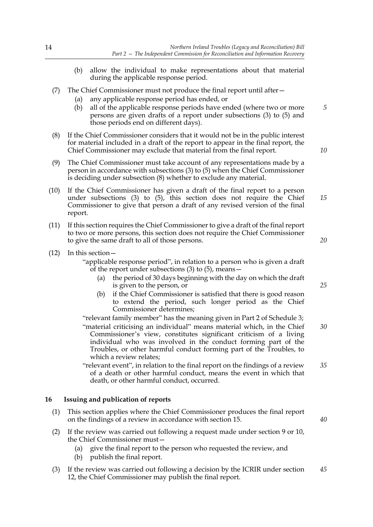- (b) allow the individual to make representations about that material during the applicable response period.
- (7) The Chief Commissioner must not produce the final report until after—
	- (a) any applicable response period has ended, or
	- (b) all of the applicable response periods have ended (where two or more persons are given drafts of a report under subsections (3) to (5) and those periods end on different days).
- (8) If the Chief Commissioner considers that it would not be in the public interest for material included in a draft of the report to appear in the final report, the Chief Commissioner may exclude that material from the final report.
- (9) The Chief Commissioner must take account of any representations made by a person in accordance with subsections (3) to (5) when the Chief Commissioner is deciding under subsection (8) whether to exclude any material.
- (10) If the Chief Commissioner has given a draft of the final report to a person under subsections (3) to (5), this section does not require the Chief Commissioner to give that person a draft of any revised version of the final report.
- (11) If this section requires the Chief Commissioner to give a draft of the final report to two or more persons, this section does not require the Chief Commissioner to give the same draft to all of those persons.
- (12) In this section—

"applicable response period", in relation to a person who is given a draft of the report under subsections (3) to (5), means—

- (a) the period of 30 days beginning with the day on which the draft is given to the person, or
- (b) if the Chief Commissioner is satisfied that there is good reason to extend the period, such longer period as the Chief Commissioner determines;

"relevant family member" has the meaning given in Part 2 of Schedule 3; "material criticising an individual" means material which, in the Chief Commissioner's view, constitutes significant criticism of a living individual who was involved in the conduct forming part of the Troubles, or other harmful conduct forming part of the Troubles, to which a review relates;

"relevant event", in relation to the final report on the findings of a review of a death or other harmful conduct, means the event in which that death, or other harmful conduct, occurred. *35*

#### **16 Issuing and publication of reports**

- (1) This section applies where the Chief Commissioner produces the final report on the findings of a review in accordance with section 15.
- (2) If the review was carried out following a request made under section 9 or 10, the Chief Commissioner must—
	- (a) give the final report to the person who requested the review, and
	- (b) publish the final report.
- (3) If the review was carried out following a decision by the ICRIR under section 12, the Chief Commissioner may publish the final report. *45*

*15*

*10*

*5*

*20*

*25*

*30*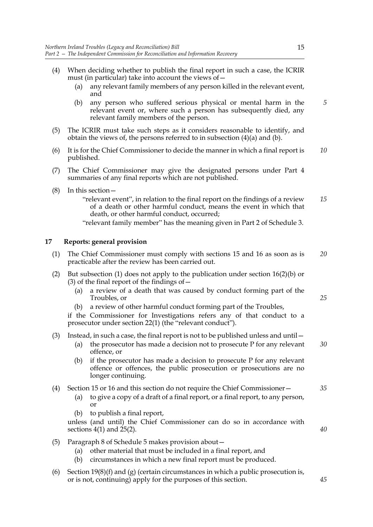- (4) When deciding whether to publish the final report in such a case, the ICRIR must (in particular) take into account the views of—
	- (a) any relevant family members of any person killed in the relevant event, and
	- (b) any person who suffered serious physical or mental harm in the relevant event or, where such a person has subsequently died, any relevant family members of the person.
- (5) The ICRIR must take such steps as it considers reasonable to identify, and obtain the views of, the persons referred to in subsection (4)(a) and (b).
- (6) It is for the Chief Commissioner to decide the manner in which a final report is published. *10*
- (7) The Chief Commissioner may give the designated persons under Part 4 summaries of any final reports which are not published.
- (8) In this section—
	- "relevant event", in relation to the final report on the findings of a review of a death or other harmful conduct, means the event in which that death, or other harmful conduct, occurred; *15*
	- "relevant family member" has the meaning given in Part 2 of Schedule 3.

#### **17 Reports: general provision**

- (1) The Chief Commissioner must comply with sections 15 and 16 as soon as is practicable after the review has been carried out. *20*
- (2) But subsection (1) does not apply to the publication under section 16(2)(b) or (3) of the final report of the findings of  $-$ 
	- (a) a review of a death that was caused by conduct forming part of the Troubles, or
	- (b) a review of other harmful conduct forming part of the Troubles,

if the Commissioner for Investigations refers any of that conduct to a prosecutor under section 22(1) (the "relevant conduct").

#### (3) Instead, in such a case, the final report is not to be published unless and until—

- (a) the prosecutor has made a decision not to prosecute P for any relevant offence, or *30*
- (b) if the prosecutor has made a decision to prosecute P for any relevant offence or offences, the public prosecution or prosecutions are no longer continuing.

#### (4) Section 15 or 16 and this section do not require the Chief Commissioner— *35*

- (a) to give a copy of a draft of a final report, or a final report, to any person, or
- (b) to publish a final report,

unless (and until) the Chief Commissioner can do so in accordance with sections 4(1) and 25(2).

- (5) Paragraph 8 of Schedule 5 makes provision about—
	- (a) other material that must be included in a final report, and
	- (b) circumstances in which a new final report must be produced.
- (6) Section  $19(8)(f)$  and  $(g)$  (certain circumstances in which a public prosecution is, or is not, continuing) apply for the purposes of this section.

*5*

*40*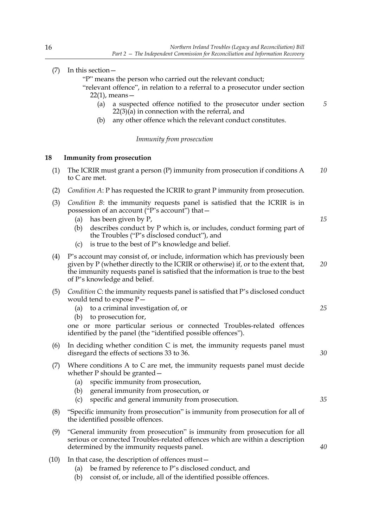*40*

|     | "P" means the person who carried out the relevant conduct;<br>"relevant offence", in relation to a referral to a prosecutor under section<br>$22(1)$ , means —<br>a suspected offence notified to the prosecutor under section<br>(a)<br>$22(3)(a)$ in connection with the referral, and<br>any other offence which the relevant conduct constitutes.<br>(b)   | 5  |
|-----|----------------------------------------------------------------------------------------------------------------------------------------------------------------------------------------------------------------------------------------------------------------------------------------------------------------------------------------------------------------|----|
|     | Immunity from prosecution                                                                                                                                                                                                                                                                                                                                      |    |
| 18  | <b>Immunity from prosecution</b>                                                                                                                                                                                                                                                                                                                               |    |
| (1) | The ICRIR must grant a person $(P)$ immunity from prosecution if conditions A<br>to C are met.                                                                                                                                                                                                                                                                 | 10 |
| (2) | <i>Condition A: P has requested the ICRIR to grant P immunity from prosecution.</i>                                                                                                                                                                                                                                                                            |    |
| (3) | <i>Condition B</i> : the immunity requests panel is satisfied that the ICRIR is in<br>possession of an account ("P's account") that -<br>has been given by P,<br>(a)<br>describes conduct by P which is, or includes, conduct forming part of<br>(b)<br>the Troubles ("P's disclosed conduct"), and<br>is true to the best of P's knowledge and belief.<br>(c) | 15 |
| (4) | P's account may consist of, or include, information which has previously been<br>given by P (whether directly to the ICRIR or otherwise) if, or to the extent that,<br>the immunity requests panel is satisfied that the information is true to the best<br>of P's knowledge and belief.                                                                       | 20 |
| (5) | Condition C: the immunity requests panel is satisfied that P's disclosed conduct<br>would tend to expose $P-$<br>to a criminal investigation of, or<br>(a)<br>to prosecution for,<br>(b)<br>one or more particular serious or connected Troubles-related offences<br>identified by the panel (the "identified possible offences").                             | 25 |
| (6) | In deciding whether condition $C$ is met, the immunity requests panel must<br>disregard the effects of sections 33 to 36.                                                                                                                                                                                                                                      | 30 |
| (7) | Where conditions $A$ to $C$ are met, the immunity requests panel must decide<br>whether $P$ should be granted $-$<br>specific immunity from prosecution,<br>(a)<br>general immunity from prosecution, or<br>(b)<br>specific and general immunity from prosecution.<br>(c)                                                                                      | 35 |
| (8) | "Specific immunity from prosecution" is immunity from prosecution for all of                                                                                                                                                                                                                                                                                   |    |

- (9) "General immunity from prosecution" is immunity from prosecution for all serious or connected Troubles-related offences which are within a description determined by the immunity requests panel.
- (10) In that case, the description of offences must—

the identified possible offences.

- (a) be framed by reference to P's disclosed conduct, and
- (b) consist of, or include, all of the identified possible offences.

(7) In this section—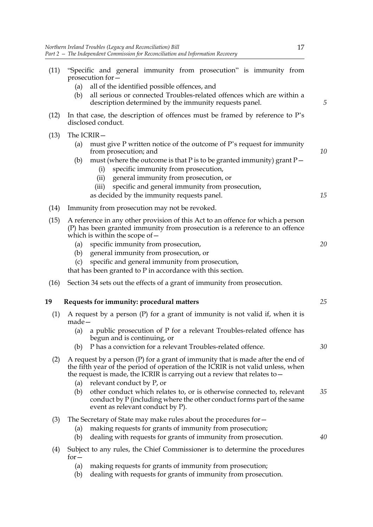|      |                          | Northern Ireland Troubles (Legacy and Reconciliation) Bill<br>17<br>Part 2 - The Independent Commission for Reconciliation and Information Recovery                                                                                                                                                                                              |
|------|--------------------------|--------------------------------------------------------------------------------------------------------------------------------------------------------------------------------------------------------------------------------------------------------------------------------------------------------------------------------------------------|
| (11) | (a)<br>(b)               | "Specific and general immunity from prosecution" is immunity from<br>prosecution for -<br>all of the identified possible offences, and<br>all serious or connected Troubles-related offences which are within a                                                                                                                                  |
|      |                          | description determined by the immunity requests panel.                                                                                                                                                                                                                                                                                           |
| (12) |                          | In that case, the description of offences must be framed by reference to P's<br>disclosed conduct.                                                                                                                                                                                                                                               |
| (13) | The ICRIR-<br>(a)<br>(b) | must give P written notice of the outcome of P's request for immunity<br>from prosecution; and<br>must (where the outcome is that P is to be granted immunity) grant $P-$<br>specific immunity from prosecution,<br>(i)<br>general immunity from prosecution, or<br>(ii)<br>specific and general immunity from prosecution,<br>(iii)             |
|      |                          | as decided by the immunity requests panel.                                                                                                                                                                                                                                                                                                       |
| (14) |                          | Immunity from prosecution may not be revoked.                                                                                                                                                                                                                                                                                                    |
| (15) |                          | A reference in any other provision of this Act to an offence for which a person<br>(P) has been granted immunity from prosecution is a reference to an offence<br>which is within the scope of $-$                                                                                                                                               |
|      | (a)<br>(b)<br>(c)        | specific immunity from prosecution,<br>general immunity from prosecution, or<br>specific and general immunity from prosecution,<br>that has been granted to $P$ in accordance with this section.                                                                                                                                                 |
| (16) |                          | Section 34 sets out the effects of a grant of immunity from prosecution.                                                                                                                                                                                                                                                                         |
| 19   |                          | Requests for immunity: procedural matters                                                                                                                                                                                                                                                                                                        |
| (1)  | made-                    | A request by a person $(P)$ for a grant of immunity is not valid if, when it is                                                                                                                                                                                                                                                                  |
|      | (a)                      | a public prosecution of P for a relevant Troubles-related offence has<br>begun and is continuing, or                                                                                                                                                                                                                                             |
| (2)  | (b)<br>(a)               | P has a conviction for a relevant Troubles-related offence.<br>A request by a person $(P)$ for a grant of immunity that is made after the end of<br>the fifth year of the period of operation of the ICRIR is not valid unless, when<br>the request is made, the ICRIR is carrying out a review that relates to $-$<br>relevant conduct by P, or |
|      | (b)                      | other conduct which relates to, or is otherwise connected to, relevant<br>conduct by P (including where the other conduct forms part of the same<br>event as relevant conduct by P).                                                                                                                                                             |
| (3)  | (a)<br>(b)               | The Secretary of State may make rules about the procedures for $-$<br>making requests for grants of immunity from prosecution;<br>dealing with requests for grants of immunity from prosecution.                                                                                                                                                 |
| (4)  | $for -$                  | Subject to any rules, the Chief Commissioner is to determine the procedures                                                                                                                                                                                                                                                                      |
|      | (a)<br>(b)               | making requests for grants of immunity from prosecution;<br>dealing with requests for grants of immunity from prosecution.                                                                                                                                                                                                                       |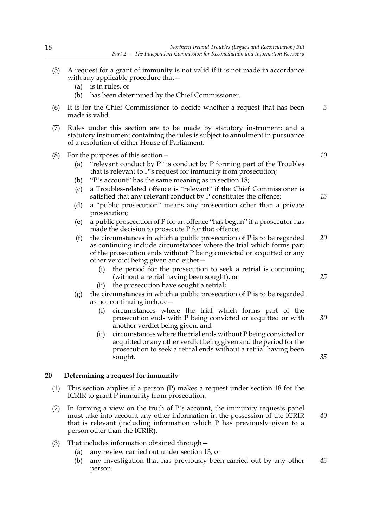- (5) A request for a grant of immunity is not valid if it is not made in accordance with any applicable procedure that—
	- (a) is in rules, or
	- (b) has been determined by the Chief Commissioner.
- (6) It is for the Chief Commissioner to decide whether a request that has been made is valid.
- (7) Rules under this section are to be made by statutory instrument; and a statutory instrument containing the rules is subject to annulment in pursuance of a resolution of either House of Parliament.
- (8) For the purposes of this section  $-$ 
	- (a) "relevant conduct by P" is conduct by P forming part of the Troubles that is relevant to P's request for immunity from prosecution;
	- (b) "P's account" has the same meaning as in section 18;
	- (c) a Troubles-related offence is "relevant" if the Chief Commissioner is satisfied that any relevant conduct by P constitutes the offence;
	- (d) a "public prosecution" means any prosecution other than a private prosecution;
	- (e) a public prosecution of P for an offence "has begun" if a prosecutor has made the decision to prosecute P for that offence;
	- (f) the circumstances in which a public prosecution of  $P$  is to be regarded as continuing include circumstances where the trial which forms part of the prosecution ends without P being convicted or acquitted or any other verdict being given and either— *20*
		- the period for the prosecution to seek a retrial is continuing (without a retrial having been sought), or
		- (ii) the prosecution have sought a retrial;
	- (g) the circumstances in which a public prosecution of P is to be regarded as not continuing include—
		- (i) circumstances where the trial which forms part of the prosecution ends with P being convicted or acquitted or with another verdict being given, and
		- (ii) circumstances where the trial ends without P being convicted or acquitted or any other verdict being given and the period for the prosecution to seek a retrial ends without a retrial having been sought.

#### **20 Determining a request for immunity**

- (1) This section applies if a person (P) makes a request under section 18 for the ICRIR to grant P immunity from prosecution.
- (2) In forming a view on the truth of P's account, the immunity requests panel must take into account any other information in the possession of the ICRIR that is relevant (including information which P has previously given to a person other than the ICRIR).
- (3) That includes information obtained through—
	- (a) any review carried out under section 13, or
	- (b) any investigation that has previously been carried out by any other person. *45*

*10*

*5*

*15*

*25*

*30*

*35*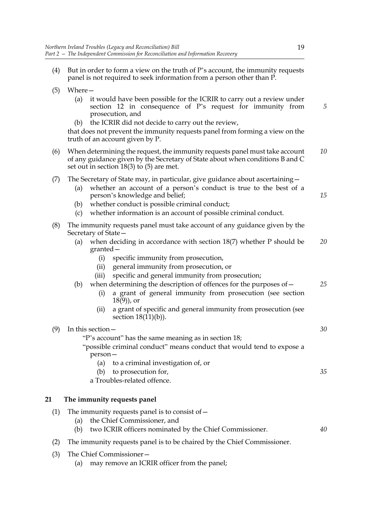- (5) Where— (a) it would have been possible for the ICRIR to carry out a review under section 12 in consequence of P's request for immunity from prosecution, and (b) the ICRIR did not decide to carry out the review, that does not prevent the immunity requests panel from forming a view on the truth of an account given by P. (6) When determining the request, the immunity requests panel must take account of any guidance given by the Secretary of State about when conditions B and C set out in section 18(3) to (5) are met. (7) The Secretary of State may, in particular, give guidance about ascertaining— (a) whether an account of a person's conduct is true to the best of a
	- person's knowledge and belief;
		- (b) whether conduct is possible criminal conduct;
		- (c) whether information is an account of possible criminal conduct.
- (8) The immunity requests panel must take account of any guidance given by the Secretary of State—
	- (a) when deciding in accordance with section 18(7) whether P should be granted— *20*
		- (i) specific immunity from prosecution,
		- (ii) general immunity from prosecution, or
		- (iii) specific and general immunity from prosecution;
	- (b) when determining the description of offences for the purposes of—
		- (i) a grant of general immunity from prosecution (see section  $18(9)$ , or
		- (ii) a grant of specific and general immunity from prosecution (see section  $18(11)(b)$ ).

|  | In this section -                                                                                                             | 30 |  |
|--|-------------------------------------------------------------------------------------------------------------------------------|----|--|
|  | "P's account" has the same meaning as in section 18;<br>"possible criminal conduct" means conduct that would tend to expose a |    |  |
|  |                                                                                                                               |    |  |
|  | $person -$                                                                                                                    |    |  |
|  | (a) to a criminal investigation of, or                                                                                        |    |  |
|  | to prosecution for,<br>(b)                                                                                                    | 35 |  |
|  | a Troubles-related offence.                                                                                                   |    |  |

#### **21 The immunity requests panel**

- (1) The immunity requests panel is to consist of  $-$ 
	- (a) the Chief Commissioner, and
	- (b) two ICRIR officers nominated by the Chief Commissioner. *40*
- (2) The immunity requests panel is to be chaired by the Chief Commissioner.
- (3) The Chief Commissioner—
	- (a) may remove an ICRIR officer from the panel;

*5*

*10*

*15*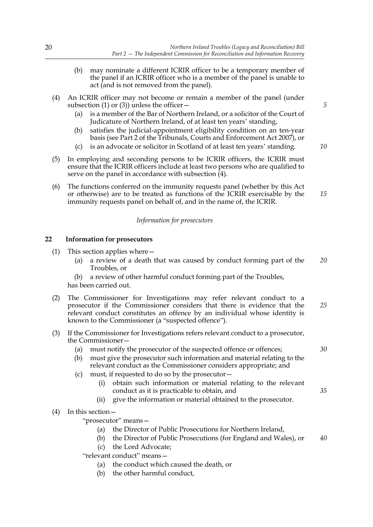- (b) may nominate a different ICRIR officer to be a temporary member of the panel if an ICRIR officer who is a member of the panel is unable to act (and is not removed from the panel).
- (4) An ICRIR officer may not become or remain a member of the panel (under subsection (1) or (3)) unless the officer  $-$ 
	- (a) is a member of the Bar of Northern Ireland, or a solicitor of the Court of Judicature of Northern Ireland, of at least ten years' standing,
	- (b) satisfies the judicial-appointment eligibility condition on an ten-year basis (see Part 2 of the Tribunals, Courts and Enforcement Act 2007), or
	- (c) is an advocate or solicitor in Scotland of at least ten years' standing.
- (5) In employing and seconding persons to be ICRIR officers, the ICRIR must ensure that the ICRIR officers include at least two persons who are qualified to serve on the panel in accordance with subsection  $\overline{4}$ ).
- (6) The functions conferred on the immunity requests panel (whether by this Act or otherwise) are to be treated as functions of the ICRIR exercisable by the immunity requests panel on behalf of, and in the name of, the ICRIR. *15*

#### *Information for prosecutors*

#### **22 Information for prosecutors**

- (1) This section applies where—
	- (a) a review of a death that was caused by conduct forming part of the Troubles, or *20*
	- (b) a review of other harmful conduct forming part of the Troubles,

has been carried out.

- (2) The Commissioner for Investigations may refer relevant conduct to a prosecutor if the Commissioner considers that there is evidence that the relevant conduct constitutes an offence by an individual whose identity is known to the Commissioner (a "suspected offence"). *25*
- (3) If the Commissioner for Investigations refers relevant conduct to a prosecutor, the Commissioner—
	- (a) must notify the prosecutor of the suspected offence or offences;
	- (b) must give the prosecutor such information and material relating to the relevant conduct as the Commissioner considers appropriate; and
	- (c) must, if requested to do so by the prosecutor—
		- (i) obtain such information or material relating to the relevant conduct as it is practicable to obtain, and
		- (ii) give the information or material obtained to the prosecutor.
- (4) In this section—

"prosecutor" means—

- (a) the Director of Public Prosecutions for Northern Ireland,
- (b) the Director of Public Prosecutions (for England and Wales), or *40*
- (c) the Lord Advocate;

"relevant conduct" means—

- (a) the conduct which caused the death, or
- (b) the other harmful conduct,

*5*

*30*

*35*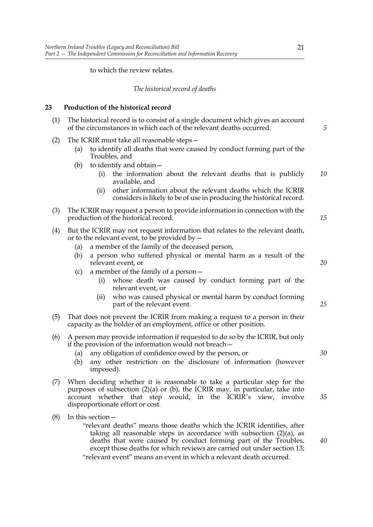#### to which the review relates.

#### *The historical record of deaths*

#### **23 Production of the historical record**

| (1) | The historical record is to consist of a single document which gives an account<br>of the circumstances in which each of the relevant deaths occurred.                                                                                                                                                                                                                                                              |    |  |  |
|-----|---------------------------------------------------------------------------------------------------------------------------------------------------------------------------------------------------------------------------------------------------------------------------------------------------------------------------------------------------------------------------------------------------------------------|----|--|--|
| (2) | The ICRIR must take all reasonable steps-<br>to identify all deaths that were caused by conduct forming part of the<br>(a)<br>Troubles, and<br>to identify and obtain-<br>(b)<br>the information about the relevant deaths that is publicly<br>(i)<br>available, and<br>other information about the relevant deaths which the ICRIR<br>(ii)<br>considers is likely to be of use in producing the historical record. | 10 |  |  |
| (3) | The ICRIR may request a person to provide information in connection with the<br>production of the historical record.                                                                                                                                                                                                                                                                                                | 15 |  |  |
| (4) | But the ICRIR may not request information that relates to the relevant death,<br>or to the relevant event, to be provided by $-$<br>a member of the family of the deceased person,<br>(a)                                                                                                                                                                                                                           |    |  |  |
|     | a person who suffered physical or mental harm as a result of the<br>(b)<br>relevant event, or<br>a member of the family of a person-<br>(c)<br>whose death was caused by conduct forming part of the<br>(i)                                                                                                                                                                                                         | 20 |  |  |
|     | relevant event, or<br>who was caused physical or mental harm by conduct forming<br>(ii)<br>part of the relevant event.                                                                                                                                                                                                                                                                                              | 25 |  |  |
| (5) | That does not prevent the ICRIR from making a request to a person in their<br>capacity as the holder of an employment, office or other position.                                                                                                                                                                                                                                                                    |    |  |  |
| (6) | A person may provide information if requested to do so by the ICRIR, but only<br>if the provision of the information would not breach –<br>any obligation of confidence owed by the person, or<br>(a)<br>any other restriction on the disclosure of information (however<br>(b)<br>imposed).                                                                                                                        |    |  |  |
| (7) | When deciding whether it is reasonable to take a particular step for the<br>purposes of subsection $(2)(a)$ or $(b)$ , the ICRIR may, in particular, take into<br>account whether that step would, in the ICRIR's view, involve<br>disproportionate effort or cost.                                                                                                                                                 | 35 |  |  |
| (8) | In this section -<br>"relevant deaths" means those deaths which the ICRIR identifies, after<br>taking all reasonable steps in accordance with subsection $(2)(a)$ , as                                                                                                                                                                                                                                              |    |  |  |

except those deaths for which reviews are carried out under section 13; "relevant event" means an event in which a relevant death occurred.

deaths that were caused by conduct forming part of the Troubles,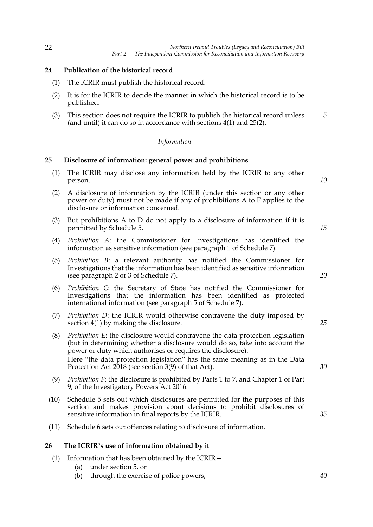#### **24 Publication of the historical record**

- (1) The ICRIR must publish the historical record.
- (2) It is for the ICRIR to decide the manner in which the historical record is to be published.
- (3) This section does not require the ICRIR to publish the historical record unless (and until) it can do so in accordance with sections 4(1) and 25(2). *5*

#### *Information*

#### **25 Disclosure of information: general power and prohibitions**

- (1) The ICRIR may disclose any information held by the ICRIR to any other person.
- (2) A disclosure of information by the ICRIR (under this section or any other power or duty) must not be made if any of prohibitions A to F applies to the disclosure or information concerned.
- (3) But prohibitions A to D do not apply to a disclosure of information if it is permitted by Schedule 5.
- (4) *Prohibition A*: the Commissioner for Investigations has identified the information as sensitive information (see paragraph 1 of Schedule 7).
- (5) *Prohibition B*: a relevant authority has notified the Commissioner for Investigations that the information has been identified as sensitive information (see paragraph 2 or 3 of Schedule 7).
- (6) *Prohibition C*: the Secretary of State has notified the Commissioner for Investigations that the information has been identified as protected international information (see paragraph 5 of Schedule 7).
- (7) *Prohibition D*: the ICRIR would otherwise contravene the duty imposed by section 4(1) by making the disclosure.
- (8) *Prohibition E*: the disclosure would contravene the data protection legislation (but in determining whether a disclosure would do so, take into account the power or duty which authorises or requires the disclosure). Here "the data protection legislation" has the same meaning as in the Data Protection Act 2018 (see section 3(9) of that Act).
- (9) *Prohibition F*: the disclosure is prohibited by Parts 1 to 7, and Chapter 1 of Part 9, of the Investigatory Powers Act 2016.
- (10) Schedule 5 sets out which disclosures are permitted for the purposes of this section and makes provision about decisions to prohibit disclosures of sensitive information in final reports by the ICRIR.
- (11) Schedule 6 sets out offences relating to disclosure of information.

#### **26 The ICRIR's use of information obtained by it**

- (1) Information that has been obtained by the ICRIR—
	- (a) under section 5, or
	- (b) through the exercise of police powers,

*15*

*10*

*20*

*25*

*30*

*35*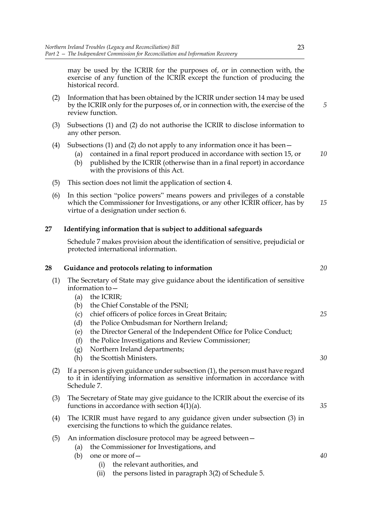may be used by the ICRIR for the purposes of, or in connection with, the exercise of any function of the ICRIR except the function of producing the historical record.

- (2) Information that has been obtained by the ICRIR under section 14 may be used by the ICRIR only for the purposes of, or in connection with, the exercise of the review function.
- (3) Subsections (1) and (2) do not authorise the ICRIR to disclose information to any other person.
- (4) Subsections (1) and (2) do not apply to any information once it has been—
	- (a) contained in a final report produced in accordance with section 15, or
	- (b) published by the ICRIR (otherwise than in a final report) in accordance with the provisions of this Act.
- (5) This section does not limit the application of section 4.
- (6) In this section "police powers" means powers and privileges of a constable which the Commissioner for Investigations, or any other ICRIR officer, has by virtue of a designation under section 6. *15*

#### **27 Identifying information that is subject to additional safeguards**

Schedule 7 makes provision about the identification of sensitive, prejudicial or protected international information.

#### **28 Guidance and protocols relating to information**

- (1) The Secretary of State may give guidance about the identification of sensitive information to—
	- (a) the ICRIR;
	- (b) the Chief Constable of the PSNI;
	- (c) chief officers of police forces in Great Britain;
	- (d) the Police Ombudsman for Northern Ireland;
	- (e) the Director General of the Independent Office for Police Conduct;
	- (f) the Police Investigations and Review Commissioner;
	- (g) Northern Ireland departments;
	- (h) the Scottish Ministers.
- (2) If a person is given guidance under subsection (1), the person must have regard to it in identifying information as sensitive information in accordance with Schedule 7.
- (3) The Secretary of State may give guidance to the ICRIR about the exercise of its functions in accordance with section 4(1)(a).
- (4) The ICRIR must have regard to any guidance given under subsection (3) in exercising the functions to which the guidance relates.
- (5) An information disclosure protocol may be agreed between—
	- (a) the Commissioner for Investigations, and
	- (b) one or more of—
		- (i) the relevant authorities, and
		- (ii) the persons listed in paragraph 3(2) of Schedule 5.

*5*

*10*

*25*

*20*

*30*

*40*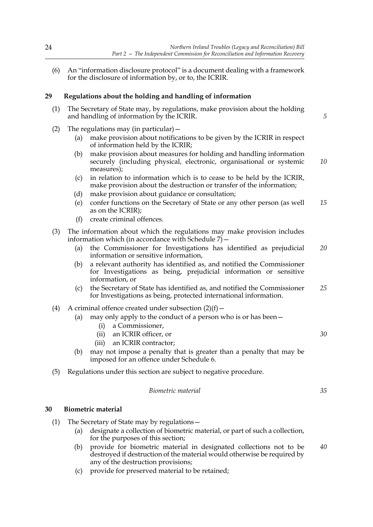(6) An "information disclosure protocol" is a document dealing with a framework for the disclosure of information by, or to, the ICRIR.

#### **29 Regulations about the holding and handling of information**

- (1) The Secretary of State may, by regulations, make provision about the holding and handling of information by the ICRIR.
- (2) The regulations may (in particular)  $-$ 
	- (a) make provision about notifications to be given by the ICRIR in respect of information held by the ICRIR;
	- (b) make provision about measures for holding and handling information securely (including physical, electronic, organisational or systemic measures); *10*
	- (c) in relation to information which is to cease to be held by the ICRIR, make provision about the destruction or transfer of the information;
	- (d) make provision about guidance or consultation;
	- (e) confer functions on the Secretary of State or any other person (as well as on the ICRIR); *15*
	- (f) create criminal offences.
- (3) The information about which the regulations may make provision includes information which (in accordance with Schedule  $7$ ) –
	- (a) the Commissioner for Investigations has identified as prejudicial information or sensitive information, *20*
	- (b) a relevant authority has identified as, and notified the Commissioner for Investigations as being, prejudicial information or sensitive information, or
	- (c) the Secretary of State has identified as, and notified the Commissioner for Investigations as being, protected international information. *25*
- (4) A criminal offence created under subsection  $(2)(f)$  -
	- (a) may only apply to the conduct of a person who is or has been—
		- (i) a Commissioner,
		- (ii) an ICRIR officer, or
		- (iii) an ICRIR contractor;
	- (b) may not impose a penalty that is greater than a penalty that may be imposed for an offence under Schedule 6.
- (5) Regulations under this section are subject to negative procedure.

*Biometric material*

#### **30 Biometric material**

- (1) The Secretary of State may by regulations—
	- (a) designate a collection of biometric material, or part of such a collection, for the purposes of this section;
	- (b) provide for biometric material in designated collections not to be destroyed if destruction of the material would otherwise be required by any of the destruction provisions; *40*
	- (c) provide for preserved material to be retained;

*35*

*30*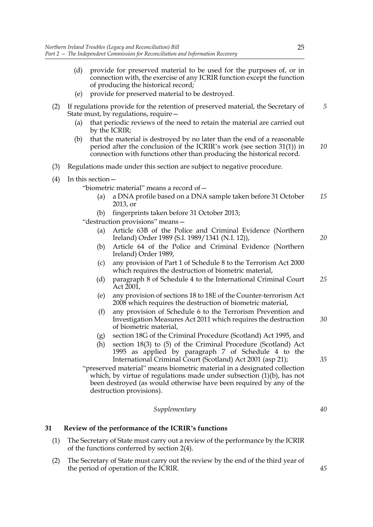- (d) provide for preserved material to be used for the purposes of, or in connection with, the exercise of any ICRIR function except the function of producing the historical record;
- (e) provide for preserved material to be destroyed.
- (2) If regulations provide for the retention of preserved material, the Secretary of State must, by regulations, require— *5*
	- (a) that periodic reviews of the need to retain the material are carried out by the ICRIR;
	- (b) that the material is destroyed by no later than the end of a reasonable period after the conclusion of the ICRIR's work (see section 31(1)) in connection with functions other than producing the historical record. *10*
- (3) Regulations made under this section are subject to negative procedure.
- (4) In this section—

"biometric material" means a record of—

- (a) a DNA profile based on a DNA sample taken before 31 October 2013, or *15*
- (b) fingerprints taken before 31 October 2013;

"destruction provisions" means—

- (a) Article 63B of the Police and Criminal Evidence (Northern Ireland) Order 1989 (S.I. 1989/1341 (N.I. 12)),
- (b) Article 64 of the Police and Criminal Evidence (Northern Ireland) Order 1989,
- (c) any provision of Part 1 of Schedule 8 to the Terrorism Act 2000 which requires the destruction of biometric material,
- (d) paragraph 8 of Schedule 4 to the International Criminal Court Act 2001, *25*
- (e) any provision of sections 18 to 18E of the Counter-terrorism Act 2008 which requires the destruction of biometric material,
- (f) any provision of Schedule 6 to the Terrorism Prevention and Investigation Measures Act 2011 which requires the destruction of biometric material, *30*
- (g) section 18G of the Criminal Procedure (Scotland) Act 1995, and
- (h) section 18(3) to (5) of the Criminal Procedure (Scotland) Act 1995 as applied by paragraph 7 of Schedule 4 to the International Criminal Court (Scotland) Act 2001 (asp 21);

"preserved material" means biometric material in a designated collection which, by virtue of regulations made under subsection (1)(b), has not been destroyed (as would otherwise have been required by any of the destruction provisions).

#### *Supplementary*

#### **31 Review of the performance of the ICRIR's functions**

- (1) The Secretary of State must carry out a review of the performance by the ICRIR of the functions conferred by section 2(4).
- (2) The Secretary of State must carry out the review by the end of the third year of the period of operation of the ICRIR.

*35*

*20*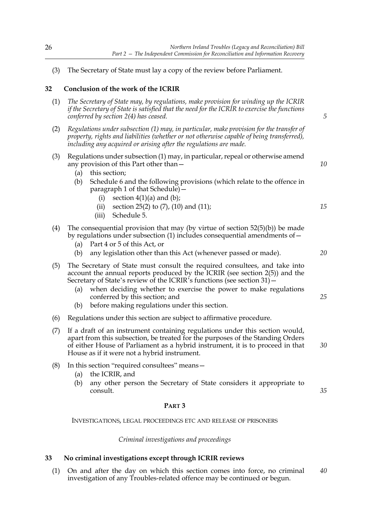(3) The Secretary of State must lay a copy of the review before Parliament.

#### **32 Conclusion of the work of the ICRIR**

- (1) *The Secretary of State may, by regulations, make provision for winding up the ICRIR if the Secretary of State is satisfied that the need for the ICRIR to exercise the functions conferred by section 2(4) has ceased.*
- (2) *Regulations under subsection (1) may, in particular, make provision for the transfer of property, rights and liabilities (whether or not otherwise capable of being transferred), including any acquired or arising after the regulations are made.*
- (3) Regulations under subsection (1) may, in particular, repeal or otherwise amend any provision of this Part other than—
	- (a) this section;
	- (b) Schedule 6 and the following provisions (which relate to the offence in paragraph 1 of that Schedule)—
		- (i) section  $4(1)(a)$  and  $(b)$ ;
		- (ii) section 25(2) to  $(7)$ ,  $(10)$  and  $(11)$ ;
		- (iii) Schedule 5.
- (4) The consequential provision that may (by virtue of section  $52(5)(b)$ ) be made by regulations under subsection (1) includes consequential amendments of—
	- (a) Part 4 or 5 of this Act, or
	- (b) any legislation other than this Act (whenever passed or made).
- (5) The Secretary of State must consult the required consultees, and take into account the annual reports produced by the ICRIR (see section 2(5)) and the Secretary of State's review of the ICRIR's functions (see section 31)—
	- (a) when deciding whether to exercise the power to make regulations conferred by this section; and
	- (b) before making regulations under this section.
- (6) Regulations under this section are subject to affirmative procedure.
- (7) If a draft of an instrument containing regulations under this section would, apart from this subsection, be treated for the purposes of the Standing Orders of either House of Parliament as a hybrid instrument, it is to proceed in that House as if it were not a hybrid instrument.
- (8) In this section "required consultees" means—
	- (a) the ICRIR, and
	- (b) any other person the Secretary of State considers it appropriate to consult.

#### **PART 3**

INVESTIGATIONS, LEGAL PROCEEDINGS ETC AND RELEASE OF PRISONERS

*Criminal investigations and proceedings*

#### **33 No criminal investigations except through ICRIR reviews**

(1) On and after the day on which this section comes into force, no criminal investigation of any Troubles-related offence may be continued or begun. *40*

*20*

*25*

*30*

*35*

*5*

*10*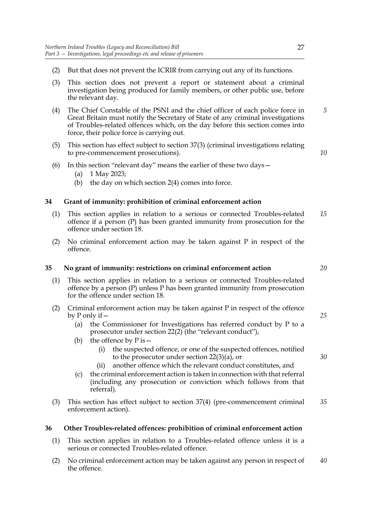- (2) But that does not prevent the ICRIR from carrying out any of its functions.
- (3) This section does not prevent a report or statement about a criminal investigation being produced for family members, or other public use, before the relevant day.
- (4) The Chief Constable of the PSNI and the chief officer of each police force in Great Britain must notify the Secretary of State of any criminal investigations of Troubles-related offences which, on the day before this section comes into force, their police force is carrying out. *5*
- (5) This section has effect subject to section 37(3) (criminal investigations relating to pre-commencement prosecutions).
- (6) In this section "relevant day" means the earlier of these two days  $-$ 
	- (a) 1 May 2023;
	- (b) the day on which section 2(4) comes into force.

#### **34 Grant of immunity: prohibition of criminal enforcement action**

- (1) This section applies in relation to a serious or connected Troubles-related offence if a person (P) has been granted immunity from prosecution for the offence under section 18. *15*
- (2) No criminal enforcement action may be taken against P in respect of the offence.

#### **35 No grant of immunity: restrictions on criminal enforcement action**

- (1) This section applies in relation to a serious or connected Troubles-related offence by a person (P) unless P has been granted immunity from prosecution for the offence under section 18.
- (2) Criminal enforcement action may be taken against P in respect of the offence by P only if—
	- (a) the Commissioner for Investigations has referred conduct by P to a prosecutor under section 22(2) (the "relevant conduct"),
	- (b) the offence by  $P$  is  $-$ 
		- (i) the suspected offence, or one of the suspected offences, notified to the prosecutor under section  $22(3)(a)$ , or
		- (ii) another offence which the relevant conduct constitutes, and
	- (c) the criminal enforcement action is taken in connection with that referral (including any prosecution or conviction which follows from that referral).
- (3) This section has effect subject to section 37(4) (pre-commencement criminal enforcement action). *35*

#### **36 Other Troubles-related offences: prohibition of criminal enforcement action**

- (1) This section applies in relation to a Troubles-related offence unless it is a serious or connected Troubles-related offence.
- (2) No criminal enforcement action may be taken against any person in respect of the offence. *40*

```
20
```
*10*

*25*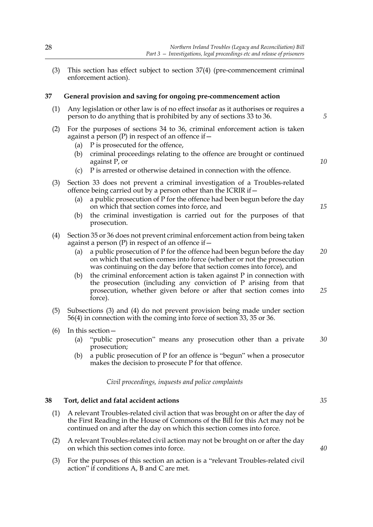(3) This section has effect subject to section 37(4) (pre-commencement criminal enforcement action).

#### **37 General provision and saving for ongoing pre-commencement action**

- (1) Any legislation or other law is of no effect insofar as it authorises or requires a person to do anything that is prohibited by any of sections 33 to 36.
- (2) For the purposes of sections 34 to 36, criminal enforcement action is taken against a person  $(P)$  in respect of an offence if  $-$ 
	- (a) P is prosecuted for the offence,
	- (b) criminal proceedings relating to the offence are brought or continued against P, or
	- (c) P is arrested or otherwise detained in connection with the offence.
- (3) Section 33 does not prevent a criminal investigation of a Troubles-related offence being carried out by a person other than the ICRIR if  $-$ 
	- (a) a public prosecution of P for the offence had been begun before the day on which that section comes into force, and
	- (b) the criminal investigation is carried out for the purposes of that prosecution.
- (4) Section 35 or 36 does not prevent criminal enforcement action from being taken against a person  $(P)$  in respect of an offence if  $-$ 
	- (a) a public prosecution of P for the offence had been begun before the day on which that section comes into force (whether or not the prosecution was continuing on the day before that section comes into force), and
	- (b) the criminal enforcement action is taken against P in connection with the prosecution (including any conviction of P arising from that prosecution, whether given before or after that section comes into force). *25*
- (5) Subsections (3) and (4) do not prevent provision being made under section 56(4) in connection with the coming into force of section 33, 35 or 36.
- (6) In this section—
	- (a) "public prosecution" means any prosecution other than a private prosecution; *30*
	- (b) a public prosecution of P for an offence is "begun" when a prosecutor makes the decision to prosecute P for that offence.

#### *Civil proceedings, inquests and police complaints*

#### **38 Tort, delict and fatal accident actions**

- (1) A relevant Troubles-related civil action that was brought on or after the day of the First Reading in the House of Commons of the Bill for this Act may not be continued on and after the day on which this section comes into force.
- (2) A relevant Troubles-related civil action may not be brought on or after the day on which this section comes into force.
- (3) For the purposes of this section an action is a "relevant Troubles-related civil action" if conditions A, B and C are met.

*5*

*10*

*15*

*20*

*35*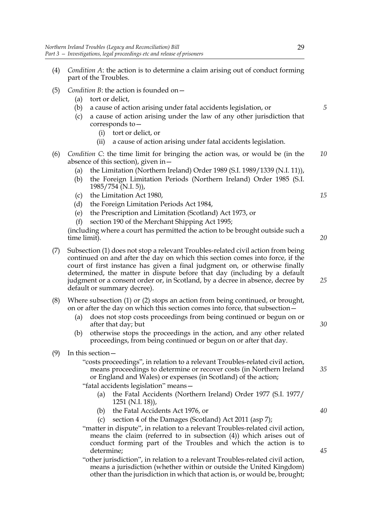- (4) *Condition A*: the action is to determine a claim arising out of conduct forming part of the Troubles.
- (5) *Condition B*: the action is founded on—
	- (a) tort or delict,
	- (b) a cause of action arising under fatal accidents legislation, or
	- (c) a cause of action arising under the law of any other jurisdiction that corresponds to—
		- (i) tort or delict, or
		- (ii) a cause of action arising under fatal accidents legislation.
- (6) *Condition C*: the time limit for bringing the action was, or would be (in the absence of this section), given in— *10*
	- (a) the Limitation (Northern Ireland) Order 1989 (S.I. 1989/1339 (N.I. 11)),
	- (b) the Foreign Limitation Periods (Northern Ireland) Order 1985 (S.I. 1985/754 (N.I. 5)),
	- (c) the Limitation Act 1980,
	- (d) the Foreign Limitation Periods Act 1984,
	- (e) the Prescription and Limitation (Scotland) Act 1973, or
	- (f) section 190 of the Merchant Shipping Act 1995;

(including where a court has permitted the action to be brought outside such a time limit).

- (7) Subsection (1) does not stop a relevant Troubles-related civil action from being continued on and after the day on which this section comes into force, if the court of first instance has given a final judgment on, or otherwise finally determined, the matter in dispute before that day (including by a default judgment or a consent order or, in Scotland, by a decree in absence, decree by default or summary decree).
- (8) Where subsection (1) or (2) stops an action from being continued, or brought, on or after the day on which this section comes into force, that subsection—
	- (a) does not stop costs proceedings from being continued or begun on or after that day; but
	- (b) otherwise stops the proceedings in the action, and any other related proceedings, from being continued or begun on or after that day.
- (9) In this section—

"costs proceedings", in relation to a relevant Troubles-related civil action, means proceedings to determine or recover costs (in Northern Ireland or England and Wales) or expenses (in Scotland) of the action;

"fatal accidents legislation" means—

- (a) the Fatal Accidents (Northern Ireland) Order 1977 (S.I. 1977/ 1251 (N.I. 18)),
- (b) the Fatal Accidents Act 1976, or
- (c) section 4 of the Damages (Scotland) Act 2011 (asp 7);
- "matter in dispute", in relation to a relevant Troubles-related civil action, means the claim (referred to in subsection (4)) which arises out of conduct forming part of the Troubles and which the action is to determine;

"other jurisdiction", in relation to a relevant Troubles-related civil action, means a jurisdiction (whether within or outside the United Kingdom) other than the jurisdiction in which that action is, or would be, brought;

*15*

*5*



*20*

*25*

*30*

*35*

*45*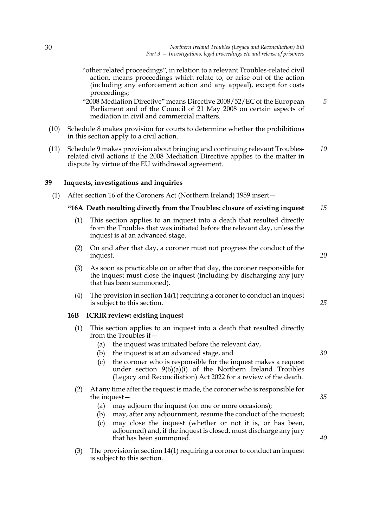- "other related proceedings", in relation to a relevant Troubles-related civil action, means proceedings which relate to, or arise out of the action (including any enforcement action and any appeal), except for costs proceedings;
- "2008 Mediation Directive" means Directive 2008/52/EC of the European Parliament and of the Council of 21 May 2008 on certain aspects of mediation in civil and commercial matters. *5*
- (10) Schedule 8 makes provision for courts to determine whether the prohibitions in this section apply to a civil action.
- (11) Schedule 9 makes provision about bringing and continuing relevant Troublesrelated civil actions if the 2008 Mediation Directive applies to the matter in dispute by virtue of the EU withdrawal agreement. *10*

#### **39 Inquests, investigations and inquiries**

(1) After section 16 of the Coroners Act (Northern Ireland) 1959 insert—

#### **"16A Death resulting directly from the Troubles: closure of existing inquest** *15*

- (1) This section applies to an inquest into a death that resulted directly from the Troubles that was initiated before the relevant day, unless the inquest is at an advanced stage.
- (2) On and after that day, a coroner must not progress the conduct of the inquest.
- (3) As soon as practicable on or after that day, the coroner responsible for the inquest must close the inquest (including by discharging any jury that has been summoned).
- (4) The provision in section 14(1) requiring a coroner to conduct an inquest is subject to this section.

#### **16B ICRIR review: existing inquest**

- (1) This section applies to an inquest into a death that resulted directly from the Troubles if—
	- (a) the inquest was initiated before the relevant day,
	- (b) the inquest is at an advanced stage, and
	- (c) the coroner who is responsible for the inquest makes a request under section 9(6)(a)(i) of the Northern Ireland Troubles (Legacy and Reconciliation) Act 2022 for a review of the death.
- (2) At any time after the request is made, the coroner who is responsible for the inquest—
	- (a) may adjourn the inquest (on one or more occasions);
	- (b) may, after any adjournment, resume the conduct of the inquest;
	- (c) may close the inquest (whether or not it is, or has been, adjourned) and, if the inquest is closed, must discharge any jury that has been summoned.
- (3) The provision in section 14(1) requiring a coroner to conduct an inquest is subject to this section.

*20*

*25*

*30*

*35*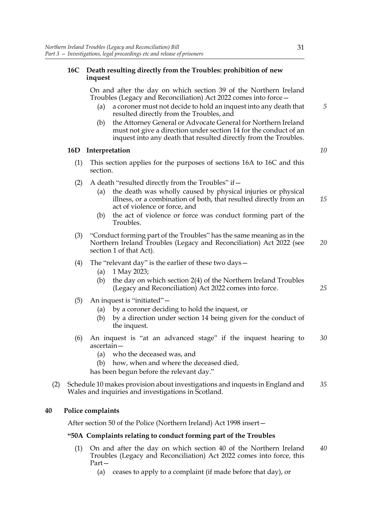# **16C Death resulting directly from the Troubles: prohibition of new inquest**

On and after the day on which section 39 of the Northern Ireland Troubles (Legacy and Reconciliation) Act 2022 comes into force—

- (a) a coroner must not decide to hold an inquest into any death that resulted directly from the Troubles, and
- (b) the Attorney General or Advocate General for Northern Ireland must not give a direction under section 14 for the conduct of an inquest into any death that resulted directly from the Troubles.

# **16D Interpretation**

- (1) This section applies for the purposes of sections 16A to 16C and this section.
- (2) A death "resulted directly from the Troubles" if  $-$ 
	- (a) the death was wholly caused by physical injuries or physical illness, or a combination of both, that resulted directly from an act of violence or force, and
	- (b) the act of violence or force was conduct forming part of the Troubles.
- (3) "Conduct forming part of the Troubles" has the same meaning as in the Northern Ireland Troubles (Legacy and Reconciliation) Act 2022 (see section 1 of that Act). *20*
- (4) The "relevant day" is the earlier of these two days—
	- (a) 1 May 2023;
	- (b) the day on which section 2(4) of the Northern Ireland Troubles (Legacy and Reconciliation) Act 2022 comes into force.
- (5) An inquest is "initiated"—
	- (a) by a coroner deciding to hold the inquest, or
	- (b) by a direction under section 14 being given for the conduct of the inquest.
- (6) An inquest is "at an advanced stage" if the inquest hearing to ascertain— *30*
	- (a) who the deceased was, and
	- (b) how, when and where the deceased died,
	- has been begun before the relevant day."
- (2) Schedule 10 makes provision about investigations and inquests in England and Wales and inquiries and investigations in Scotland. *35*

# **40 Police complaints**

After section 50 of the Police (Northern Ireland) Act 1998 insert—

# **"50A Complaints relating to conduct forming part of the Troubles**

- (1) On and after the day on which section 40 of the Northern Ireland Troubles (Legacy and Reconciliation) Act 2022 comes into force, this Part— *40*
	- (a) ceases to apply to a complaint (if made before that day), or

*5*

*10*

*15*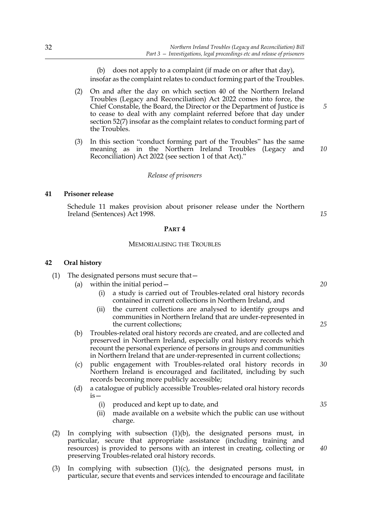(b) does not apply to a complaint (if made on or after that day), insofar as the complaint relates to conduct forming part of the Troubles.

- (2) On and after the day on which section 40 of the Northern Ireland Troubles (Legacy and Reconciliation) Act 2022 comes into force, the Chief Constable, the Board, the Director or the Department of Justice is to cease to deal with any complaint referred before that day under section 52(7) insofar as the complaint relates to conduct forming part of the Troubles.
- (3) In this section "conduct forming part of the Troubles" has the same meaning as in the Northern Ireland Troubles (Legacy and Reconciliation) Act 2022 (see section 1 of that Act)." *10*

#### *Release of prisoners*

#### **41 Prisoner release**

Schedule 11 makes provision about prisoner release under the Northern Ireland (Sentences) Act 1998.

#### **PART 4**

### MEMORIALISING THE TROUBLES

#### **42 Oral history**

- (1) The designated persons must secure that—
	- (a) within the initial period—
		- (i) a study is carried out of Troubles-related oral history records contained in current collections in Northern Ireland, and
		- (ii) the current collections are analysed to identify groups and communities in Northern Ireland that are under-represented in the current collections;
	- (b) Troubles-related oral history records are created, and are collected and preserved in Northern Ireland, especially oral history records which recount the personal experience of persons in groups and communities in Northern Ireland that are under-represented in current collections;
	- (c) public engagement with Troubles-related oral history records in Northern Ireland is encouraged and facilitated, including by such records becoming more publicly accessible;
	- (d) a catalogue of publicly accessible Troubles-related oral history records is—
		- (i) produced and kept up to date, and
		- (ii) made available on a website which the public can use without charge.
- (2) In complying with subsection (1)(b), the designated persons must, in particular, secure that appropriate assistance (including training and resources) is provided to persons with an interest in creating, collecting or preserving Troubles-related oral history records.
- (3) In complying with subsection  $(1)(c)$ , the designated persons must, in particular, secure that events and services intended to encourage and facilitate

*15*

*5*

*25*

*20*

*30*

*35*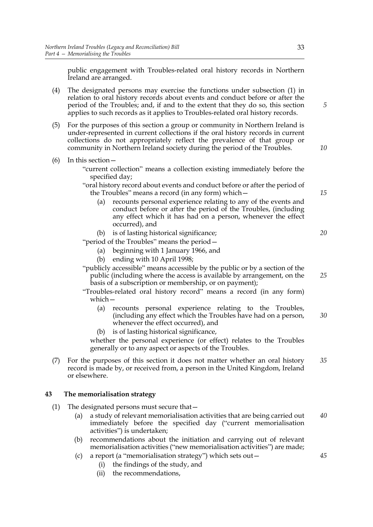public engagement with Troubles-related oral history records in Northern Ireland are arranged.

- (4) The designated persons may exercise the functions under subsection (1) in relation to oral history records about events and conduct before or after the period of the Troubles; and, if and to the extent that they do so, this section applies to such records as it applies to Troubles-related oral history records.
- (5) For the purposes of this section a group or community in Northern Ireland is under-represented in current collections if the oral history records in current collections do not appropriately reflect the prevalence of that group or community in Northern Ireland society during the period of the Troubles.
- (6) In this section—

"current collection" means a collection existing immediately before the specified day;

- "oral history record about events and conduct before or after the period of the Troubles" means a record (in any form) which—
	- (a) recounts personal experience relating to any of the events and conduct before or after the period of the Troubles, (including any effect which it has had on a person, whenever the effect occurred), and
	- (b) is of lasting historical significance;

"period of the Troubles" means the period—

- (a) beginning with 1 January 1966, and
- (b) ending with 10 April 1998;

"publicly accessible" means accessible by the public or by a section of the public (including where the access is available by arrangement, on the basis of a subscription or membership, or on payment);

- "Troubles-related oral history record" means a record (in any form) which—
	- (a) recounts personal experience relating to the Troubles, (including any effect which the Troubles have had on a person, whenever the effect occurred), and *30*
	- (b) is of lasting historical significance,

whether the personal experience (or effect) relates to the Troubles generally or to any aspect or aspects of the Troubles.

(7) For the purposes of this section it does not matter whether an oral history record is made by, or received from, a person in the United Kingdom, Ireland or elsewhere. *35*

# **43 The memorialisation strategy**

- (1) The designated persons must secure that—
	- (a) a study of relevant memorialisation activities that are being carried out immediately before the specified day ("current memorialisation activities") is undertaken; *40*
	- (b) recommendations about the initiation and carrying out of relevant memorialisation activities ("new memorialisation activities") are made;
	- (c) a report (a "memorialisation strategy") which sets out—
		- (i) the findings of the study, and
		- (ii) the recommendations,

*15*

*20*

*25*

*45*

*10*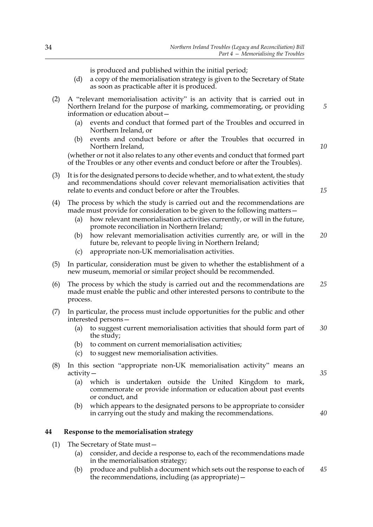is produced and published within the initial period;

- (d) a copy of the memorialisation strategy is given to the Secretary of State as soon as practicable after it is produced.
- (2) A "relevant memorialisation activity" is an activity that is carried out in Northern Ireland for the purpose of marking, commemorating, or providing information or education about—
	- (a) events and conduct that formed part of the Troubles and occurred in Northern Ireland, or
	- (b) events and conduct before or after the Troubles that occurred in Northern Ireland,

(whether or not it also relates to any other events and conduct that formed part of the Troubles or any other events and conduct before or after the Troubles).

- (3) It is for the designated persons to decide whether, and to what extent, the study and recommendations should cover relevant memorialisation activities that relate to events and conduct before or after the Troubles.
- (4) The process by which the study is carried out and the recommendations are made must provide for consideration to be given to the following matters—
	- (a) how relevant memorialisation activities currently, or will in the future, promote reconciliation in Northern Ireland;
	- (b) how relevant memorialisation activities currently are, or will in the future be, relevant to people living in Northern Ireland; *20*
	- (c) appropriate non-UK memorialisation activities.
- (5) In particular, consideration must be given to whether the establishment of a new museum, memorial or similar project should be recommended.
- (6) The process by which the study is carried out and the recommendations are made must enable the public and other interested persons to contribute to the process. *25*
- (7) In particular, the process must include opportunities for the public and other interested persons—
	- (a) to suggest current memorialisation activities that should form part of the study; *30*
	- (b) to comment on current memorialisation activities;
	- (c) to suggest new memorialisation activities.
- (8) In this section "appropriate non-UK memorialisation activity" means an activity—
	- (a) which is undertaken outside the United Kingdom to mark, commemorate or provide information or education about past events or conduct, and
	- (b) which appears to the designated persons to be appropriate to consider in carrying out the study and making the recommendations.

# **44 Response to the memorialisation strategy**

- (1) The Secretary of State must—
	- (a) consider, and decide a response to, each of the recommendations made in the memorialisation strategy;
	- (b) produce and publish a document which sets out the response to each of the recommendations, including (as appropriate)— *45*

*15*

*35*

*40*

*10*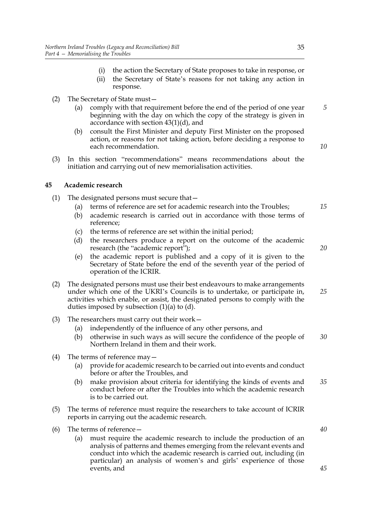- (i) the action the Secretary of State proposes to take in response, or
- (ii) the Secretary of State's reasons for not taking any action in response.
- (2) The Secretary of State must—
	- (a) comply with that requirement before the end of the period of one year beginning with the day on which the copy of the strategy is given in accordance with section 43(1)(d), and
	- (b) consult the First Minister and deputy First Minister on the proposed action, or reasons for not taking action, before deciding a response to each recommendation.
- (3) In this section "recommendations" means recommendations about the initiation and carrying out of new memorialisation activities.

# **45 Academic research**

- (1) The designated persons must secure that—
	- (a) terms of reference are set for academic research into the Troubles;
	- (b) academic research is carried out in accordance with those terms of reference;
	- (c) the terms of reference are set within the initial period;
	- (d) the researchers produce a report on the outcome of the academic research (the "academic report");
	- (e) the academic report is published and a copy of it is given to the Secretary of State before the end of the seventh year of the period of operation of the ICRIR.
- (2) The designated persons must use their best endeavours to make arrangements under which one of the UKRI's Councils is to undertake, or participate in, activities which enable, or assist, the designated persons to comply with the duties imposed by subsection  $(1)(a)$  to  $(d)$ . *25*
- (3) The researchers must carry out their work—
	- (a) independently of the influence of any other persons, and
	- (b) otherwise in such ways as will secure the confidence of the people of Northern Ireland in them and their work. *30*
- (4) The terms of reference may—
	- (a) provide for academic research to be carried out into events and conduct before or after the Troubles, and
	- (b) make provision about criteria for identifying the kinds of events and conduct before or after the Troubles into which the academic research is to be carried out. *35*
- (5) The terms of reference must require the researchers to take account of ICRIR reports in carrying out the academic research.
- (6) The terms of reference—
	- (a) must require the academic research to include the production of an analysis of patterns and themes emerging from the relevant events and conduct into which the academic research is carried out, including (in particular) an analysis of women's and girls' experience of those events, and

*40*

*45*

*15*

*5*

*10*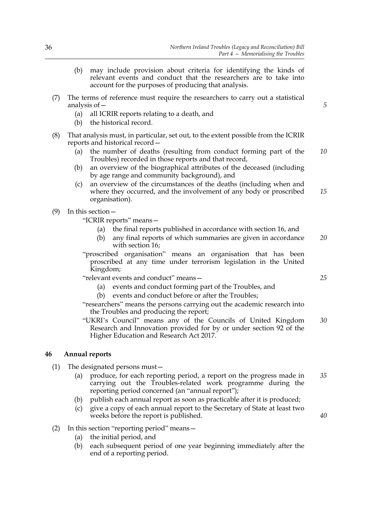- (b) may include provision about criteria for identifying the kinds of relevant events and conduct that the researchers are to take into account for the purposes of producing that analysis.
- (7) The terms of reference must require the researchers to carry out a statistical analysis of—
	- (a) all ICRIR reports relating to a death, and
	- (b) the historical record.
- (8) That analysis must, in particular, set out, to the extent possible from the ICRIR reports and historical record—
	- (a) the number of deaths (resulting from conduct forming part of the Troubles) recorded in those reports and that record, *10*
	- (b) an overview of the biographical attributes of the deceased (including by age range and community background), and
	- (c) an overview of the circumstances of the deaths (including when and where they occurred, and the involvement of any body or proscribed organisation). *15*
- (9) In this section—

"ICRIR reports" means—

- (a) the final reports published in accordance with section 16, and
- (b) any final reports of which summaries are given in accordance with section 16; *20*
- "proscribed organisation" means an organisation that has been proscribed at any time under terrorism legislation in the United Kingdom;

"relevant events and conduct" means—

- (a) events and conduct forming part of the Troubles, and
- (b) events and conduct before or after the Troubles;

"researchers" means the persons carrying out the academic research into the Troubles and producing the report;

"UKRI's Council" means any of the Councils of United Kingdom Research and Innovation provided for by or under section 92 of the Higher Education and Research Act 2017. *30*

# **46 Annual reports**

- (1) The designated persons must—
	- (a) produce, for each reporting period, a report on the progress made in carrying out the Troubles-related work programme during the reporting period concerned (an "annual report"); *35*
	- (b) publish each annual report as soon as practicable after it is produced;
	- (c) give a copy of each annual report to the Secretary of State at least two weeks before the report is published.
- (2) In this section "reporting period" means—
	- (a) the initial period, and
	- (b) each subsequent period of one year beginning immediately after the end of a reporting period.

*25*

*40*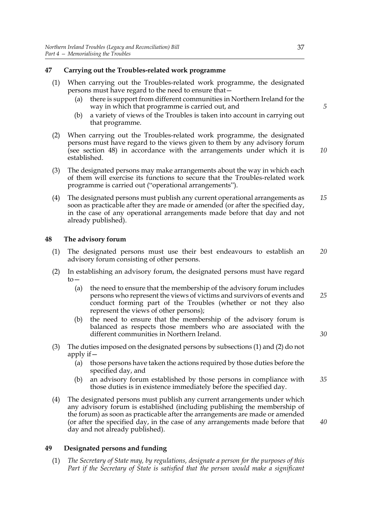# **47 Carrying out the Troubles-related work programme**

- (1) When carrying out the Troubles-related work programme, the designated persons must have regard to the need to ensure that—
	- (a) there is support from different communities in Northern Ireland for the way in which that programme is carried out, and
	- (b) a variety of views of the Troubles is taken into account in carrying out that programme.
- (2) When carrying out the Troubles-related work programme, the designated persons must have regard to the views given to them by any advisory forum (see section 48) in accordance with the arrangements under which it is established.
- (3) The designated persons may make arrangements about the way in which each of them will exercise its functions to secure that the Troubles-related work programme is carried out ("operational arrangements").
- (4) The designated persons must publish any current operational arrangements as soon as practicable after they are made or amended (or after the specified day, in the case of any operational arrangements made before that day and not already published). *15*

#### **48 The advisory forum**

- (1) The designated persons must use their best endeavours to establish an advisory forum consisting of other persons. *20*
- (2) In establishing an advisory forum, the designated persons must have regard  $to-$ 
	- (a) the need to ensure that the membership of the advisory forum includes persons who represent the views of victims and survivors of events and conduct forming part of the Troubles (whether or not they also represent the views of other persons);
	- (b) the need to ensure that the membership of the advisory forum is balanced as respects those members who are associated with the different communities in Northern Ireland.
- (3) The duties imposed on the designated persons by subsections (1) and (2) do not apply if—
	- (a) those persons have taken the actions required by those duties before the specified day, and
	- (b) an advisory forum established by those persons in compliance with those duties is in existence immediately before the specified day. *35*
- (4) The designated persons must publish any current arrangements under which any advisory forum is established (including publishing the membership of the forum) as soon as practicable after the arrangements are made or amended (or after the specified day, in the case of any arrangements made before that day and not already published).

# **49 Designated persons and funding**

(1) *The Secretary of State may, by regulations, designate a person for the purposes of this Part if the Secretary of State is satisfied that the person would make a significant* *5*

*10*

*25*

*30*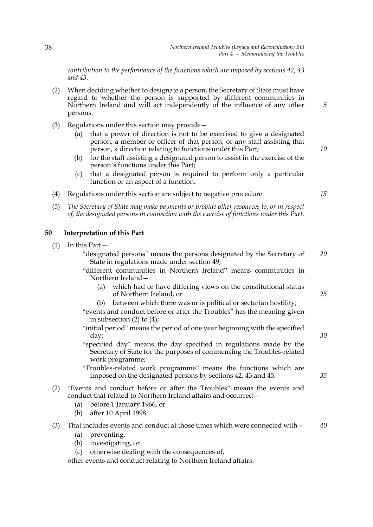*contribution to the performance of the functions which are imposed by sections 42, 43 and 45.*

- (2) When deciding whether to designate a person, the Secretary of State must have regard to whether the person is supported by different communities in Northern Ireland and will act independently of the influence of any other persons.
- (3) Regulations under this section may provide—
	- (a) that a power of direction is not to be exercised to give a designated person, a member or officer of that person, or any staff assisting that person, a direction relating to functions under this Part;
	- (b) for the staff assisting a designated person to assist in the exercise of the person's functions under this Part;
	- (c) that a designated person is required to perform only a particular function or an aspect of a function.
- (4) Regulations under this section are subject to negative procedure.
- (5) *The Secretary of State may make payments or provide other resources to, or in respect of, the designated persons in connection with the exercise of functions under this Part.*

# **50 Interpretation of this Part**

- (1) In this Part—
	- "designated persons" means the persons designated by the Secretary of State in regulations made under section 49; *20*
	- "different communities in Northern Ireland" means communities in Northern Ireland—
		- (a) which had or have differing views on the constitutional status of Northern Ireland, or
		- (b) between which there was or is political or sectarian hostility;
	- "events and conduct before or after the Troubles" has the meaning given in subsection (2) to (4);
	- "initial period" means the period of one year beginning with the specified day;
	- "specified day" means the day specified in regulations made by the Secretary of State for the purposes of commencing the Troubles-related work programme;
	- "Troubles-related work programme" means the functions which are imposed on the designated persons by sections 42, 43 and 45.
- (2) "Events and conduct before or after the Troubles" means the events and conduct that related to Northern Ireland affairs and occurred—
	- (a) before 1 January 1966, or
	- (b) after 10 April 1998.

#### (3) That includes events and conduct at those times which were connected with— *40*

- (a) preventing,
- (b) investigating, or
- (c) otherwise dealing with the consequences of,

other events and conduct relating to Northern Ireland affairs.

*15*

*25*

*30*

*35*

*10*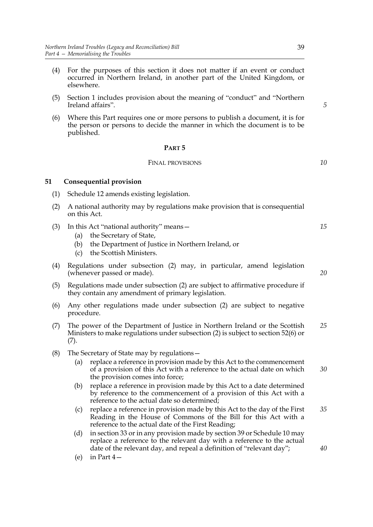- (4) For the purposes of this section it does not matter if an event or conduct occurred in Northern Ireland, in another part of the United Kingdom, or elsewhere.
- (5) Section 1 includes provision about the meaning of "conduct" and "Northern Ireland affairs".
- (6) Where this Part requires one or more persons to publish a document, it is for the person or persons to decide the manner in which the document is to be published.

#### **PART 5**

#### FINAL PROVISIONS

#### **51 Consequential provision**

- (1) Schedule 12 amends existing legislation.
- (2) A national authority may by regulations make provision that is consequential on this Act.
- (3) In this Act "national authority" means—
	- (a) the Secretary of State,
	- (b) the Department of Justice in Northern Ireland, or
	- (c) the Scottish Ministers.
- (4) Regulations under subsection (2) may, in particular, amend legislation (whenever passed or made).
- (5) Regulations made under subsection (2) are subject to affirmative procedure if they contain any amendment of primary legislation.
- (6) Any other regulations made under subsection (2) are subject to negative procedure.
- (7) The power of the Department of Justice in Northern Ireland or the Scottish Ministers to make regulations under subsection (2) is subject to section 52(6) or (7). *25*
- (8) The Secretary of State may by regulations—
	- (a) replace a reference in provision made by this Act to the commencement of a provision of this Act with a reference to the actual date on which the provision comes into force; *30*
	- (b) replace a reference in provision made by this Act to a date determined by reference to the commencement of a provision of this Act with a reference to the actual date so determined;
	- (c) replace a reference in provision made by this Act to the day of the First Reading in the House of Commons of the Bill for this Act with a reference to the actual date of the First Reading;
	- (d) in section 33 or in any provision made by section 39 or Schedule 10 may replace a reference to the relevant day with a reference to the actual date of the relevant day, and repeal a definition of "relevant day";
	- (e) in Part 4—

*20*

*35*

*40*

*15*

*5*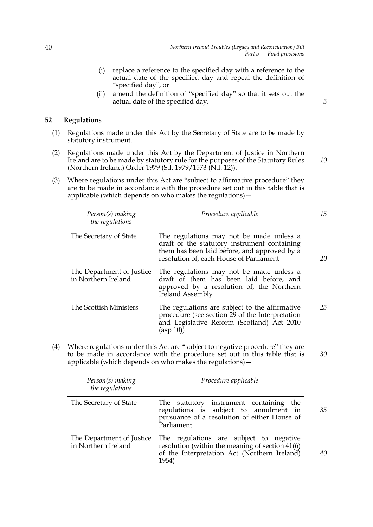- (i) replace a reference to the specified day with a reference to the actual date of the specified day and repeal the definition of "specified day", or
- (ii) amend the definition of "specified day" so that it sets out the actual date of the specified day.

# **52 Regulations**

- (1) Regulations made under this Act by the Secretary of State are to be made by statutory instrument.
- (2) Regulations made under this Act by the Department of Justice in Northern Ireland are to be made by statutory rule for the purposes of the Statutory Rules (Northern Ireland) Order 1979 (S.I. 1979/1573 (N.I. 12)).
- (3) Where regulations under this Act are "subject to affirmative procedure" they are to be made in accordance with the procedure set out in this table that is applicable (which depends on who makes the regulations)—

| Person(s) making<br>the regulations              | Procedure applicable                                                                                                                                                                | 15 |
|--------------------------------------------------|-------------------------------------------------------------------------------------------------------------------------------------------------------------------------------------|----|
| The Secretary of State                           | The regulations may not be made unless a<br>draft of the statutory instrument containing<br>them has been laid before, and approved by a<br>resolution of, each House of Parliament | 20 |
| The Department of Justice<br>in Northern Ireland | The regulations may not be made unless a<br>draft of them has been laid before, and<br>approved by a resolution of, the Northern<br><b>Ireland Assembly</b>                         |    |
| The Scottish Ministers                           | The regulations are subject to the affirmative<br>procedure (see section 29 of the Interpretation<br>and Legislative Reform (Scotland) Act 2010<br>(asp 10)                         | 25 |

(4) Where regulations under this Act are "subject to negative procedure" they are to be made in accordance with the procedure set out in this table that is applicable (which depends on who makes the regulations)—

| Person(s) making<br>the regulations              | Procedure applicable                                                                                                                                |    |
|--------------------------------------------------|-----------------------------------------------------------------------------------------------------------------------------------------------------|----|
| The Secretary of State                           | The statutory instrument containing<br>the<br>regulations is subject to annulment in<br>pursuance of a resolution of either House of<br>Parliament  | 35 |
| The Department of Justice<br>in Northern Ireland | The regulations are subject to negative<br>resolution (within the meaning of section 41(6)<br>of the Interpretation Act (Northern Ireland)<br>1954) | 40 |

*5*

*10*

*30*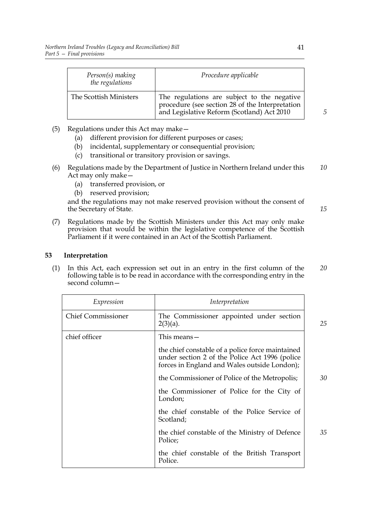| Person(s) making<br>the regulations | Procedure applicable                                                                                                                         |
|-------------------------------------|----------------------------------------------------------------------------------------------------------------------------------------------|
| The Scottish Ministers              | The regulations are subject to the negative<br>procedure (see section 28 of the Interpretation<br>and Legislative Reform (Scotland) Act 2010 |

- (5) Regulations under this Act may make—
	- (a) different provision for different purposes or cases;
	- (b) incidental, supplementary or consequential provision;
	- (c) transitional or transitory provision or savings.
- (6) Regulations made by the Department of Justice in Northern Ireland under this Act may only make— *10*
	- (a) transferred provision, or
	- (b) reserved provision;

and the regulations may not make reserved provision without the consent of the Secretary of State.

(7) Regulations made by the Scottish Ministers under this Act may only make provision that would be within the legislative competence of the Scottish Parliament if it were contained in an Act of the Scottish Parliament.

# **53 Interpretation**

(1) In this Act, each expression set out in an entry in the first column of the following table is to be read in accordance with the corresponding entry in the second column— *20*

| Expression                | Interpretation                                                                                                                                     |    |
|---------------------------|----------------------------------------------------------------------------------------------------------------------------------------------------|----|
| <b>Chief Commissioner</b> | The Commissioner appointed under section<br>$2(3)(a)$ .                                                                                            | 25 |
| chief officer             | This means —                                                                                                                                       |    |
|                           | the chief constable of a police force maintained<br>under section 2 of the Police Act 1996 (police<br>forces in England and Wales outside London); |    |
|                           | the Commissioner of Police of the Metropolis;                                                                                                      | 30 |
|                           | the Commissioner of Police for the City of<br>London;                                                                                              |    |
|                           | the chief constable of the Police Service of<br>Scotland;                                                                                          |    |
|                           | the chief constable of the Ministry of Defence<br>Police;                                                                                          | 35 |
|                           | the chief constable of the British Transport<br>Police.                                                                                            |    |

*5*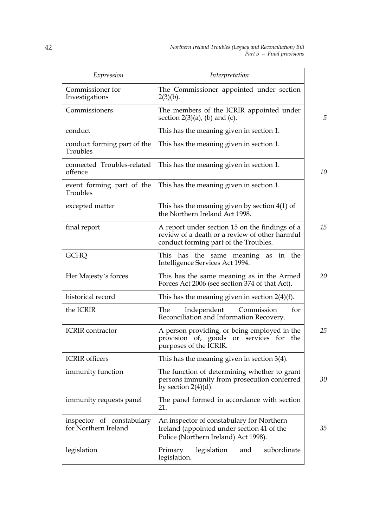| Expression                                        | Interpretation                                                                                                                            |  |  |  |
|---------------------------------------------------|-------------------------------------------------------------------------------------------------------------------------------------------|--|--|--|
| Commissioner for<br>Investigations                | The Commissioner appointed under section<br>$2(3)(b)$ .                                                                                   |  |  |  |
| Commissioners                                     | The members of the ICRIR appointed under<br>section $2(3)(a)$ , (b) and (c).                                                              |  |  |  |
| conduct                                           | This has the meaning given in section 1.                                                                                                  |  |  |  |
| conduct forming part of the<br>Troubles           | This has the meaning given in section 1.                                                                                                  |  |  |  |
| connected Troubles-related<br>offence             | This has the meaning given in section 1.                                                                                                  |  |  |  |
| event forming part of the<br>Troubles             | This has the meaning given in section 1.                                                                                                  |  |  |  |
| excepted matter                                   | This has the meaning given by section $4(1)$ of<br>the Northern Ireland Act 1998.                                                         |  |  |  |
| final report                                      | A report under section 15 on the findings of a<br>review of a death or a review of other harmful<br>conduct forming part of the Troubles. |  |  |  |
| <b>GCHQ</b>                                       | the<br>has<br>the same meaning as<br>This<br>in<br>Intelligence Services Act 1994.                                                        |  |  |  |
| Her Majesty's forces                              | This has the same meaning as in the Armed<br>Forces Act 2006 (see section 374 of that Act).                                               |  |  |  |
| historical record                                 | This has the meaning given in section $2(4)(f)$ .                                                                                         |  |  |  |
| the ICRIR                                         | The<br>Commission<br>for<br>Independent<br>Reconciliation and Information Recovery.                                                       |  |  |  |
| <b>ICRIR</b> contractor                           | A person providing, or being employed in the<br>provision of, goods or services for<br>the<br>purposes of the ICRIR.                      |  |  |  |
| <b>ICRIR</b> officers                             | This has the meaning given in section $3(4)$ .                                                                                            |  |  |  |
| immunity function                                 | The function of determining whether to grant<br>persons immunity from prosecution conferred<br>by section $2(4)(d)$ .                     |  |  |  |
| immunity requests panel                           | The panel formed in accordance with section<br>21.                                                                                        |  |  |  |
| inspector of constabulary<br>for Northern Ireland | An inspector of constabulary for Northern<br>Ireland (appointed under section 41 of the<br>Police (Northern Ireland) Act 1998).           |  |  |  |
| legislation                                       | subordinate<br>legislation<br>Primary<br>and<br>legislation.                                                                              |  |  |  |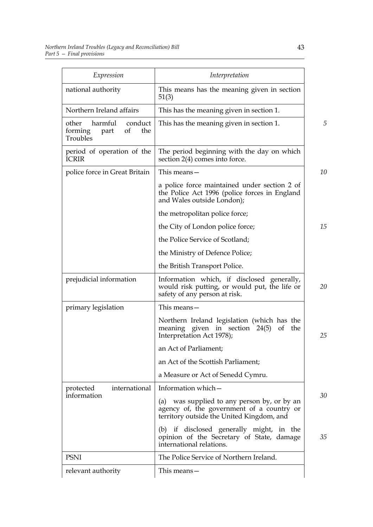| Expression                                                              | Interpretation                                                                                                                           |  |
|-------------------------------------------------------------------------|------------------------------------------------------------------------------------------------------------------------------------------|--|
| national authority                                                      | This means has the meaning given in section<br>51(3)                                                                                     |  |
| Northern Ireland affairs                                                | This has the meaning given in section 1.                                                                                                 |  |
| harmful<br>other<br>conduct<br>of<br>the<br>forming<br>part<br>Troubles | This has the meaning given in section 1.                                                                                                 |  |
| period of operation of the<br><b>ICRIR</b>                              | The period beginning with the day on which<br>section 2(4) comes into force.                                                             |  |
| police force in Great Britain                                           | This means $-$                                                                                                                           |  |
|                                                                         | a police force maintained under section 2 of<br>the Police Act 1996 (police forces in England<br>and Wales outside London);              |  |
|                                                                         | the metropolitan police force;                                                                                                           |  |
|                                                                         | the City of London police force;                                                                                                         |  |
|                                                                         | the Police Service of Scotland;                                                                                                          |  |
|                                                                         | the Ministry of Defence Police;                                                                                                          |  |
|                                                                         | the British Transport Police.                                                                                                            |  |
| prejudicial information                                                 | Information which, if disclosed generally,<br>would risk putting, or would put, the life or<br>safety of any person at risk.             |  |
| primary legislation                                                     | This means-                                                                                                                              |  |
|                                                                         | Northern Ireland legislation (which has the<br>meaning given in section 24(5)<br>of the<br>Interpretation Act 1978);                     |  |
|                                                                         | an Act of Parliament;                                                                                                                    |  |
|                                                                         | an Act of the Scottish Parliament;                                                                                                       |  |
|                                                                         | a Measure or Act of Senedd Cymru.                                                                                                        |  |
| international<br>protected                                              | Information which -                                                                                                                      |  |
| information                                                             | was supplied to any person by, or by an<br>(a)<br>agency of, the government of a country or<br>territory outside the United Kingdom, and |  |
|                                                                         | (b) if disclosed generally might, in the<br>opinion of the Secretary of State, damage<br>international relations.                        |  |
| <b>PSNI</b>                                                             | The Police Service of Northern Ireland.                                                                                                  |  |
| relevant authority                                                      | This means—                                                                                                                              |  |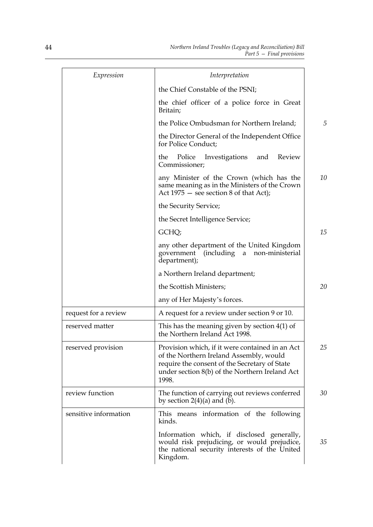| Expression            | Interpretation                                                                                                                                                                                         |    |
|-----------------------|--------------------------------------------------------------------------------------------------------------------------------------------------------------------------------------------------------|----|
|                       | the Chief Constable of the PSNI;                                                                                                                                                                       |    |
|                       | the chief officer of a police force in Great<br>Britain;                                                                                                                                               |    |
|                       | the Police Ombudsman for Northern Ireland;                                                                                                                                                             | 5  |
|                       | the Director General of the Independent Office<br>for Police Conduct;                                                                                                                                  |    |
|                       | Police<br>Investigations<br>Review<br>the<br>and<br>Commissioner;                                                                                                                                      |    |
|                       | any Minister of the Crown (which has the<br>same meaning as in the Ministers of the Crown<br>Act $1975$ – see section 8 of that Act);                                                                  | 10 |
|                       | the Security Service;                                                                                                                                                                                  |    |
|                       | the Secret Intelligence Service;                                                                                                                                                                       |    |
|                       | GCHQ;                                                                                                                                                                                                  | 15 |
|                       | any other department of the United Kingdom<br>(including<br>government<br>a<br>non-ministerial<br>department);                                                                                         |    |
|                       | a Northern Ireland department;                                                                                                                                                                         |    |
|                       | the Scottish Ministers;                                                                                                                                                                                | 20 |
|                       | any of Her Majesty's forces.                                                                                                                                                                           |    |
| request for a review  | A request for a review under section 9 or 10.                                                                                                                                                          |    |
| reserved matter       | This has the meaning given by section $4(1)$ of<br>the Northern Ireland Act 1998.                                                                                                                      |    |
| reserved provision    | Provision which, if it were contained in an Act<br>of the Northern Ireland Assembly, would<br>require the consent of the Secretary of State<br>under section 8(b) of the Northern Ireland Act<br>1998. | 25 |
| review function       | The function of carrying out reviews conferred<br>by section $2(4)(a)$ and (b).                                                                                                                        | 30 |
| sensitive information | This means information of the following<br>kinds.                                                                                                                                                      |    |
|                       | Information which, if disclosed generally,<br>would risk prejudicing, or would prejudice,<br>the national security interests of the United<br>Kingdom.                                                 | 35 |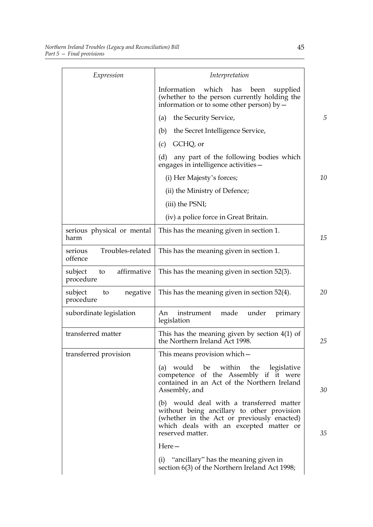| Expression                                | Interpretation                                                                                                                                                                                     |    |
|-------------------------------------------|----------------------------------------------------------------------------------------------------------------------------------------------------------------------------------------------------|----|
|                                           | Information<br>which<br>has<br>been<br>supplied<br>(whether to the person currently holding the<br>information or to some other person) by $-$                                                     |    |
|                                           | the Security Service,<br>(a)                                                                                                                                                                       | 5  |
|                                           | the Secret Intelligence Service,<br>(b)                                                                                                                                                            |    |
|                                           | GCHQ, or<br>(c)                                                                                                                                                                                    |    |
|                                           | (d)<br>any part of the following bodies which<br>engages in intelligence activities-                                                                                                               |    |
|                                           | (i) Her Majesty's forces;                                                                                                                                                                          | 10 |
|                                           | (ii) the Ministry of Defence;                                                                                                                                                                      |    |
|                                           | (iii) the PSNI;                                                                                                                                                                                    |    |
|                                           | (iv) a police force in Great Britain.                                                                                                                                                              |    |
| serious physical or mental<br>harm        | This has the meaning given in section 1.                                                                                                                                                           | 15 |
| Troubles-related<br>serious<br>offence    | This has the meaning given in section 1.                                                                                                                                                           |    |
| affirmative<br>subject<br>to<br>procedure | This has the meaning given in section 52(3).                                                                                                                                                       |    |
| subject<br>negative<br>to<br>procedure    | This has the meaning given in section 52(4).                                                                                                                                                       | 20 |
| subordinate legislation                   | made<br>under<br>instrument<br>primary<br>An<br>legislation                                                                                                                                        |    |
| transferred matter                        | This has the meaning given by section $4(1)$ of<br>the Northern Ireland Act 1998.                                                                                                                  | 25 |
| transferred provision                     | This means provision which –                                                                                                                                                                       |    |
|                                           | (a) would be within the legislative<br>competence of the Assembly if it were<br>contained in an Act of the Northern Ireland<br>Assembly, and                                                       | 30 |
|                                           | (b) would deal with a transferred matter<br>without being ancillary to other provision<br>(whether in the Act or previously enacted)<br>which deals with an excepted matter or<br>reserved matter. | 35 |
|                                           | Here-                                                                                                                                                                                              |    |
|                                           | (i) "ancillary" has the meaning given in<br>section 6(3) of the Northern Ireland Act 1998;                                                                                                         |    |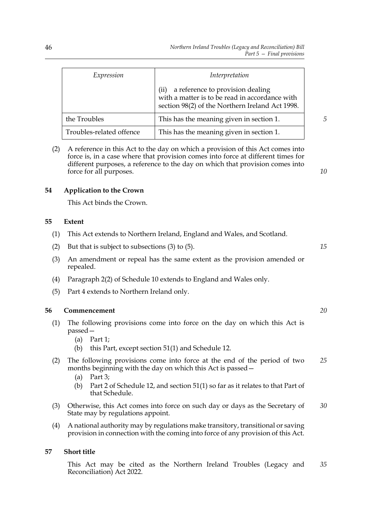| Expression               | Interpretation                                                                                                                                |
|--------------------------|-----------------------------------------------------------------------------------------------------------------------------------------------|
|                          | a reference to provision dealing<br>(ii)<br>with a matter is to be read in accordance with<br>section 98(2) of the Northern Ireland Act 1998. |
| the Troubles             | This has the meaning given in section 1.                                                                                                      |
| Troubles-related offence | This has the meaning given in section 1.                                                                                                      |

(2) A reference in this Act to the day on which a provision of this Act comes into force is, in a case where that provision comes into force at different times for different purposes, a reference to the day on which that provision comes into force for all purposes.

# **54 Application to the Crown**

This Act binds the Crown.

#### **55 Extent**

- (1) This Act extends to Northern Ireland, England and Wales, and Scotland.
- (2) But that is subject to subsections (3) to (5).
- (3) An amendment or repeal has the same extent as the provision amended or repealed.
- (4) Paragraph 2(2) of Schedule 10 extends to England and Wales only.
- (5) Part 4 extends to Northern Ireland only.

### **56 Commencement**

- (1) The following provisions come into force on the day on which this Act is passed—
	- (a) Part 1;
	- (b) this Part, except section 51(1) and Schedule 12.
- (2) The following provisions come into force at the end of the period of two months beginning with the day on which this Act is passed— *25*
	- (a) Part 3;
	- (b) Part 2 of Schedule 12, and section 51(1) so far as it relates to that Part of that Schedule.
- (3) Otherwise, this Act comes into force on such day or days as the Secretary of State may by regulations appoint. *30*
- (4) A national authority may by regulations make transitory, transitional or saving provision in connection with the coming into force of any provision of this Act.

# **57 Short title**

This Act may be cited as the Northern Ireland Troubles (Legacy and Reconciliation) Act 2022. *35*

*15*

*10*

*5*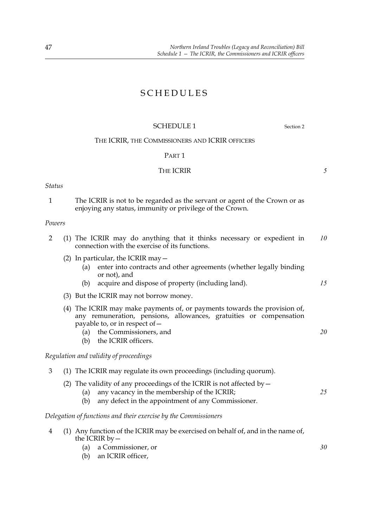# SCHEDULES

# SCHEDULE 1 Section 2

# THE ICRIR, THE COMMISSIONERS AND ICRIR OFFICERS

# PART 1

# THE ICRIR

# *Status*

1 The ICRIR is not to be regarded as the servant or agent of the Crown or as enjoying any status, immunity or privilege of the Crown.

# *Powers*

| (1) The ICRIR may do anything that it thinks necessary or expedient in<br>connection with the exercise of its functions. | 10 |
|--------------------------------------------------------------------------------------------------------------------------|----|
| (2) In particular, the ICRIR may $-$                                                                                     |    |
| enter into contracts and other agreements (whether legally binding<br>(a)<br>or not), and                                |    |
| acquire and dispose of property (including land).<br>(b)                                                                 | 15 |
| (3) But the ICRIR may not borrow money.                                                                                  |    |
| (4) The ICRIR may make payments of, or payments towards the provision of,                                                |    |

- any remuneration, pensions, allowances, gratuities or compensation payable to, or in respect of—
	- (a) the Commissioners, and
	- (b) the ICRIR officers.

# *Regulation and validity of proceedings*

|  | $\sim$ (1) The ICRIR may regulate its own proceedings (including quorum) |  |  |
|--|--------------------------------------------------------------------------|--|--|
|  |                                                                          |  |  |
|  |                                                                          |  |  |

- (2) The validity of any proceedings of the ICRIR is not affected by—
	- (a) any vacancy in the membership of the ICRIR;
	- (b) any defect in the appointment of any Commissioner.

# *Delegation of functions and their exercise by the Commissioners*

- 4 (1) Any function of the ICRIR may be exercised on behalf of, and in the name of, the ICRIR  $bv -$ 
	- (a) a Commissioner, or
	- (b) an ICRIR officer,

*5*

*20*

*25*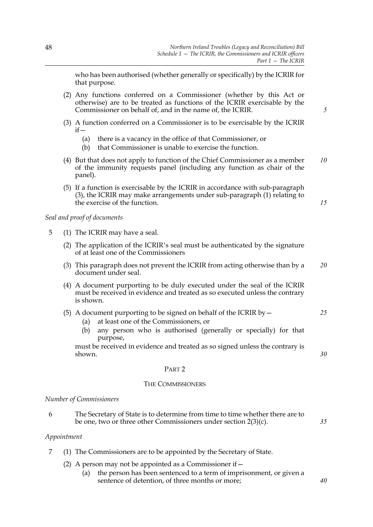who has been authorised (whether generally or specifically) by the ICRIR for that purpose.

- (2) Any functions conferred on a Commissioner (whether by this Act or otherwise) are to be treated as functions of the ICRIR exercisable by the Commissioner on behalf of, and in the name of, the ICRIR.
- (3) A function conferred on a Commissioner is to be exercisable by the ICRIR  $if -$ 
	- (a) there is a vacancy in the office of that Commissioner, or
	- (b) that Commissioner is unable to exercise the function.
- (4) But that does not apply to function of the Chief Commissioner as a member of the immunity requests panel (including any function as chair of the panel). *10*
- (5) If a function is exercisable by the ICRIR in accordance with sub-paragraph (3), the ICRIR may make arrangements under sub-paragraph (1) relating to the exercise of the function.

*Seal and proof of documents*

- 5 (1) The ICRIR may have a seal.
	- (2) The application of the ICRIR's seal must be authenticated by the signature of at least one of the Commissioners
	- (3) This paragraph does not prevent the ICRIR from acting otherwise than by a document under seal. *20*
	- (4) A document purporting to be duly executed under the seal of the ICRIR must be received in evidence and treated as so executed unless the contrary is shown.
	- (5) A document purporting to be signed on behalf of the ICRIR by  $-$ *25*
		- (a) at least one of the Commissioners, or
		- (b) any person who is authorised (generally or specially) for that purpose,

must be received in evidence and treated as so signed unless the contrary is shown.

#### PART 2

#### THE COMMISSIONERS

#### *Number of Commissioners*

6 The Secretary of State is to determine from time to time whether there are to be one, two or three other Commissioners under section 2(3)(c).

#### *Appointment*

- 7 (1) The Commissioners are to be appointed by the Secretary of State.
	- (2) A person may not be appointed as a Commissioner if  $-$ 
		- (a) the person has been sentenced to a term of imprisonment, or given a sentence of detention, of three months or more;

*5*

*15*

*30*

*35*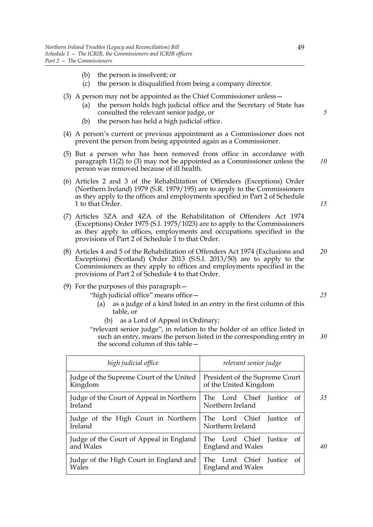- (b) the person is insolvent; or
- (c) the person is disqualified from being a company director.
- (3) A person may not be appointed as the Chief Commissioner unless—
	- (a) the person holds high judicial office and the Secretary of State has consulted the relevant senior judge, or
	- (b) the person has held a high judicial office.
- (4) A person's current or previous appointment as a Commissioner does not prevent the person from being appointed again as a Commissioner.
- (5) But a person who has been removed from office in accordance with paragraph 11(2) to (3) may not be appointed as a Commissioner unless the person was removed because of ill health.
- (6) Articles 2 and 3 of the Rehabilitation of Offenders (Exceptions) Order (Northern Ireland) 1979 (S.R. 1979/195) are to apply to the Commissioners as they apply to the offices and employments specified in Part 2 of Schedule 1 to that Order.
- (7) Articles 3ZA and 4ZA of the Rehabilitation of Offenders Act 1974 (Exceptions) Order 1975 (S.I. 1975/1023) are to apply to the Commissioners as they apply to offices, employments and occupations specified in the provisions of Part 2 of Schedule 1 to that Order.
- (8) Articles 4 and 5 of the Rehabilitation of Offenders Act 1974 (Exclusions and Exceptions) (Scotland) Order 2013 (S.S.I. 2013/50) are to apply to the Commissioners as they apply to offices and employments specified in the provisions of Part 2 of Schedule 4 to that Order. *20*
- (9) For the purposes of this paragraph—
	- "high judicial office" means office—
		- (a) as a judge of a kind listed in an entry in the first column of this table, or
			- (b) as a Lord of Appeal in Ordinary;

"relevant senior judge", in relation to the holder of an office listed in such an entry, means the person listed in the corresponding entry in the second column of this table—

| high judicial office                     | relevant senior judge          |
|------------------------------------------|--------------------------------|
| Judge of the Supreme Court of the United | President of the Supreme Court |
| Kingdom                                  | of the United Kingdom          |
| Judge of the Court of Appeal in Northern | The Lord Chief Justice of      |
| Ireland                                  | Northern Ireland               |
| Judge of the High Court in Northern      | The Lord Chief Justice of      |
| Ireland                                  | Northern Ireland               |
| Judge of the Court of Appeal in England  | The Lord Chief Justice of      |
| and Wales                                | <b>England and Wales</b>       |
| Judge of the High Court in England and   | The Lord Chief Justice of      |
| Wales                                    | <b>England and Wales</b>       |

*15*

*10*

*5*

*25*

*30*

*35*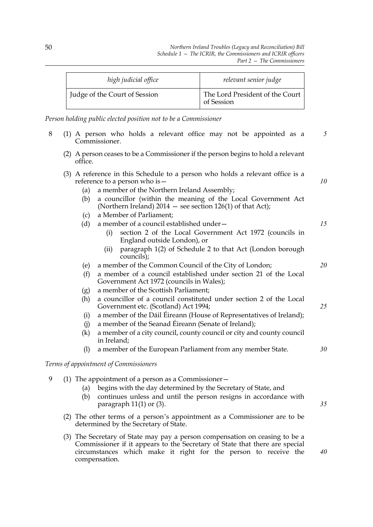| high judicial office          | relevant senior judge                         |
|-------------------------------|-----------------------------------------------|
| Judge of the Court of Session | The Lord President of the Court<br>of Session |

*Person holding public elected position not to be a Commissioner*

- 8 (1) A person who holds a relevant office may not be appointed as a Commissioner. *5*
	- (2) A person ceases to be a Commissioner if the person begins to hold a relevant office.
	- (3) A reference in this Schedule to a person who holds a relevant office is a reference to a person who is—
		- (a) a member of the Northern Ireland Assembly;
		- (b) a councillor (within the meaning of the Local Government Act (Northern Ireland)  $2014$  – see section 126(1) of that Act);
		- (c) a Member of Parliament;
		- (d) a member of a council established under—
			- (i) section 2 of the Local Government Act 1972 (councils in England outside London), or
			- (ii) paragraph 1(2) of Schedule 2 to that Act (London borough councils);
		- (e) a member of the Common Council of the City of London;
		- (f) a member of a council established under section 21 of the Local Government Act 1972 (councils in Wales);
		- (g) a member of the Scottish Parliament;
		- (h) a councillor of a council constituted under section 2 of the Local Government etc. (Scotland) Act 1994;
		- (i) a member of the Dáil Éireann (House of Representatives of Ireland);
		- (j) a member of the Seanad Éireann (Senate of Ireland);
		- (k) a member of a city council, county council or city and county council in Ireland;
		- (l) a member of the European Parliament from any member State. *30*

# *Terms of appointment of Commissioners*

- 9 (1) The appointment of a person as a Commissioner—
	- (a) begins with the day determined by the Secretary of State, and
	- (b) continues unless and until the person resigns in accordance with paragraph 11(1) or (3).
	- (2) The other terms of a person's appointment as a Commissioner are to be determined by the Secretary of State.
	- (3) The Secretary of State may pay a person compensation on ceasing to be a Commissioner if it appears to the Secretary of State that there are special circumstances which make it right for the person to receive the compensation.

*40*

*35*

*10*

*15*

*20*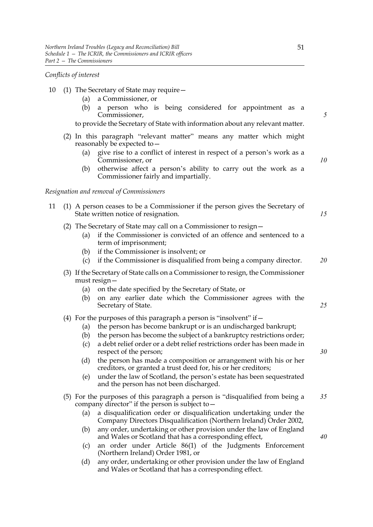# *Conflicts of interest*

- 10 (1) The Secretary of State may require—
	- (a) a Commissioner, or
	- (b) a person who is being considered for appointment as a Commissioner,

to provide the Secretary of State with information about any relevant matter.

- (2) In this paragraph "relevant matter" means any matter which might reasonably be expected to—
	- (a) give rise to a conflict of interest in respect of a person's work as a Commissioner, or
	- (b) otherwise affect a person's ability to carry out the work as a Commissioner fairly and impartially.

### *Resignation and removal of Commissioners*

| 11 (1) A person ceases to be a Commissioner if the person gives the Secretary of |  |
|----------------------------------------------------------------------------------|--|
| State written notice of resignation.                                             |  |

- (2) The Secretary of State may call on a Commissioner to resign—
	- (a) if the Commissioner is convicted of an offence and sentenced to a term of imprisonment;
	- (b) if the Commissioner is insolvent; or
	- (c) if the Commissioner is disqualified from being a company director. *20*
- (3) If the Secretary of State calls on a Commissioner to resign, the Commissioner must resign—
	- (a) on the date specified by the Secretary of State, or
	- (b) on any earlier date which the Commissioner agrees with the Secretary of State. *25*
- (4) For the purposes of this paragraph a person is "insolvent" if  $-$ 
	- (a) the person has become bankrupt or is an undischarged bankrupt;
	- (b) the person has become the subject of a bankruptcy restrictions order;
	- (c) a debt relief order or a debt relief restrictions order has been made in respect of the person;
	- (d) the person has made a composition or arrangement with his or her creditors, or granted a trust deed for, his or her creditors;
	- (e) under the law of Scotland, the person's estate has been sequestrated and the person has not been discharged.
- (5) For the purposes of this paragraph a person is "disqualified from being a company director" if the person is subject to— *35*
	- (a) a disqualification order or disqualification undertaking under the Company Directors Disqualification (Northern Ireland) Order 2002,
	- (b) any order, undertaking or other provision under the law of England and Wales or Scotland that has a corresponding effect,
	- (c) an order under Article 86(1) of the Judgments Enforcement (Northern Ireland) Order 1981, or
	- (d) any order, undertaking or other provision under the law of England and Wales or Scotland that has a corresponding effect.

*5*

*10*

*40*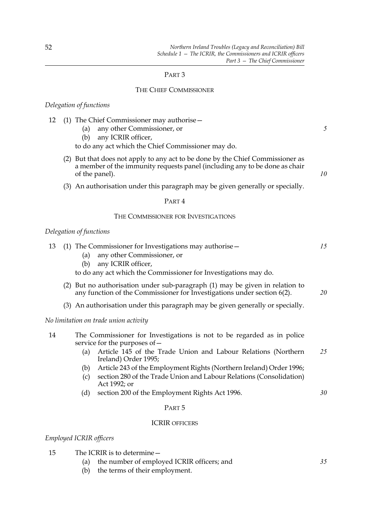# PART 3

# THE CHIEF COMMISSIONER

### *Delegation of functions*

|  |  |  | 12 (1) The Chief Commissioner may authorise - |  |
|--|--|--|-----------------------------------------------|--|
|  |  |  |                                               |  |

- (a) any other Commissioner, or
- (b) any ICRIR officer,

to do any act which the Chief Commissioner may do.

- (2) But that does not apply to any act to be done by the Chief Commissioner as a member of the immunity requests panel (including any to be done as chair of the panel).
- (3) An authorisation under this paragraph may be given generally or specially.

# PART 4

# THE COMMISSIONER FOR INVESTIGATIONS

# *Delegation of functions*

| 13 | (1) The Commissioner for Investigations may authorise $-$<br>any other Commissioner, or<br>(a)<br>any ICRIR officer,<br>(b)<br>to do any act which the Commissioner for Investigations may do. | 15 |
|----|------------------------------------------------------------------------------------------------------------------------------------------------------------------------------------------------|----|
|    | (2) But no authorisation under sub-paragraph (1) may be given in relation to<br>any function of the Commissioner for Investigations under section 6(2).                                        | 20 |
|    | (3) An authorisation under this paragraph may be given generally or specially.                                                                                                                 |    |
|    | No limitation on trade union activity                                                                                                                                                          |    |
| 14 | The Commissioner for Investigations is not to be regarded as in police<br>service for the purposes of -<br>Article 145 of the Trade Union and Labour Relations (Northern<br>(a)                | 25 |
|    | Ireland) Order 1995;                                                                                                                                                                           |    |

- (b) Article 243 of the Employment Rights (Northern Ireland) Order 1996;
- (c) section 280 of the Trade Union and Labour Relations (Consolidation) Act 1992; or
- (d) section 200 of the Employment Rights Act 1996.

# PART 5

### ICRIR OFFICERS

*Employed ICRIR officers*

- 15 The ICRIR is to determine—
	- (a) the number of employed ICRIR officers; and
	- (b) the terms of their employment.

*10*

*30*

*35*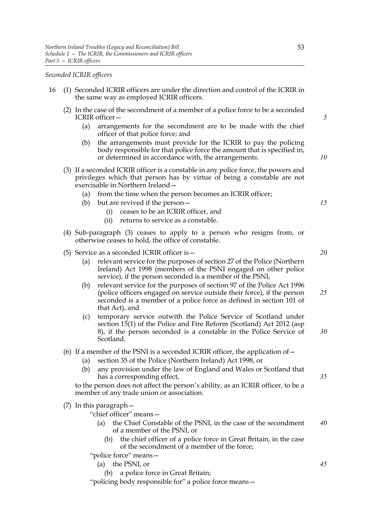#### *Seconded ICRIR officers*

- 16 (1) Seconded ICRIR officers are under the direction and control of the ICRIR in the same way as employed ICRIR officers.
	- (2) In the case of the secondment of a member of a police force to be a seconded ICRIR officer—
		- (a) arrangements for the secondment are to be made with the chief officer of that police force; and
		- (b) the arrangements must provide for the ICRIR to pay the policing body responsible for that police force the amount that is specified in, or determined in accordance with, the arrangements.
	- (3) If a seconded ICRIR officer is a constable in any police force, the powers and privileges which that person has by virtue of being a constable are not exercisable in Northern Ireland—
		- (a) from the time when the person becomes an ICRIR officer;
		- (b) but are revived if the person—
			- (i) ceases to be an ICRIR officer, and
			- (ii) returns to service as a constable.
	- (4) Sub-paragraph (3) ceases to apply to a person who resigns from, or otherwise ceases to hold, the office of constable.
	- (5) Service as a seconded ICRIR officer is—
		- (a) relevant service for the purposes of section 27 of the Police (Northern Ireland) Act 1998 (members of the PSNI engaged on other police service), if the person seconded is a member of the PSNI,
		- (b) relevant service for the purposes of section 97 of the Police Act 1996 (police officers engaged on service outside their force), if the person seconded is a member of a police force as defined in section 101 of that Act), and *25*
		- (c) temporary service outwith the Police Service of Scotland under section 15(1) of the Police and Fire Reform (Scotland) Act 2012 (asp 8), if the person seconded is a constable in the Police Service of Scotland. *30*
	- (6) If a member of the PSNI is a seconded ICRIR officer, the application of  $-$ 
		- (a) section 35 of the Police (Northern Ireland) Act 1998, or
		- (b) any provision under the law of England and Wales or Scotland that has a corresponding effect,

to the person does not affect the person's ability, as an ICRIR officer, to be a member of any trade union or association.

- (7) In this paragraph—
	- "chief officer" means—
		- (a) the Chief Constable of the PSNI, in the case of the secondment of a member of the PSNI, or *40*
			- (b) the chief officer of a police force in Great Britain, in the case of the secondment of a member of the force;

"police force" means—

- (a) the PSNI, or
	- (b) a police force in Great Britain;

"policing body responsible for" a police force means—

*5*

*10*

*15*

*20*

*35*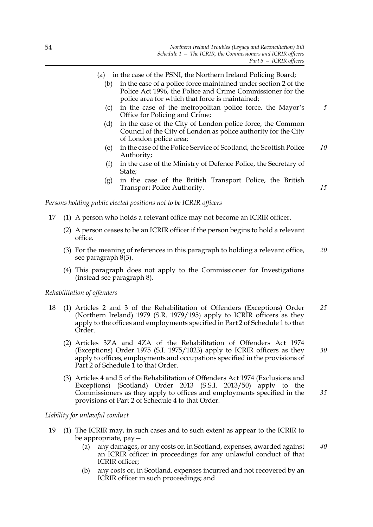- (a) in the case of the PSNI, the Northern Ireland Policing Board;
	- (b) in the case of a police force maintained under section 2 of the Police Act 1996, the Police and Crime Commissioner for the police area for which that force is maintained;
	- (c) in the case of the metropolitan police force, the Mayor's Office for Policing and Crime; *5*
	- (d) in the case of the City of London police force, the Common Council of the City of London as police authority for the City of London police area;
	- (e) in the case of the Police Service of Scotland, the Scottish Police Authority; *10*

*15*

*35*

- (f) in the case of the Ministry of Defence Police, the Secretary of State;
- (g) in the case of the British Transport Police, the British Transport Police Authority.

*Persons holding public elected positions not to be ICRIR officers*

- 17 (1) A person who holds a relevant office may not become an ICRIR officer.
	- (2) A person ceases to be an ICRIR officer if the person begins to hold a relevant office.
	- (3) For the meaning of references in this paragraph to holding a relevant office, see paragraph  $8(3)$ . *20*
	- (4) This paragraph does not apply to the Commissioner for Investigations (instead see paragraph 8).

#### *Rehabilitation of offenders*

- 18 (1) Articles 2 and 3 of the Rehabilitation of Offenders (Exceptions) Order (Northern Ireland) 1979 (S.R. 1979/195) apply to ICRIR officers as they apply to the offices and employments specified in Part 2 of Schedule 1 to that Order. *25*
	- (2) Articles 3ZA and 4ZA of the Rehabilitation of Offenders Act 1974 (Exceptions) Order 1975 (S.I. 1975/1023) apply to ICRIR officers as they apply to offices, employments and occupations specified in the provisions of Part 2 of Schedule  $\tilde{1}$  to that Order. *30*
	- (3) Articles 4 and 5 of the Rehabilitation of Offenders Act 1974 (Exclusions and Exceptions) (Scotland) Order 2013 (S.S.I. 2013/50) apply to the Commissioners as they apply to offices and employments specified in the provisions of Part 2 of Schedule 4 to that Order.

# *Liability for unlawful conduct*

- 19 (1) The ICRIR may, in such cases and to such extent as appear to the ICRIR to be appropriate, pay—
	- (a) any damages, or any costs or, in Scotland, expenses, awarded against an ICRIR officer in proceedings for any unlawful conduct of that ICRIR officer; *40*
	- (b) any costs or, in Scotland, expenses incurred and not recovered by an ICRIR officer in such proceedings; and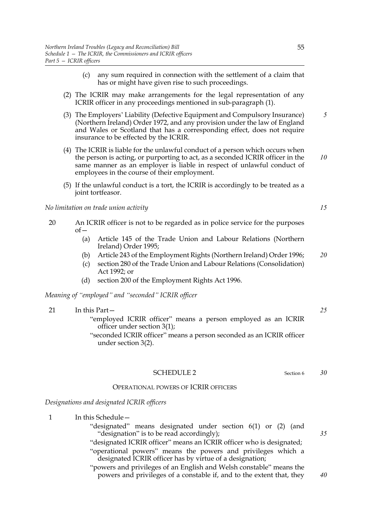- (c) any sum required in connection with the settlement of a claim that has or might have given rise to such proceedings.
- (2) The ICRIR may make arrangements for the legal representation of any ICRIR officer in any proceedings mentioned in sub-paragraph (1).
- (3) The Employers' Liability (Defective Equipment and Compulsory Insurance) (Northern Ireland) Order 1972, and any provision under the law of England and Wales or Scotland that has a corresponding effect, does not require insurance to be effected by the ICRIR.
- (4) The ICRIR is liable for the unlawful conduct of a person which occurs when the person is acting, or purporting to act, as a seconded ICRIR officer in the same manner as an employer is liable in respect of unlawful conduct of employees in the course of their employment. *10*
- (5) If the unlawful conduct is a tort, the ICRIR is accordingly to be treated as a joint tortfeasor.

# *No limitation on trade union activity*

- 20 An ICRIR officer is not to be regarded as in police service for the purposes  $of$ 
	- (a) Article 145 of the Trade Union and Labour Relations (Northern Ireland) Order 1995;
	- (b) Article 243 of the Employment Rights (Northern Ireland) Order 1996; *20*
	- (c) section 280 of the Trade Union and Labour Relations (Consolidation) Act 1992; or
	- (d) section 200 of the Employment Rights Act 1996.

*Meaning of "employed" and "seconded" ICRIR officer*

| "employed ICRIR officer" means a person employed as an ICRIR |
|--------------------------------------------------------------|

# SCHEDULE 2 Section 6

# OPERATIONAL POWERS OF ICRIR OFFICERS

#### *Designations and designated ICRIR officers*

1 In this Schedule -"designated" means designated under section 6(1) or (2) (and "designation" is to be read accordingly); "designated ICRIR officer" means an ICRIR officer who is designated; "operational powers" means the powers and privileges which a designated ICRIR officer has by virtue of a designation;

> "powers and privileges of an English and Welsh constable" means the powers and privileges of a constable if, and to the extent that, they

*5*

*15*

*35*

*40*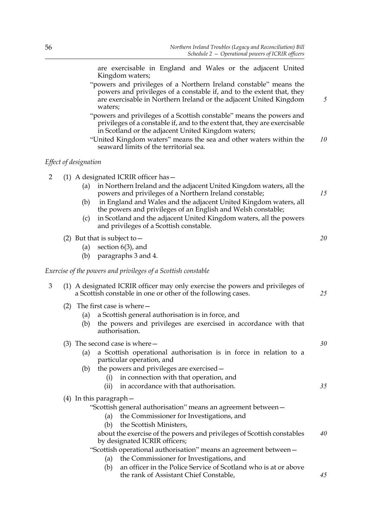|   |     |                       | are exercisable in England and Wales or the adjacent United<br>Kingdom waters;                                                                                                                                              |    |
|---|-----|-----------------------|-----------------------------------------------------------------------------------------------------------------------------------------------------------------------------------------------------------------------------|----|
|   |     |                       | "powers and privileges of a Northern Ireland constable" means the<br>powers and privileges of a constable if, and to the extent that, they<br>are exercisable in Northern Ireland or the adjacent United Kingdom<br>waters; | 5  |
|   |     |                       | "powers and privileges of a Scottish constable" means the powers and<br>privileges of a constable if, and to the extent that, they are exercisable<br>in Scotland or the adjacent United Kingdom waters;                    |    |
|   |     |                       | "United Kingdom waters" means the sea and other waters within the<br>seaward limits of the territorial sea.                                                                                                                 | 10 |
|   |     | Effect of designation |                                                                                                                                                                                                                             |    |
| 2 |     |                       | $(1)$ A designated ICRIR officer has $-$                                                                                                                                                                                    |    |
|   |     | (a)                   | in Northern Ireland and the adjacent United Kingdom waters, all the<br>powers and privileges of a Northern Ireland constable;                                                                                               | 15 |
|   |     | (b)                   | in England and Wales and the adjacent United Kingdom waters, all<br>the powers and privileges of an English and Welsh constable;                                                                                            |    |
|   |     | (c)                   | in Scotland and the adjacent United Kingdom waters, all the powers<br>and privileges of a Scottish constable.                                                                                                               |    |
|   |     |                       | (2) But that is subject to $-$                                                                                                                                                                                              | 20 |
|   |     | (a)<br>(b)            | section $6(3)$ , and<br>paragraphs 3 and 4.                                                                                                                                                                                 |    |
|   |     |                       |                                                                                                                                                                                                                             |    |
|   |     |                       | Exercise of the powers and privileges of a Scottish constable                                                                                                                                                               |    |
| 3 |     |                       | (1) A designated ICRIR officer may only exercise the powers and privileges of<br>a Scottish constable in one or other of the following cases.                                                                               | 25 |
|   | (2) |                       | The first case is where –                                                                                                                                                                                                   |    |
|   |     | (a)<br>(b)            | a Scottish general authorisation is in force, and<br>the powers and privileges are exercised in accordance with that                                                                                                        |    |
|   |     |                       | authorisation.                                                                                                                                                                                                              |    |
|   |     |                       | (3) The second case is where $-$                                                                                                                                                                                            | 30 |
|   |     | (a)                   | a Scottish operational authorisation is in force in relation to a<br>particular operation, and                                                                                                                              |    |
|   |     | (b)                   | the powers and privileges are exercised -                                                                                                                                                                                   |    |
|   |     |                       | in connection with that operation, and<br>(i)                                                                                                                                                                               |    |
|   |     |                       | in accordance with that authorisation.<br>(ii)                                                                                                                                                                              | 35 |
|   |     |                       | $(4)$ In this paragraph $-$<br>"Scottish general authorisation" means an agreement between-                                                                                                                                 |    |
|   |     |                       | the Commissioner for Investigations, and<br>(a)                                                                                                                                                                             |    |
|   |     |                       | the Scottish Ministers,<br>(b)                                                                                                                                                                                              |    |
|   |     |                       | about the exercise of the powers and privileges of Scottish constables                                                                                                                                                      | 40 |
|   |     |                       | by designated ICRIR officers;<br>"Scottish operational authorisation" means an agreement between-                                                                                                                           |    |
|   |     |                       | the Commissioner for Investigations, and<br>(a)                                                                                                                                                                             |    |
|   |     |                       | an officer in the Police Service of Scotland who is at or above<br>(b)                                                                                                                                                      |    |

the rank of Assistant Chief Constable,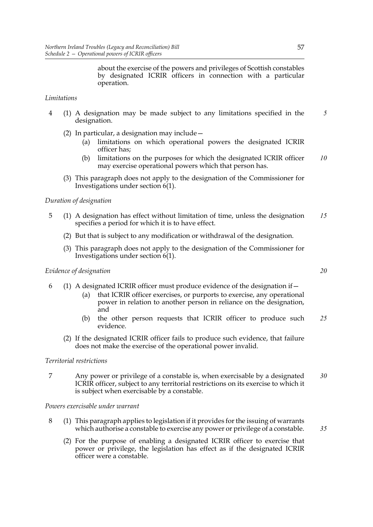about the exercise of the powers and privileges of Scottish constables by designated ICRIR officers in connection with a particular operation.

# *Limitations*

- 4 (1) A designation may be made subject to any limitations specified in the designation. *5*
	- (2) In particular, a designation may include—
		- (a) limitations on which operational powers the designated ICRIR officer has;
		- (b) limitations on the purposes for which the designated ICRIR officer may exercise operational powers which that person has. *10*
	- (3) This paragraph does not apply to the designation of the Commissioner for Investigations under section 6(1).

# *Duration of designation*

- 5 (1) A designation has effect without limitation of time, unless the designation specifies a period for which it is to have effect. *15*
	- (2) But that is subject to any modification or withdrawal of the designation.
	- (3) This paragraph does not apply to the designation of the Commissioner for Investigations under section 6(1).

#### *Evidence of designation*

- 6 (1) A designated ICRIR officer must produce evidence of the designation if—
	- (a) that ICRIR officer exercises, or purports to exercise, any operational power in relation to another person in reliance on the designation, and
	- (b) the other person requests that ICRIR officer to produce such evidence. *25*
	- (2) If the designated ICRIR officer fails to produce such evidence, that failure does not make the exercise of the operational power invalid.

# *Territorial restrictions*

7 Any power or privilege of a constable is, when exercisable by a designated ICRIR officer, subject to any territorial restrictions on its exercise to which it is subject when exercisable by a constable. *30*

*Powers exercisable under warrant*

- 8 (1) This paragraph applies to legislation if it provides for the issuing of warrants which authorise a constable to exercise any power or privilege of a constable.
	- (2) For the purpose of enabling a designated ICRIR officer to exercise that power or privilege, the legislation has effect as if the designated ICRIR officer were a constable.

*20*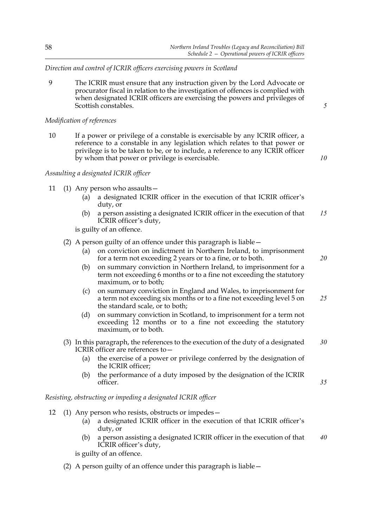*Direction and control of ICRIR officers exercising powers in Scotland*

9 The ICRIR must ensure that any instruction given by the Lord Advocate or procurator fiscal in relation to the investigation of offences is complied with when designated ICRIR officers are exercising the powers and privileges of Scottish constables.

*5*

# *Modification of references*

10 If a power or privilege of a constable is exercisable by any ICRIR officer, a reference to a constable in any legislation which relates to that power or privilege is to be taken to be, or to include, a reference to any ICRIR officer by whom that power or privilege is exercisable.

*10*

*20*

*35*

# *Assaulting a designated ICRIR officer*

- 11 (1) Any person who assaults—
	- (a) a designated ICRIR officer in the execution of that ICRIR officer's duty, or
	- (b) a person assisting a designated ICRIR officer in the execution of that ICRIR officer's duty, *15*

is guilty of an offence.

- (2) A person guilty of an offence under this paragraph is liable—
	- (a) on conviction on indictment in Northern Ireland, to imprisonment for a term not exceeding 2 years or to a fine, or to both.
	- (b) on summary conviction in Northern Ireland, to imprisonment for a term not exceeding 6 months or to a fine not exceeding the statutory maximum, or to both;
	- (c) on summary conviction in England and Wales, to imprisonment for a term not exceeding six months or to a fine not exceeding level 5 on the standard scale, or to both; *25*
	- (d) on summary conviction in Scotland, to imprisonment for a term not exceeding 12 months or to a fine not exceeding the statutory maximum, or to both.
- (3) In this paragraph, the references to the execution of the duty of a designated ICRIR officer are references to— *30*
	- (a) the exercise of a power or privilege conferred by the designation of the ICRIR officer;
	- (b) the performance of a duty imposed by the designation of the ICRIR officer.

# *Resisting, obstructing or impeding a designated ICRIR officer*

- 12 (1) Any person who resists, obstructs or impedes—
	- (a) a designated ICRIR officer in the execution of that ICRIR officer's duty, or
	- (b) a person assisting a designated ICRIR officer in the execution of that ICRIR officer's duty, *40*

is guilty of an offence.

(2) A person guilty of an offence under this paragraph is liable—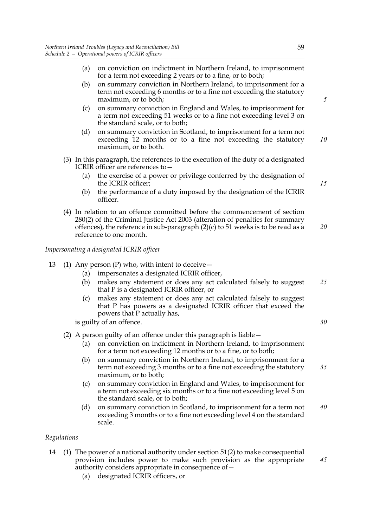- (a) on conviction on indictment in Northern Ireland, to imprisonment for a term not exceeding 2 years or to a fine, or to both;
- (b) on summary conviction in Northern Ireland, to imprisonment for a term not exceeding 6 months or to a fine not exceeding the statutory maximum, or to both;
- (c) on summary conviction in England and Wales, to imprisonment for a term not exceeding 51 weeks or to a fine not exceeding level 3 on the standard scale, or to both;
- (d) on summary conviction in Scotland, to imprisonment for a term not exceeding 12 months or to a fine not exceeding the statutory maximum, or to both. *10*
- (3) In this paragraph, the references to the execution of the duty of a designated ICRIR officer are references to—
	- (a) the exercise of a power or privilege conferred by the designation of the ICRIR officer;
	- (b) the performance of a duty imposed by the designation of the ICRIR officer.
- (4) In relation to an offence committed before the commencement of section 280(2) of the Criminal Justice Act 2003 (alteration of penalties for summary offences), the reference in sub-paragraph (2)(c) to 51 weeks is to be read as a reference to one month.

# *Impersonating a designated ICRIR officer*

- 13 (1) Any person  $(P)$  who, with intent to deceive  $-$ 
	- (a) impersonates a designated ICRIR officer,
	- (b) makes any statement or does any act calculated falsely to suggest that P is a designated ICRIR officer, or *25*
	- (c) makes any statement or does any act calculated falsely to suggest that P has powers as a designated ICRIR officer that exceed the powers that P actually has,

is guilty of an offence.

# (2) A person guilty of an offence under this paragraph is liable—

- (a) on conviction on indictment in Northern Ireland, to imprisonment for a term not exceeding 12 months or to a fine, or to both;
- (b) on summary conviction in Northern Ireland, to imprisonment for a term not exceeding 3 months or to a fine not exceeding the statutory maximum, or to both; *35*
- (c) on summary conviction in England and Wales, to imprisonment for a term not exceeding six months or to a fine not exceeding level 5 on the standard scale, or to both;
- (d) on summary conviction in Scotland, to imprisonment for a term not exceeding 3 months or to a fine not exceeding level 4 on the standard scale. *40*

# *Regulations*

- 14 (1) The power of a national authority under section 51(2) to make consequential provision includes power to make such provision as the appropriate authority considers appropriate in consequence of—
	- (a) designated ICRIR officers, or

*5*

*15*

*20*

# *30*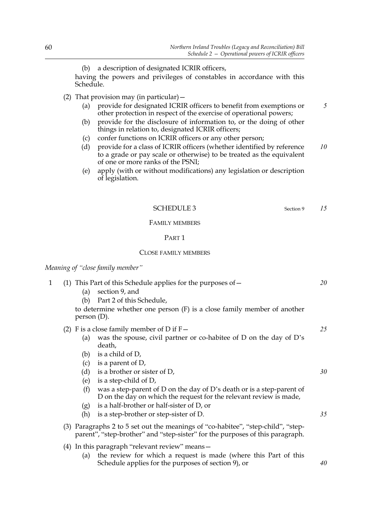(b) a description of designated ICRIR officers,

having the powers and privileges of constables in accordance with this Schedule.

- (2) That provision may (in particular)  $-$ 
	- (a) provide for designated ICRIR officers to benefit from exemptions or other protection in respect of the exercise of operational powers;
	- (b) provide for the disclosure of information to, or the doing of other things in relation to, designated ICRIR officers;
	- (c) confer functions on ICRIR officers or any other person;
	- (d) provide for a class of ICRIR officers (whether identified by reference to a grade or pay scale or otherwise) to be treated as the equivalent of one or more ranks of the PSNI; *10*
	- (e) apply (with or without modifications) any legislation or description of legislation.

SCHEDULE 3 Section 9

*15*

*5*

# FAMILY MEMBERS

# PART 1

#### CLOSE FAMILY MEMBERS

# *Meaning of "close family member"*

| 1 | (1)<br>(a)<br>(b) | This Part of this Schedule applies for the purposes of $-$<br>section 9, and<br>Part 2 of this Schedule,<br>to determine whether one person $(F)$ is a close family member of another<br>person(D).                                | 20 |
|---|-------------------|------------------------------------------------------------------------------------------------------------------------------------------------------------------------------------------------------------------------------------|----|
|   | (a)<br>(b)        | (2) F is a close family member of D if $F -$<br>was the spouse, civil partner or co-habitee of D on the day of D's<br>death,<br>is a child of D,                                                                                   | 25 |
|   | (c)<br>(d)<br>(e) | is a parent of $D$ ,<br>is a brother or sister of D,<br>is a step-child of D,                                                                                                                                                      | 30 |
|   | (f)<br>(g)<br>(h) | was a step-parent of D on the day of D's death or is a step-parent of<br>D on the day on which the request for the relevant review is made,<br>is a half-brother or half-sister of D, or<br>is a step-brother or step-sister of D. | 35 |
|   |                   | (3) Paragraphs 2 to 5 set out the meanings of "co-habitee", "step-child", "step-<br>parent", "step-brother" and "step-sister" for the purposes of this paragraph.                                                                  |    |
|   | (a)               | (4) In this paragraph "relevant review" means -<br>the review for which a request is made (where this Part of this<br>Schedule applies for the purposes of section 9), or                                                          | 40 |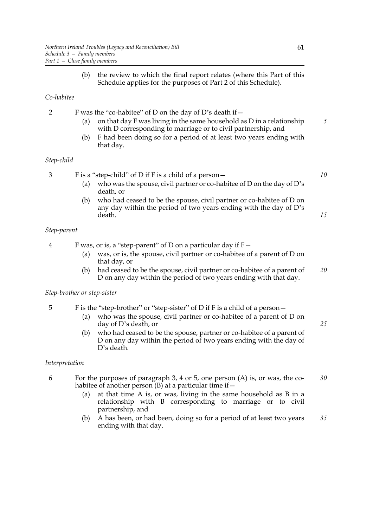(b) the review to which the final report relates (where this Part of this Schedule applies for the purposes of Part 2 of this Schedule).

# *Co-habitee*

2 F was the "co-habitee" of D on the day of D's death if—

- (a) on that day F was living in the same household as D in a relationship with D corresponding to marriage or to civil partnership, and
- (b) F had been doing so for a period of at least two years ending with that day.

# *Step-child*

3 F is a "step-child" of D if F is a child of a person—

- (a) who was the spouse, civil partner or co-habitee of D on the day of D's death, or
- (b) who had ceased to be the spouse, civil partner or co-habitee of D on any day within the period of two years ending with the day of D's death.

# *Step-parent*

- 4 F was, or is, a "step-parent" of D on a particular day if F—
	- (a) was, or is, the spouse, civil partner or co-habitee of a parent of D on that day, or
	- (b) had ceased to be the spouse, civil partner or co-habitee of a parent of D on any day within the period of two years ending with that day. *20*

#### *Step-brother or step-sister*

# 5 F is the "step-brother" or "step-sister" of D if F is a child of a person—

- (a) who was the spouse, civil partner or co-habitee of a parent of D on day of D's death, or
- (b) who had ceased to be the spouse, partner or co-habitee of a parent of D on any day within the period of two years ending with the day of D's death.

# *Interpretation*

- 6 For the purposes of paragraph 3, 4 or 5, one person (A) is, or was, the cohabitee of another person  $(B)$  at a particular time if  $-$ *30*
	- (a) at that time A is, or was, living in the same household as B in a relationship with B corresponding to marriage or to civil partnership, and
	- (b) A has been, or had been, doing so for a period of at least two years ending with that day. *35*

*5*

*10*

*15*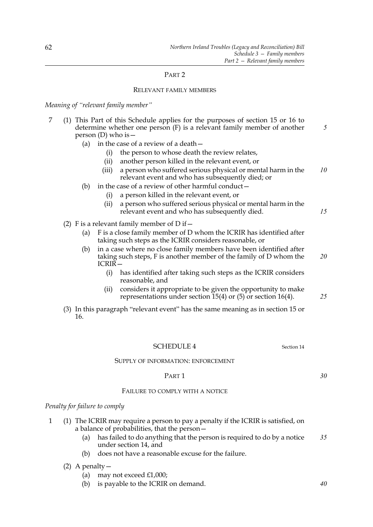# PART 2

# RELEVANT FAMILY MEMBERS

*Meaning of "relevant family member"*

| 7 | This Part of this Schedule applies for the purposes of section 15 or 16 to<br>(1)<br>determine whether one person $(F)$ is a relevant family member of another<br>person (D) who is $-$ | 5  |
|---|-----------------------------------------------------------------------------------------------------------------------------------------------------------------------------------------|----|
|   | in the case of a review of a death -<br>(a)                                                                                                                                             |    |
|   | the person to whose death the review relates,<br>(i)                                                                                                                                    |    |
|   | another person killed in the relevant event, or<br>(ii)                                                                                                                                 |    |
|   | a person who suffered serious physical or mental harm in the<br>(iii)<br>relevant event and who has subsequently died; or                                                               | 10 |
|   | in the case of a review of other harmful conduct-<br>(b)                                                                                                                                |    |
|   | a person killed in the relevant event, or<br>(i)                                                                                                                                        |    |
|   | a person who suffered serious physical or mental harm in the<br>(ii)<br>relevant event and who has subsequently died.                                                                   | 15 |
|   | (2) F is a relevant family member of D if $-$                                                                                                                                           |    |
|   | F is a close family member of D whom the ICRIR has identified after<br>(a)<br>taking such steps as the ICRIR considers reasonable, or                                                   |    |
|   | in a case where no close family members have been identified after<br>(b)<br>taking such steps, F is another member of the family of D whom the<br><b>ICRIR-</b>                        | 20 |
|   | (i)<br>has identified after taking such steps as the ICRIR considers<br>reasonable, and                                                                                                 |    |
|   | considers it appropriate to be given the opportunity to make<br>(ii)<br>representations under section 15(4) or $(5)$ or section 16(4).                                                  | 25 |
|   | (3) In this paragraph "relevant event" has the same meaning as in section 15 or<br>16.                                                                                                  |    |
|   |                                                                                                                                                                                         |    |
|   | <b>SCHEDULE 4</b><br>Section 14                                                                                                                                                         |    |

# SUPPLY OF INFORMATION: ENFORCEMENT

#### PART 1

# FAILURE TO COMPLY WITH A NOTICE

# *Penalty for failure to comply*

- 1 (1) The ICRIR may require a person to pay a penalty if the ICRIR is satisfied, on a balance of probabilities, that the person—
	- (a) has failed to do anything that the person is required to do by a notice under section 14, and *35*
	- (b) does not have a reasonable excuse for the failure.

# (2) A penalty—

- (a) may not exceed £1,000;
- (b) is payable to the ICRIR on demand.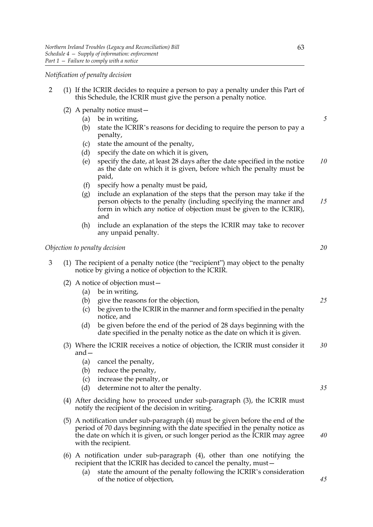*Notification of penalty decision*

- 2 (1) If the ICRIR decides to require a person to pay a penalty under this Part of this Schedule, the ICRIR must give the person a penalty notice.
	- (2) A penalty notice must—
		- (a) be in writing,
		- (b) state the ICRIR's reasons for deciding to require the person to pay a penalty,
		- (c) state the amount of the penalty,
		- (d) specify the date on which it is given,
		- (e) specify the date, at least 28 days after the date specified in the notice as the date on which it is given, before which the penalty must be paid, *10*
		- (f) specify how a penalty must be paid,
		- (g) include an explanation of the steps that the person may take if the person objects to the penalty (including specifying the manner and form in which any notice of objection must be given to the ICRIR), and *15*
		- (h) include an explanation of the steps the ICRIR may take to recover any unpaid penalty.

*Objection to penalty decision*

- 3 (1) The recipient of a penalty notice (the "recipient") may object to the penalty notice by giving a notice of objection to the ICRIR.
	- (2) A notice of objection must—
		- (a) be in writing,
		- (b) give the reasons for the objection,
		- (c) be given to the ICRIR in the manner and form specified in the penalty notice, and
		- (d) be given before the end of the period of 28 days beginning with the date specified in the penalty notice as the date on which it is given.
	- (3) Where the ICRIR receives a notice of objection, the ICRIR must consider it and— *30*
		- (a) cancel the penalty,
		- (b) reduce the penalty,
		- (c) increase the penalty, or
		- (d) determine not to alter the penalty.
	- (4) After deciding how to proceed under sub-paragraph (3), the ICRIR must notify the recipient of the decision in writing.
	- (5) A notification under sub-paragraph (4) must be given before the end of the period of 70 days beginning with the date specified in the penalty notice as the date on which it is given, or such longer period as the ICRIR may agree with the recipient.
	- (6) A notification under sub-paragraph (4), other than one notifying the recipient that the ICRIR has decided to cancel the penalty, must—
		- (a) state the amount of the penalty following the ICRIR's consideration of the notice of objection,

*5*

*20*

*25*

*35*

*40*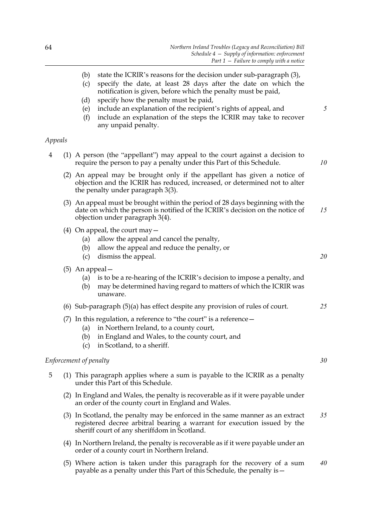|         | state the ICRIR's reasons for the decision under sub-paragraph (3),<br>(b)<br>specify the date, at least 28 days after the date on which the<br>(c)<br>notification is given, before which the penalty must be paid,<br>specify how the penalty must be paid,<br>(d)<br>include an explanation of the recipient's rights of appeal, and<br>(e)<br>include an explanation of the steps the ICRIR may take to recover<br>(f)<br>any unpaid penalty. | 5         |
|---------|---------------------------------------------------------------------------------------------------------------------------------------------------------------------------------------------------------------------------------------------------------------------------------------------------------------------------------------------------------------------------------------------------------------------------------------------------|-----------|
| Appeals |                                                                                                                                                                                                                                                                                                                                                                                                                                                   |           |
| 4       | (1) A person (the "appellant") may appeal to the court against a decision to<br>require the person to pay a penalty under this Part of this Schedule.                                                                                                                                                                                                                                                                                             | 10        |
|         | (2) An appeal may be brought only if the appellant has given a notice of<br>objection and the ICRIR has reduced, increased, or determined not to alter<br>the penalty under paragraph 3(3).                                                                                                                                                                                                                                                       |           |
|         | (3) An appeal must be brought within the period of 28 days beginning with the<br>date on which the person is notified of the ICRIR's decision on the notice of<br>objection under paragraph 3(4).                                                                                                                                                                                                                                                 | 15        |
|         | (4) On appeal, the court may $-$<br>allow the appeal and cancel the penalty,<br>(a)<br>allow the appeal and reduce the penalty, or<br>(b)<br>dismiss the appeal.<br>(c)                                                                                                                                                                                                                                                                           | 20        |
|         | (5) An appeal —<br>is to be a re-hearing of the ICRIR's decision to impose a penalty, and<br>(a)<br>may be determined having regard to matters of which the ICRIR was<br>(b)<br>unaware.                                                                                                                                                                                                                                                          |           |
|         | (6) Sub-paragraph $(5)(a)$ has effect despite any provision of rules of court.                                                                                                                                                                                                                                                                                                                                                                    | 25        |
|         | (7) In this regulation, a reference to "the court" is a reference $-$<br>in Northern Ireland, to a county court,<br>(a)<br>in England and Wales, to the county court, and<br>(b)<br>in Scotland, to a sheriff.<br>(c)                                                                                                                                                                                                                             |           |
|         | Enforcement of penalty                                                                                                                                                                                                                                                                                                                                                                                                                            | 30        |
| 5       | (1) This paragraph applies where a sum is payable to the ICRIR as a penalty<br>under this Part of this Schedule.                                                                                                                                                                                                                                                                                                                                  |           |
|         | (2) In England and Wales, the penalty is recoverable as if it were payable under<br>an order of the county court in England and Wales.                                                                                                                                                                                                                                                                                                            |           |
|         | (3) In Scotland, the penalty may be enforced in the same manner as an extract<br>registered decree arbitral bearing a warrant for execution issued by the<br>sheriff court of any sheriffdom in Scotland.                                                                                                                                                                                                                                         | 35        |
|         | (4) In Northern Ireland, the penalty is recoverable as if it were payable under an<br>order of a county court in Northern Ireland.                                                                                                                                                                                                                                                                                                                |           |
|         | $\sum_{k=1}^{\infty}$ Mbore estimate taken under this parameter for the recovery of a sum                                                                                                                                                                                                                                                                                                                                                         | $\Lambda$ |

(5) Where action is taken under this paragraph for the recovery of a sum payable as a penalty under this Part of this Schedule, the penalty is— *40*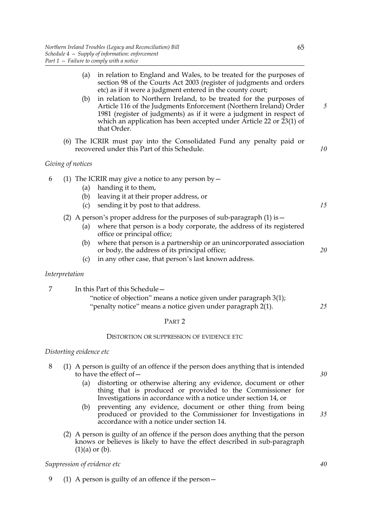|                         | (a)<br>(b)        | in relation to England and Wales, to be treated for the purposes of<br>section 98 of the Courts Act 2003 (register of judgments and orders<br>etc) as if it were a judgment entered in the county court;<br>in relation to Northern Ireland, to be treated for the purposes of<br>Article 116 of the Judgments Enforcement (Northern Ireland) Order<br>1981 (register of judgments) as if it were a judgment in respect of<br>which an application has been accepted under Article 22 or 23(1) of<br>that Order.                                                                                                                                                             | 5  |
|-------------------------|-------------------|------------------------------------------------------------------------------------------------------------------------------------------------------------------------------------------------------------------------------------------------------------------------------------------------------------------------------------------------------------------------------------------------------------------------------------------------------------------------------------------------------------------------------------------------------------------------------------------------------------------------------------------------------------------------------|----|
|                         |                   | (6) The ICRIR must pay into the Consolidated Fund any penalty paid or<br>recovered under this Part of this Schedule.                                                                                                                                                                                                                                                                                                                                                                                                                                                                                                                                                         | 10 |
|                         | Giving of notices |                                                                                                                                                                                                                                                                                                                                                                                                                                                                                                                                                                                                                                                                              |    |
| 6                       | (a)<br>(b)<br>(c) | (1) The ICRIR may give a notice to any person by $-$<br>handing it to them,<br>leaving it at their proper address, or<br>sending it by post to that address.                                                                                                                                                                                                                                                                                                                                                                                                                                                                                                                 | 15 |
|                         | (a)<br>(b)        | (2) A person's proper address for the purposes of sub-paragraph $(1)$ is $-$<br>where that person is a body corporate, the address of its registered<br>office or principal office;<br>where that person is a partnership or an unincorporated association                                                                                                                                                                                                                                                                                                                                                                                                                   |    |
|                         | (c)               | or body, the address of its principal office;<br>in any other case, that person's last known address.                                                                                                                                                                                                                                                                                                                                                                                                                                                                                                                                                                        | 20 |
| Interpretation          |                   |                                                                                                                                                                                                                                                                                                                                                                                                                                                                                                                                                                                                                                                                              |    |
| 7                       |                   | In this Part of this Schedule-<br>"notice of objection" means a notice given under paragraph 3(1);<br>"penalty notice" means a notice given under paragraph 2(1).                                                                                                                                                                                                                                                                                                                                                                                                                                                                                                            | 25 |
|                         |                   | PART <sub>2</sub>                                                                                                                                                                                                                                                                                                                                                                                                                                                                                                                                                                                                                                                            |    |
|                         |                   | DISTORTION OR SUPPRESSION OF EVIDENCE ETC                                                                                                                                                                                                                                                                                                                                                                                                                                                                                                                                                                                                                                    |    |
| Distorting evidence etc |                   |                                                                                                                                                                                                                                                                                                                                                                                                                                                                                                                                                                                                                                                                              |    |
| 8                       |                   | (1) A person is guilty of an offence if the person does anything that is intended<br>to have the effect of $-$<br>$\mathbf{r}$ and $\mathbf{r}$ are the set of the set of the set of the set of the set of the set of the set of the set of the set of the set of the set of the set of the set of the set of the set of the set of the set of the set<br>$\sqrt{2}$ $\sqrt{2}$ $\sqrt{2}$ $\sqrt{2}$ $\sqrt{2}$ $\sqrt{2}$ $\sqrt{2}$ $\sqrt{2}$ $\sqrt{2}$ $\sqrt{2}$ $\sqrt{2}$ $\sqrt{2}$ $\sqrt{2}$ $\sqrt{2}$ $\sqrt{2}$ $\sqrt{2}$ $\sqrt{2}$ $\sqrt{2}$ $\sqrt{2}$ $\sqrt{2}$ $\sqrt{2}$ $\sqrt{2}$ $\sqrt{2}$ $\sqrt{2}$ $\sqrt{2}$ $\sqrt{2}$ $\sqrt{2}$ $\sqrt{2$ | 30 |

- (a) distorting or otherwise altering any evidence, document or other thing that is produced or provided to the Commissioner for Investigations in accordance with a notice under section 14, or
- (b) preventing any evidence, document or other thing from being produced or provided to the Commissioner for Investigations in accordance with a notice under section 14. *35*
- (2) A person is guilty of an offence if the person does anything that the person knows or believes is likely to have the effect described in sub-paragraph  $(1)(a)$  or  $(b)$ .

# *Suppression of evidence etc*

9 (1) A person is guilty of an offence if the person—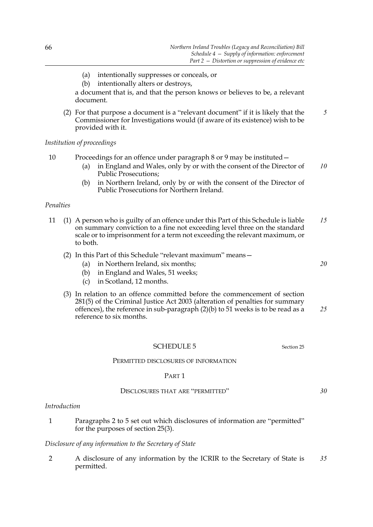- (a) intentionally suppresses or conceals, or
- (b) intentionally alters or destroys,

a document that is, and that the person knows or believes to be, a relevant document.

(2) For that purpose a document is a "relevant document" if it is likely that the Commissioner for Investigations would (if aware of its existence) wish to be provided with it. *5*

*Institution of proceedings*

10 Proceedings for an offence under paragraph 8 or 9 may be instituted—

- (a) in England and Wales, only by or with the consent of the Director of Public Prosecutions; *10*
- (b) in Northern Ireland, only by or with the consent of the Director of Public Prosecutions for Northern Ireland.

# *Penalties*

- 11 (1) A person who is guilty of an offence under this Part of this Schedule is liable on summary conviction to a fine not exceeding level three on the standard scale or to imprisonment for a term not exceeding the relevant maximum, or to both. *15*
	- (2) In this Part of this Schedule "relevant maximum" means—
		- (a) in Northern Ireland, six months;
		- (b) in England and Wales, 51 weeks;
		- (c) in Scotland, 12 months.
	- (3) In relation to an offence committed before the commencement of section 281(5) of the Criminal Justice Act 2003 (alteration of penalties for summary offences), the reference in sub-paragraph  $(2)(b)$  to 51 weeks is to be read as a reference to six months. *25*

# SCHEDULE 5 Section 25

#### PERMITTED DISCLOSURES OF INFORMATION

#### PART 1

#### DISCLOSURES THAT ARE "PERMITTED"

*Introduction*

1 Paragraphs 2 to 5 set out which disclosures of information are "permitted" for the purposes of section 25(3).

#### *Disclosure of any information to the Secretary of State*

2 A disclosure of any information by the ICRIR to the Secretary of State is permitted. *35*

*20*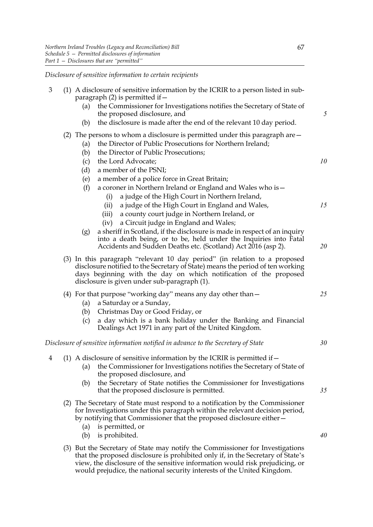*Disclosure of sensitive information to certain recipients*

| 3 | (1) A disclosure of sensitive information by the ICRIR to a person listed in sub-<br>paragraph $(2)$ is permitted if $-$                                                                                                                                                         |                                                                                                                                                                                                                                                                  |    |  |  |
|---|----------------------------------------------------------------------------------------------------------------------------------------------------------------------------------------------------------------------------------------------------------------------------------|------------------------------------------------------------------------------------------------------------------------------------------------------------------------------------------------------------------------------------------------------------------|----|--|--|
|   | (a)                                                                                                                                                                                                                                                                              | the Commissioner for Investigations notifies the Secretary of State of<br>the proposed disclosure, and                                                                                                                                                           | 5  |  |  |
|   | (b)                                                                                                                                                                                                                                                                              | the disclosure is made after the end of the relevant 10 day period.                                                                                                                                                                                              |    |  |  |
|   | (2) The persons to whom a disclosure is permitted under this paragraph are $-$<br>the Director of Public Prosecutions for Northern Ireland;<br>(a)<br>the Director of Public Prosecutions;<br>(b)                                                                                |                                                                                                                                                                                                                                                                  |    |  |  |
|   | (c)                                                                                                                                                                                                                                                                              | the Lord Advocate;                                                                                                                                                                                                                                               | 10 |  |  |
|   | (d)                                                                                                                                                                                                                                                                              | a member of the PSNI;                                                                                                                                                                                                                                            |    |  |  |
|   | (e)                                                                                                                                                                                                                                                                              | a member of a police force in Great Britain;                                                                                                                                                                                                                     |    |  |  |
|   | (f)                                                                                                                                                                                                                                                                              | a coroner in Northern Ireland or England and Wales who is -                                                                                                                                                                                                      |    |  |  |
|   |                                                                                                                                                                                                                                                                                  | a judge of the High Court in Northern Ireland,<br>(i)                                                                                                                                                                                                            |    |  |  |
|   |                                                                                                                                                                                                                                                                                  | a judge of the High Court in England and Wales,<br>(ii)                                                                                                                                                                                                          | 15 |  |  |
|   |                                                                                                                                                                                                                                                                                  | a county court judge in Northern Ireland, or<br>(iii)                                                                                                                                                                                                            |    |  |  |
|   | (g)                                                                                                                                                                                                                                                                              | a Circuit judge in England and Wales;<br>(iv)<br>a sheriff in Scotland, if the disclosure is made in respect of an inquiry<br>into a death being, or to be, held under the Inquiries into Fatal<br>Accidents and Sudden Deaths etc. (Scotland) Act 2016 (asp 2). | 20 |  |  |
|   | (3) In this paragraph "relevant 10 day period" (in relation to a proposed<br>disclosure notified to the Secretary of State) means the period of ten working<br>days beginning with the day on which notification of the proposed<br>disclosure is given under sub-paragraph (1). |                                                                                                                                                                                                                                                                  |    |  |  |
|   |                                                                                                                                                                                                                                                                                  | (4) For that purpose "working day" means any day other than $-$                                                                                                                                                                                                  | 25 |  |  |
|   | (a)                                                                                                                                                                                                                                                                              | a Saturday or a Sunday,                                                                                                                                                                                                                                          |    |  |  |
|   | (b)                                                                                                                                                                                                                                                                              | Christmas Day or Good Friday, or                                                                                                                                                                                                                                 |    |  |  |
|   | (c)                                                                                                                                                                                                                                                                              | a day which is a bank holiday under the Banking and Financial<br>Dealings Act 1971 in any part of the United Kingdom.                                                                                                                                            |    |  |  |
|   |                                                                                                                                                                                                                                                                                  | Disclosure of sensitive information notified in advance to the Secretary of State                                                                                                                                                                                | 30 |  |  |
| 4 |                                                                                                                                                                                                                                                                                  | (1) A disclosure of sensitive information by the ICRIR is permitted if $-$                                                                                                                                                                                       |    |  |  |
|   | (a)                                                                                                                                                                                                                                                                              | the Commissioner for Investigations notifies the Secretary of State of<br>the proposed disclosure, and                                                                                                                                                           |    |  |  |
|   | (b)                                                                                                                                                                                                                                                                              | the Secretary of State notifies the Commissioner for Investigations<br>that the proposed disclosure is permitted.                                                                                                                                                | 35 |  |  |
|   | (2) The Secretary of State must respond to a notification by the Commissioner<br>for Investigations under this paragraph within the relevant decision period,<br>by notifying that Commissioner that the proposed disclosure either –                                            |                                                                                                                                                                                                                                                                  |    |  |  |
|   | (a)<br>(b)                                                                                                                                                                                                                                                                       | is permitted, or<br>is prohibited.                                                                                                                                                                                                                               | 40 |  |  |
|   |                                                                                                                                                                                                                                                                                  | (3) But the Secretary of State may notify the Commissioner for Investigations<br>that the proposed disclosure is prohibited only if, in the Secretary of State's<br>view, the disclosure of the sensitive information would risk prejudicing, or                 |    |  |  |

would prejudice, the national security interests of the United Kingdom.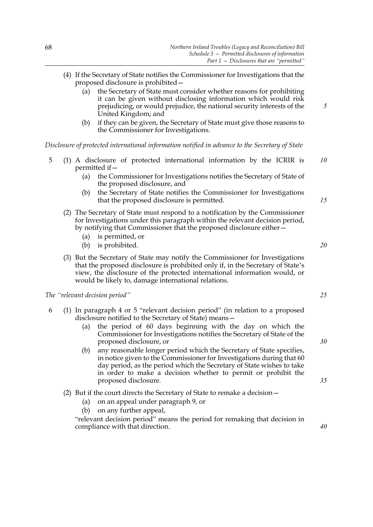- (4) If the Secretary of State notifies the Commissioner for Investigations that the proposed disclosure is prohibited—
	- (a) the Secretary of State must consider whether reasons for prohibiting it can be given without disclosing information which would risk prejudicing, or would prejudice, the national security interests of the United Kingdom; and
	- (b) if they can be given, the Secretary of State must give those reasons to the Commissioner for Investigations.

*Disclosure of protected international information notified in advance to the Secretary of State*

- 5 (1) A disclosure of protected international information by the ICRIR is permitted if— *10*
	- (a) the Commissioner for Investigations notifies the Secretary of State of the proposed disclosure, and
	- (b) the Secretary of State notifies the Commissioner for Investigations that the proposed disclosure is permitted.
	- (2) The Secretary of State must respond to a notification by the Commissioner for Investigations under this paragraph within the relevant decision period, by notifying that Commissioner that the proposed disclosure either—
		- (a) is permitted, or
		- (b) is prohibited.
	- (3) But the Secretary of State may notify the Commissioner for Investigations that the proposed disclosure is prohibited only if, in the Secretary of State's view, the disclosure of the protected international information would, or would be likely to, damage international relations.

*The "relevant decision period"*

- 6 (1) In paragraph 4 or 5 "relevant decision period" (in relation to a proposed disclosure notified to the Secretary of State) means—
	- (a) the period of 60 days beginning with the day on which the Commissioner for Investigations notifies the Secretary of State of the proposed disclosure, or
	- (b) any reasonable longer period which the Secretary of State specifies, in notice given to the Commissioner for Investigations during that 60 day period, as the period which the Secretary of State wishes to take in order to make a decision whether to permit or prohibit the proposed disclosure.
	- (2) But if the court directs the Secretary of State to remake a decision—
		- (a) on an appeal under paragraph 9, or
		- (b) on any further appeal,

"relevant decision period" means the period for remaking that decision in compliance with that direction.

*20*

*15*

*5*

*30*

*25*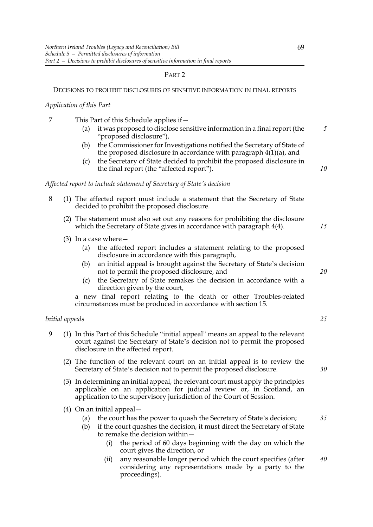# PART 2

#### DECISIONS TO PROHIBIT DISCLOSURES OF SENSITIVE INFORMATION IN FINAL REPORTS

#### *Application of this Part*

- 7 This Part of this Schedule applies if—
	- (a) it was proposed to disclose sensitive information in a final report (the "proposed disclosure"), *5*
	- (b) the Commissioner for Investigations notified the Secretary of State of the proposed disclosure in accordance with paragraph 4(1)(a), and
	- (c) the Secretary of State decided to prohibit the proposed disclosure in the final report (the "affected report").

*Affected report to include statement of Secretary of State's decision*

- 8 (1) The affected report must include a statement that the Secretary of State decided to prohibit the proposed disclosure.
	- (2) The statement must also set out any reasons for prohibiting the disclosure which the Secretary of State gives in accordance with paragraph 4(4).
	- (3) In a case where  $-$ 
		- (a) the affected report includes a statement relating to the proposed disclosure in accordance with this paragraph,
		- (b) an initial appeal is brought against the Secretary of State's decision not to permit the proposed disclosure, and
		- (c) the Secretary of State remakes the decision in accordance with a direction given by the court,

a new final report relating to the death or other Troubles-related circumstances must be produced in accordance with section 15.

#### *Initial appeals*

- 9 (1) In this Part of this Schedule "initial appeal" means an appeal to the relevant court against the Secretary of State's decision not to permit the proposed disclosure in the affected report.
	- (2) The function of the relevant court on an initial appeal is to review the Secretary of State's decision not to permit the proposed disclosure.
	- (3) In determining an initial appeal, the relevant court must apply the principles applicable on an application for judicial review or, in Scotland, an application to the supervisory jurisdiction of the Court of Session.
	- (4) On an initial appeal—
		- (a) the court has the power to quash the Secretary of State's decision;
		- (b) if the court quashes the decision, it must direct the Secretary of State to remake the decision within—
			- (i) the period of 60 days beginning with the day on which the court gives the direction, or
			- (ii) any reasonable longer period which the court specifies (after considering any representations made by a party to the proceedings). *40*

*30*

*25*

*10*

*15*

*20*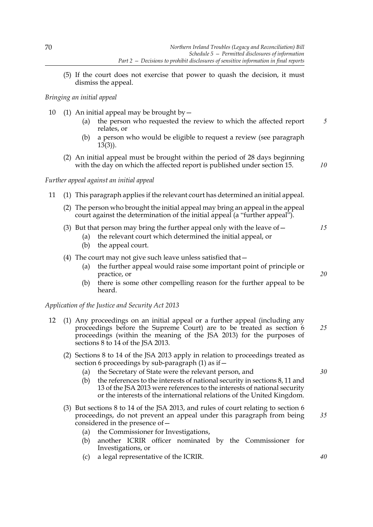(5) If the court does not exercise that power to quash the decision, it must dismiss the appeal.

# *Bringing an initial appeal*

- 10 (1) An initial appeal may be brought by  $-$ 
	- (a) the person who requested the review to which the affected report relates, or *5*
	- (b) a person who would be eligible to request a review (see paragraph 13(3)).
	- (2) An initial appeal must be brought within the period of 28 days beginning with the day on which the affected report is published under section 15.

*10*

*15*

*20*

# *Further appeal against an initial appeal*

- 11 (1) This paragraph applies if the relevant court has determined an initial appeal.
	- (2) The person who brought the initial appeal may bring an appeal in the appeal court against the determination of the initial appeal (a "further appeal").
	- (3) But that person may bring the further appeal only with the leave of  $-$ 
		- (a) the relevant court which determined the initial appeal, or
		- (b) the appeal court.
	- (4) The court may not give such leave unless satisfied that—
		- (a) the further appeal would raise some important point of principle or practice, or
		- (b) there is some other compelling reason for the further appeal to be heard.

*Application of the Justice and Security Act 2013*

- 12 (1) Any proceedings on an initial appeal or a further appeal (including any proceedings before the Supreme Court) are to be treated as section 6 proceedings (within the meaning of the JSA 2013) for the purposes of sections 8 to 14 of the JSA 2013. *25*
	- (2) Sections 8 to 14 of the JSA 2013 apply in relation to proceedings treated as section 6 proceedings by sub-paragraph  $(1)$  as if  $-$ 
		- (a) the Secretary of State were the relevant person, and
		- (b) the references to the interests of national security in sections 8, 11 and 13 of the JSA 2013 were references to the interests of national security or the interests of the international relations of the United Kingdom.
	- (3) But sections 8 to 14 of the JSA 2013, and rules of court relating to section 6 proceedings, do not prevent an appeal under this paragraph from being considered in the presence of—
		- (a) the Commissioner for Investigations,
		- (b) another ICRIR officer nominated by the Commissioner for Investigations, or
		- (c) a legal representative of the ICRIR.

*30*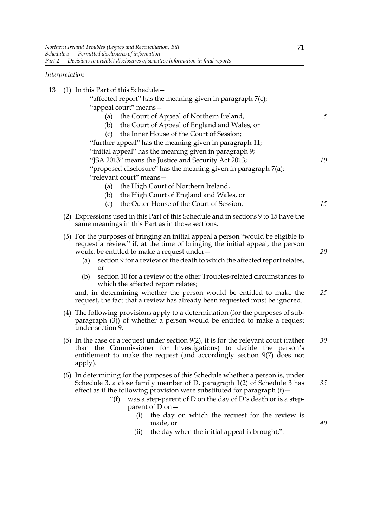# *Interpretation*

|  |  | 13 (1) In this Part of this Schedule $-$ |
|--|--|------------------------------------------|
|--|--|------------------------------------------|

- "affected report" has the meaning given in paragraph 7(c); "appeal court" means— (a) the Court of Appeal of Northern Ireland, (b) the Court of Appeal of England and Wales, or (c) the Inner House of the Court of Session; "further appeal" has the meaning given in paragraph 11; "initial appeal" has the meaning given in paragraph 9; "JSA 2013" means the Justice and Security Act 2013; "proposed disclosure" has the meaning given in paragraph 7(a); "relevant court" means— *10*
	- (a) the High Court of Northern Ireland,
	- (b) the High Court of England and Wales, or
	- (c) the Outer House of the Court of Session.
- (2) Expressions used in this Part of this Schedule and in sections 9 to 15 have the same meanings in this Part as in those sections.
- (3) For the purposes of bringing an initial appeal a person "would be eligible to request a review" if, at the time of bringing the initial appeal, the person would be entitled to make a request under—
	- (a) section 9 for a review of the death to which the affected report relates, or
	- (b) section 10 for a review of the other Troubles-related circumstances to which the affected report relates;

and, in determining whether the person would be entitled to make the request, the fact that a review has already been requested must be ignored. *25*

- (4) The following provisions apply to a determination (for the purposes of subparagraph  $(3)$ ) of whether a person would be entitled to make a request under section 9.
- (5) In the case of a request under section 9(2), it is for the relevant court (rather than the Commissioner for Investigations) to decide the person's entitlement to make the request (and accordingly section 9(7) does not apply). *30*
- (6) In determining for the purposes of this Schedule whether a person is, under Schedule 3, a close family member of D, paragraph 1(2) of Schedule 3 has effect as if the following provision were substituted for paragraph  $(f)$  –
	- "(f) was a step-parent of D on the day of D's death or is a stepparent of  $\overline{D}$  on  $-$ 
		- (i) the day on which the request for the review is made, or
		- (ii) the day when the initial appeal is brought;".

71

*5*

*15*

*20*

*40*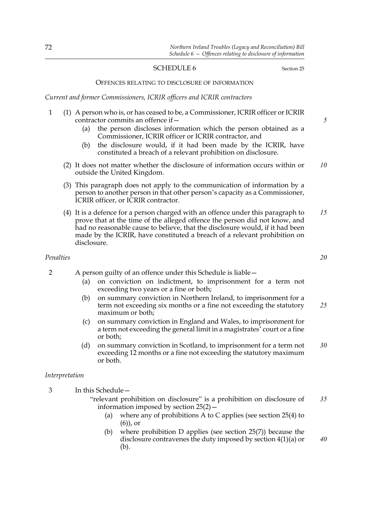# SCHEDULE 6 Section 25

#### OFFENCES RELATING TO DISCLOSURE OF INFORMATION

*Current and former Commissioners, ICRIR officers and ICRIR contractors*

- 1 (1) A person who is, or has ceased to be, a Commissioner, ICRIR officer or ICRIR contractor commits an offence if—
	- (a) the person discloses information which the person obtained as a Commissioner, ICRIR officer or ICRIR contractor, and
	- (b) the disclosure would, if it had been made by the ICRIR, have constituted a breach of a relevant prohibition on disclosure.
	- (2) It does not matter whether the disclosure of information occurs within or outside the United Kingdom. *10*
	- (3) This paragraph does not apply to the communication of information by a person to another person in that other person's capacity as a Commissioner, ICRIR officer, or ICRIR contractor.
	- (4) It is a defence for a person charged with an offence under this paragraph to prove that at the time of the alleged offence the person did not know, and had no reasonable cause to believe, that the disclosure would, if it had been made by the ICRIR, have constituted a breach of a relevant prohibition on disclosure. *15*

# *Penalties*

- 2 A person guilty of an offence under this Schedule is liable—
	- (a) on conviction on indictment, to imprisonment for a term not exceeding two years or a fine or both;
	- (b) on summary conviction in Northern Ireland, to imprisonment for a term not exceeding six months or a fine not exceeding the statutory maximum or both; *25*
	- (c) on summary conviction in England and Wales, to imprisonment for a term not exceeding the general limit in a magistrates' court or a fine or both;
	- (d) on summary conviction in Scotland, to imprisonment for a term not exceeding 12 months or a fine not exceeding the statutory maximum or both. *30*

#### *Interpretation*

3 In this Schedule—

- "relevant prohibition on disclosure" is a prohibition on disclosure of information imposed by section 25(2)— *35*
	- (a) where any of prohibitions A to C applies (see section 25(4) to (6)), or
	- (b) where prohibition D applies (see section 25(7)) because the disclosure contravenes the duty imposed by section 4(1)(a) or (b). *40*

*20*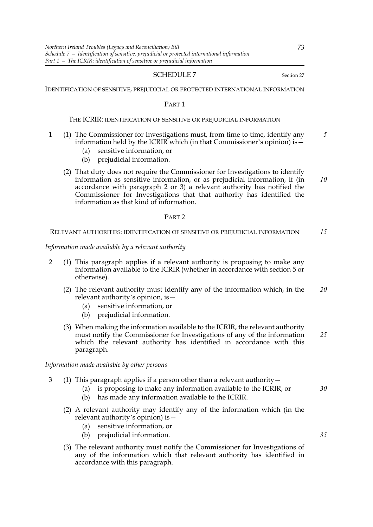#### SCHEDULE 7 Section 27

IDENTIFICATION OF SENSITIVE, PREJUDICIAL OR PROTECTED INTERNATIONAL INFORMATION

#### PART 1

#### THE ICRIR: IDENTIFICATION OF SENSITIVE OR PREJUDICIAL INFORMATION

- 1 (1) The Commissioner for Investigations must, from time to time, identify any information held by the ICRIR which (in that Commissioner's opinion) is  $-\frac{1}{2}$ *5*
	- (a) sensitive information, or
	- (b) prejudicial information.
	- (2) That duty does not require the Commissioner for Investigations to identify information as sensitive information, or as prejudicial information, if (in accordance with paragraph 2 or 3) a relevant authority has notified the Commissioner for Investigations that that authority has identified the information as that kind of information. *10*

# PART 2

RELEVANT AUTHORITIES: IDENTIFICATION OF SENSITIVE OR PREJUDICIAL INFORMATION *15*

*Information made available by a relevant authority*

- 2 (1) This paragraph applies if a relevant authority is proposing to make any information available to the ICRIR (whether in accordance with section 5 or otherwise).
	- (2) The relevant authority must identify any of the information which, in the relevant authority's opinion, is— *20*
		- (a) sensitive information, or
		- (b) prejudicial information.
	- (3) When making the information available to the ICRIR, the relevant authority must notify the Commissioner for Investigations of any of the information which the relevant authority has identified in accordance with this paragraph. *25*

*Information made available by other persons*

- 3 (1) This paragraph applies if a person other than a relevant authority—
	- (a) is proposing to make any information available to the ICRIR, or
	- (b) has made any information available to the ICRIR.
	- (2) A relevant authority may identify any of the information which (in the relevant authority's opinion) is—
		- (a) sensitive information, or
		- (b) prejudicial information.
	- (3) The relevant authority must notify the Commissioner for Investigations of any of the information which that relevant authority has identified in accordance with this paragraph.

73

*30*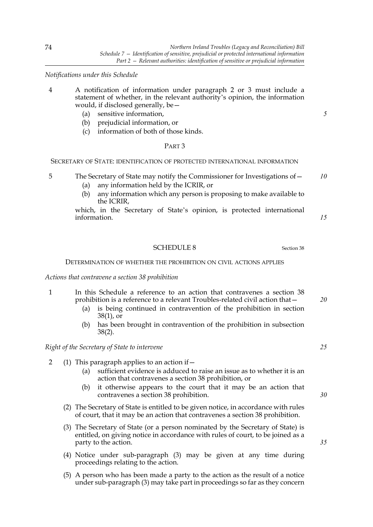*Notifications under this Schedule*

- 4 A notification of information under paragraph 2 or 3 must include a statement of whether, in the relevant authority's opinion, the information would, if disclosed generally, be—
	- (a) sensitive information,
	- (b) prejudicial information, or
	- (c) information of both of those kinds.

# PART 3

SECRETARY OF STATE: IDENTIFICATION OF PROTECTED INTERNATIONAL INFORMATION

5 The Secretary of State may notify the Commissioner for Investigations of— *10*

- (a) any information held by the ICRIR, or
- (b) any information which any person is proposing to make available to the ICRIR,

which, in the Secretary of State's opinion, is protected international information.

#### SCHEDULE 8 Section 38

DETERMINATION OF WHETHER THE PROHIBITION ON CIVIL ACTIONS APPLIES

*Actions that contravene a section 38 prohibition*

- 1 In this Schedule a reference to an action that contravenes a section 38 prohibition is a reference to a relevant Troubles-related civil action that—
	- (a) is being continued in contravention of the prohibition in section 38(1), or
	- (b) has been brought in contravention of the prohibition in subsection 38(2).

# *Right of the Secretary of State to intervene*

- 2 (1) This paragraph applies to an action if—
	- (a) sufficient evidence is adduced to raise an issue as to whether it is an action that contravenes a section 38 prohibition, or
	- (b) it otherwise appears to the court that it may be an action that contravenes a section 38 prohibition.
	- (2) The Secretary of State is entitled to be given notice, in accordance with rules of court, that it may be an action that contravenes a section 38 prohibition.
	- (3) The Secretary of State (or a person nominated by the Secretary of State) is entitled, on giving notice in accordance with rules of court, to be joined as a party to the action.
	- (4) Notice under sub-paragraph (3) may be given at any time during proceedings relating to the action.
	- (5) A person who has been made a party to the action as the result of a notice under sub-paragraph (3) may take part in proceedings so far as they concern

*25*

*20*

*5*

*15*

*35*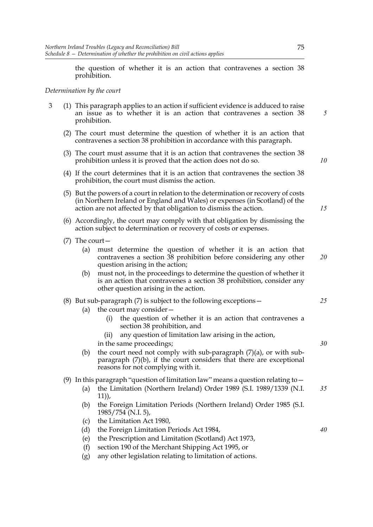the question of whether it is an action that contravenes a section 38 prohibition.

# *Determination by the court*

- 3 (1) This paragraph applies to an action if sufficient evidence is adduced to raise an issue as to whether it is an action that contravenes a section 38 prohibition.
	- (2) The court must determine the question of whether it is an action that contravenes a section 38 prohibition in accordance with this paragraph.
	- (3) The court must assume that it is an action that contravenes the section 38 prohibition unless it is proved that the action does not do so.
	- (4) If the court determines that it is an action that contravenes the section 38 prohibition, the court must dismiss the action.
	- (5) But the powers of a court in relation to the determination or recovery of costs (in Northern Ireland or England and Wales) or expenses (in Scotland) of the action are not affected by that obligation to dismiss the action.
	- (6) Accordingly, the court may comply with that obligation by dismissing the action subject to determination or recovery of costs or expenses.
	- (7) The court—
		- (a) must determine the question of whether it is an action that contravenes a section 38 prohibition before considering any other question arising in the action; *20*
		- (b) must not, in the proceedings to determine the question of whether it is an action that contravenes a section 38 prohibition, consider any other question arising in the action.

# (8) But sub-paragraph (7) is subject to the following exceptions—

- (a) the court may consider—
	- (i) the question of whether it is an action that contravenes a section 38 prohibition, and
	- (ii) any question of limitation law arising in the action, in the same proceedings;
- (b) the court need not comply with sub-paragraph  $(7)(a)$ , or with subparagraph (7)(b), if the court considers that there are exceptional reasons for not complying with it.

# (9) In this paragraph "question of limitation law" means a question relating to—

- (a) the Limitation (Northern Ireland) Order 1989 (S.I. 1989/1339 (N.I. 11)), *35*
- (b) the Foreign Limitation Periods (Northern Ireland) Order 1985 (S.I. 1985/754 (N.I. 5),
- (c) the Limitation Act 1980,
- (d) the Foreign Limitation Periods Act 1984,
- (e) the Prescription and Limitation (Scotland) Act 1973,
- (f) section 190 of the Merchant Shipping Act 1995, or
- (g) any other legislation relating to limitation of actions.

*5*

*10*

*15*

*30*

*25*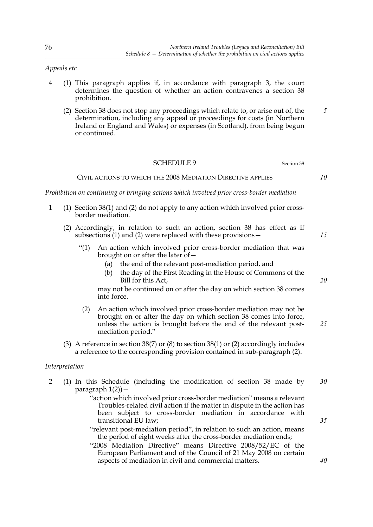*Appeals etc*

- 4 (1) This paragraph applies if, in accordance with paragraph 3, the court determines the question of whether an action contravenes a section 38 prohibition.
	- (2) Section 38 does not stop any proceedings which relate to, or arise out of, the determination, including any appeal or proceedings for costs (in Northern Ireland or England and Wales) or expenses (in Scotland), from being begun or continued. *5*

# SCHEDULE 9 Section 38

## CIVIL ACTIONS TO WHICH THE 2008 MEDIATION DIRECTIVE APPLIES

*Prohibition on continuing or bringing actions which involved prior cross-border mediation*

- 1 (1) Section 38(1) and (2) do not apply to any action which involved prior crossborder mediation.
	- (2) Accordingly, in relation to such an action, section 38 has effect as if subsections (1) and (2) were replaced with these provisions—
		- "(1) An action which involved prior cross-border mediation that was brought on or after the later of—
			- (a) the end of the relevant post-mediation period, and
			- (b) the day of the First Reading in the House of Commons of the Bill for this Act,

may not be continued on or after the day on which section 38 comes into force.

- (2) An action which involved prior cross-border mediation may not be brought on or after the day on which section 38 comes into force, unless the action is brought before the end of the relevant postmediation period."
- (3) A reference in section 38(7) or (8) to section 38(1) or (2) accordingly includes a reference to the corresponding provision contained in sub-paragraph (2).

# *Interpretation*

- 2 (1) In this Schedule (including the modification of section 38 made by paragraph  $1(2)$ ) – *30*
	- "action which involved prior cross-border mediation" means a relevant Troubles-related civil action if the matter in dispute in the action has been subject to cross-border mediation in accordance with transitional EU law;
	- "relevant post-mediation period", in relation to such an action, means the period of eight weeks after the cross-border mediation ends;
	- "2008 Mediation Directive" means Directive 2008/52/EC of the European Parliament and of the Council of 21 May 2008 on certain aspects of mediation in civil and commercial matters.

*10*

*20*

*15*

*25*

*35*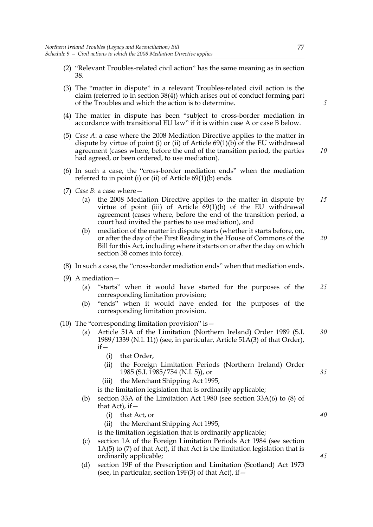- (2) "Relevant Troubles-related civil action" has the same meaning as in section 38.
- (3) The "matter in dispute" in a relevant Troubles-related civil action is the claim (referred to in section 38(4)) which arises out of conduct forming part of the Troubles and which the action is to determine.
- (4) The matter in dispute has been "subject to cross-border mediation in accordance with transitional EU law" if it is within case A or case B below.
- (5) *Case A*: a case where the 2008 Mediation Directive applies to the matter in dispute by virtue of point (i) or (ii) of Article 69(1)(b) of the EU withdrawal agreement (cases where, before the end of the transition period, the parties had agreed, or been ordered, to use mediation).
- (6) In such a case, the "cross-border mediation ends" when the mediation referred to in point (i) or (ii) of Article 69(1)(b) ends.
- (7) *Case B*: a case where—
	- (a) the 2008 Mediation Directive applies to the matter in dispute by virtue of point (iii) of Article 69(1)(b) of the EU withdrawal agreement (cases where, before the end of the transition period, a court had invited the parties to use mediation), and *15*
	- (b) mediation of the matter in dispute starts (whether it starts before, on, or after the day of the First Reading in the House of Commons of the Bill for this Act, including where it starts on or after the day on which section 38 comes into force). *20*
- (8) In such a case, the "cross-border mediation ends" when that mediation ends.
- (9) A mediation—
	- (a) "starts" when it would have started for the purposes of the corresponding limitation provision; *25*
	- (b) "ends" when it would have ended for the purposes of the corresponding limitation provision.
- (10) The "corresponding limitation provision" is—
	- (a) Article 51A of the Limitation (Northern Ireland) Order 1989 (S.I. 1989/1339 (N.I. 11)) (see, in particular, Article 51A(3) of that Order),  $if -$ *30*
		- (i) that Order,
		- (ii) the Foreign Limitation Periods (Northern Ireland) Order 1985 (S.I. 1985/754 (N.I. 5)), or
		- (iii) the Merchant Shipping Act 1995,

is the limitation legislation that is ordinarily applicable;

- (b) section 33A of the Limitation Act 1980 (see section 33A(6) to (8) of that Act), if  $-$ 
	- (i) that Act, or
	- (ii) the Merchant Shipping Act 1995,

is the limitation legislation that is ordinarily applicable;

- (c) section 1A of the Foreign Limitation Periods Act 1984 (see section  $1A(5)$  to  $(7)$  of that Act), if that Act is the limitation legislation that is ordinarily applicable;
- (d) section 19F of the Prescription and Limitation (Scotland) Act 1973 (see, in particular, section  $19F(3)$  of that Act), if  $-$

*5*

77

*10*

*40*

*45*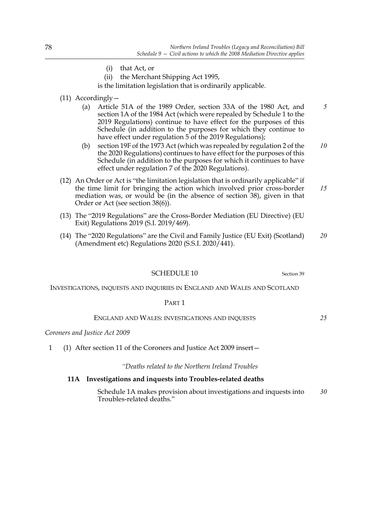- (i) that Act, or
- (ii) the Merchant Shipping Act 1995,

is the limitation legislation that is ordinarily applicable.

- (11) Accordingly—
	- (a) Article 51A of the 1989 Order, section 33A of the 1980 Act, and section 1A of the 1984 Act (which were repealed by Schedule 1 to the 2019 Regulations) continue to have effect for the purposes of this Schedule (in addition to the purposes for which they continue to have effect under regulation 5 of the 2019 Regulations); *5*
	- (b) section 19F of the 1973 Act (which was repealed by regulation 2 of the the 2020 Regulations) continues to have effect for the purposes of this Schedule (in addition to the purposes for which it continues to have effect under regulation 7 of the 2020 Regulations). *10*
- (12) An Order or Act is "the limitation legislation that is ordinarily applicable" if the time limit for bringing the action which involved prior cross-border mediation was, or would be (in the absence of section 38), given in that Order or Act (see section 38(6)). *15*
- (13) The "2019 Regulations" are the Cross-Border Mediation (EU Directive) (EU Exit) Regulations 2019 (S.I. 2019/469).
- (14) The "2020 Regulations" are the Civil and Family Justice (EU Exit) (Scotland) (Amendment etc) Regulations 2020 (S.S.I. 2020/441). *20*

SCHEDULE 10 Section 39

*25*

INVESTIGATIONS, INQUESTS AND INQUIRIES IN ENGLAND AND WALES AND SCOTLAND

#### PART 1

#### ENGLAND AND WALES: INVESTIGATIONS AND INQUESTS

#### *Coroners and Justice Act 2009*

1 (1) After section 11 of the Coroners and Justice Act 2009 insert—

*"Deaths related to the Northern Ireland Troubles*

# **11A Investigations and inquests into Troubles-related deaths**

 Schedule 1A makes provision about investigations and inquests into Troubles-related deaths." *30*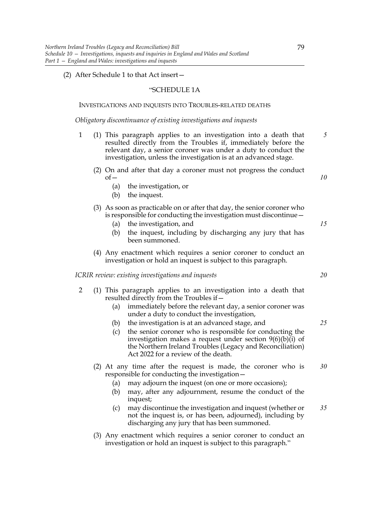#### (2) After Schedule 1 to that Act insert—

#### "SCHEDULE 1A

#### INVESTIGATIONS AND INQUESTS INTO TROUBLES-RELATED DEATHS

*Obligatory discontinuance of existing investigations and inquests*

- 1 (1) This paragraph applies to an investigation into a death that resulted directly from the Troubles if, immediately before the relevant day, a senior coroner was under a duty to conduct the investigation, unless the investigation is at an advanced stage. *5*
	- (2) On and after that day a coroner must not progress the conduct  $of$ 
		- (a) the investigation, or
		- (b) the inquest.
	- (3) As soon as practicable on or after that day, the senior coroner who is responsible for conducting the investigation must discontinue—
		- (a) the investigation, and
		- (b) the inquest, including by discharging any jury that has been summoned.
	- (4) Any enactment which requires a senior coroner to conduct an investigation or hold an inquest is subject to this paragraph.

*ICRIR review: existing investigations and inquests*

- 2 (1) This paragraph applies to an investigation into a death that resulted directly from the Troubles if—
	- (a) immediately before the relevant day, a senior coroner was under a duty to conduct the investigation,
	- (b) the investigation is at an advanced stage, and
	- (c) the senior coroner who is responsible for conducting the investigation makes a request under section  $9(6)(b)(i)$  of the Northern Ireland Troubles (Legacy and Reconciliation) Act 2022 for a review of the death.
	- (2) At any time after the request is made, the coroner who is responsible for conducting the investigation— *30*
		- (a) may adjourn the inquest (on one or more occasions);
		- (b) may, after any adjournment, resume the conduct of the inquest;
		- (c) may discontinue the investigation and inquest (whether or not the inquest is, or has been, adjourned), including by discharging any jury that has been summoned. *35*
	- (3) Any enactment which requires a senior coroner to conduct an investigation or hold an inquest is subject to this paragraph."

*20*

*25*

*10*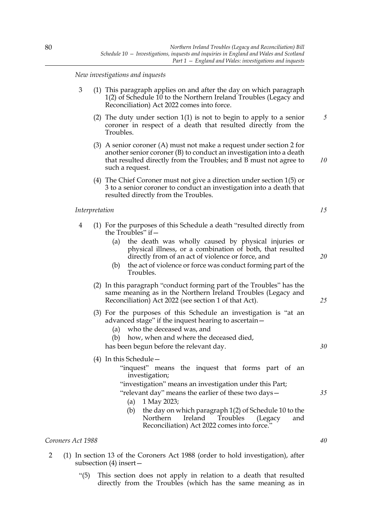*New investigations and inquests*

- 3 (1) This paragraph applies on and after the day on which paragraph 1(2) of Schedule 10 to the Northern Ireland Troubles (Legacy and Reconciliation) Act 2022 comes into force.
	- (2) The duty under section 1(1) is not to begin to apply to a senior coroner in respect of a death that resulted directly from the Troubles. *5*
	- (3) A senior coroner (A) must not make a request under section 2 for another senior coroner (B) to conduct an investigation into a death that resulted directly from the Troubles; and B must not agree to such a request.
	- (4) The Chief Coroner must not give a direction under section 1(5) or 3 to a senior coroner to conduct an investigation into a death that resulted directly from the Troubles.

#### *Interpretation*

- 4 (1) For the purposes of this Schedule a death "resulted directly from the Troubles" if—
	- (a) the death was wholly caused by physical injuries or physical illness, or a combination of both, that resulted directly from of an act of violence or force, and
	- (b) the act of violence or force was conduct forming part of the Troubles.
	- (2) In this paragraph "conduct forming part of the Troubles" has the same meaning as in the Northern Ireland Troubles (Legacy and Reconciliation) Act 2022 (see section 1 of that Act).
	- (3) For the purposes of this Schedule an investigation is "at an advanced stage" if the inquest hearing to ascertain—
		- (a) who the deceased was, and
		- (b) how, when and where the deceased died,

has been begun before the relevant day.

(4) In this Schedule—

- "inquest" means the inquest that forms part of an investigation;
- "investigation" means an investigation under this Part;
- "relevant day" means the earlier of these two days— (a) 1 May 2023;
	- (b) the day on which paragraph 1(2) of Schedule 10 to the Northern Ireland Troubles (Legacy and Reconciliation) Act 2022 comes into force."

#### *Coroners Act 1988*

- 2 (1) In section 13 of the Coroners Act 1988 (order to hold investigation), after subsection (4) insert—
	- "(5) This section does not apply in relation to a death that resulted directly from the Troubles (which has the same meaning as in

*15*

*10*

*20*

*25*

*30*

*40*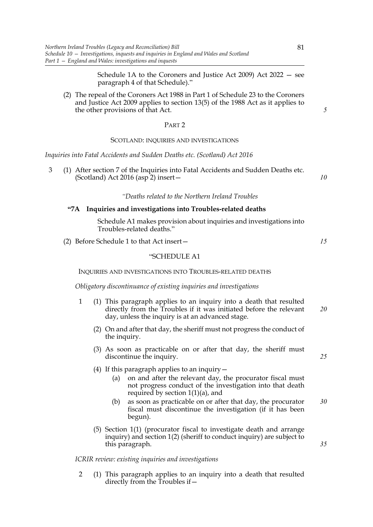Schedule 1A to the Coroners and Justice Act 2009) Act 2022 — see paragraph 4 of that Schedule)."

(2) The repeal of the Coroners Act 1988 in Part 1 of Schedule 23 to the Coroners and Justice Act 2009 applies to section 13(5) of the 1988 Act as it applies to the other provisions of that Act.

#### PART 2

#### SCOTLAND: INQUIRIES AND INVESTIGATIONS

*Inquiries into Fatal Accidents and Sudden Deaths etc. (Scotland) Act 2016*

3 (1) After section 7 of the Inquiries into Fatal Accidents and Sudden Deaths etc. (Scotland) Act 2016 (asp 2) insert—

#### *"Deaths related to the Northern Ireland Troubles*

# **"7A Inquiries and investigations into Troubles-related deaths**

 Schedule A1 makes provision about inquiries and investigations into Troubles-related deaths."

(2) Before Schedule 1 to that Act insert—

# "SCHEDULE A1

INQUIRIES AND INVESTIGATIONS INTO TROUBLES-RELATED DEATHS

*Obligatory discontinuance of existing inquiries and investigations*

- 1 (1) This paragraph applies to an inquiry into a death that resulted directly from the Troubles if it was initiated before the relevant day, unless the inquiry is at an advanced stage. *20*
	- (2) On and after that day, the sheriff must not progress the conduct of the inquiry.
	- (3) As soon as practicable on or after that day, the sheriff must discontinue the inquiry.
	- (4) If this paragraph applies to an inquiry—
		- (a) on and after the relevant day, the procurator fiscal must not progress conduct of the investigation into that death required by section  $1(1)(a)$ , and
		- (b) as soon as practicable on or after that day, the procurator fiscal must discontinue the investigation (if it has been begun). *30*
	- (5) Section 1(1) (procurator fiscal to investigate death and arrange inquiry) and section 1(2) (sheriff to conduct inquiry) are subject to this paragraph.

#### *ICRIR review: existing inquiries and investigations*

2 (1) This paragraph applies to an inquiry into a death that resulted directly from the Troubles if*5*

*10*

*15*

*25*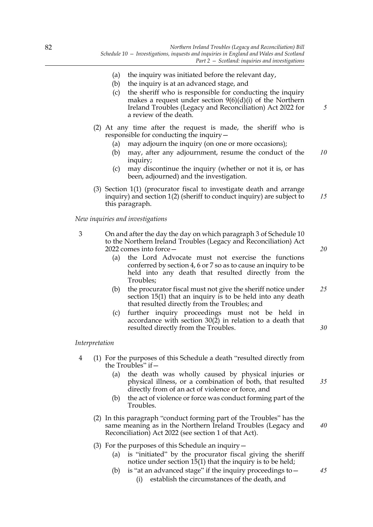- (a) the inquiry was initiated before the relevant day,
- (b) the inquiry is at an advanced stage, and
- (c) the sheriff who is responsible for conducting the inquiry makes a request under section 9(6)(d)(i) of the Northern Ireland Troubles (Legacy and Reconciliation) Act 2022 for a review of the death.
- (2) At any time after the request is made, the sheriff who is responsible for conducting the inquiry—
	- (a) may adjourn the inquiry (on one or more occasions);
	- (b) may, after any adjournment, resume the conduct of the inquiry; *10*
	- (c) may discontinue the inquiry (whether or not it is, or has been, adjourned) and the investigation.
- (3) Section 1(1) (procurator fiscal to investigate death and arrange inquiry) and section 1(2) (sheriff to conduct inquiry) are subject to this paragraph. *15*

*New inquiries and investigations*

- 3 On and after the day the day on which paragraph 3 of Schedule 10 to the Northern Ireland Troubles (Legacy and Reconciliation) Act 2022 comes into force—
	- (a) the Lord Advocate must not exercise the functions conferred by section 4, 6 or 7 so as to cause an inquiry to be held into any death that resulted directly from the Troubles;
	- (b) the procurator fiscal must not give the sheriff notice under section 15(1) that an inquiry is to be held into any death that resulted directly from the Troubles; and *25*
	- (c) further inquiry proceedings must not be held in accordance with section 30(2) in relation to a death that resulted directly from the Troubles.

#### *Interpretation*

- 4 (1) For the purposes of this Schedule a death "resulted directly from the Troubles" if  $-$ 
	- (a) the death was wholly caused by physical injuries or physical illness, or a combination of both, that resulted directly from of an act of violence or force, and
	- (b) the act of violence or force was conduct forming part of the Troubles.
	- (2) In this paragraph "conduct forming part of the Troubles" has the same meaning as in the Northern Ireland Troubles (Legacy and Reconciliation) Act 2022 (see section 1 of that Act).
	- (3) For the purposes of this Schedule an inquiry—
		- (a) is "initiated" by the procurator fiscal giving the sheriff notice under section  $15(1)$  that the inquiry is to be held;
		- (b) is "at an advanced stage" if the inquiry proceedings to  $-$ (i) establish the circumstances of the death, and

*20*

*5*

*30*

*40*

*45*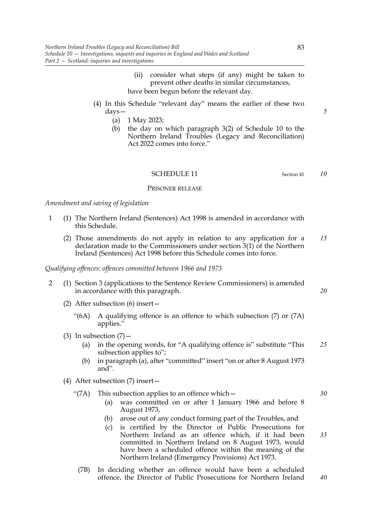- (ii) consider what steps (if any) might be taken to prevent other deaths in similar circumstances, have been begun before the relevant day.
- (4) In this Schedule "relevant day" means the earlier of these two days—
	- (a) 1 May 2023;
	- (b) the day on which paragraph 3(2) of Schedule 10 to the Northern Ireland Troubles (Legacy and Reconciliation) Act 2022 comes into force."

#### SCHEDULE 11 Section 41

# PRISONER RELEASE

*Amendment and saving of legislation*

- 1 (1) The Northern Ireland (Sentences) Act 1998 is amended in accordance with this Schedule.
	- (2) Those amendments do not apply in relation to any application for a declaration made to the Commissioners under section 3(1) of the Northern Ireland (Sentences) Act 1998 before this Schedule comes into force. *15*

#### *Qualifying offences: offences committed between 1966 and 1973*

- 2 (1) Section 3 (applications to the Sentence Review Commissioners) is amended in accordance with this paragraph.
	- (2) After subsection (6) insert—
		- "(6A) A qualifying offence is an offence to which subsection (7) or (7A) applies."
	- (3) In subsection  $(7)$ 
		- (a) in the opening words, for "A qualifying offence is" substitute "This subsection applies to"; *25*
		- (b) in paragraph (a), after "committed" insert "on or after 8 August 1973 and".
	- (4) After subsection (7) insert—
		- "(7A) This subsection applies to an offence which—
			- (a) was committed on or after 1 January 1966 and before 8 August 1973,
			- (b) arose out of any conduct forming part of the Troubles, and
			- (c) is certified by the Director of Public Prosecutions for Northern Ireland as an offence which, if it had been committed in Northern Ireland on 8 August 1973, would have been a scheduled offence within the meaning of the Northern Ireland (Emergency Provisions) Act 1973.
			- (7B) In deciding whether an offence would have been a scheduled offence, the Director of Public Prosecutions for Northern Ireland *40*

*5*

*10*

*20*

*30*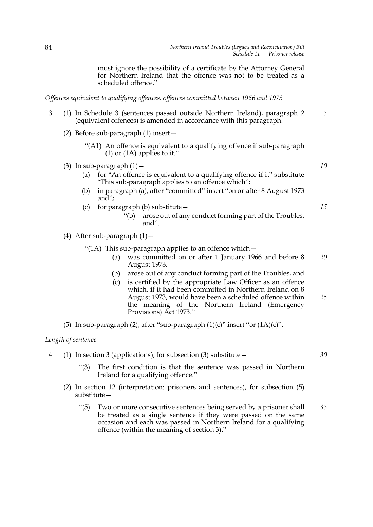must ignore the possibility of a certificate by the Attorney General for Northern Ireland that the offence was not to be treated as a scheduled offence."

*Offences equivalent to qualifying offences: offences committed between 1966 and 1973*

- 3 (1) In Schedule 3 (sentences passed outside Northern Ireland), paragraph 2 (equivalent offences) is amended in accordance with this paragraph. *5*
	- (2) Before sub-paragraph (1) insert—
		- "(A1) An offence is equivalent to a qualifying offence if sub-paragraph  $(1)$  or  $(1)$  applies to it."
	- (3) In sub-paragraph  $(1)$  -
		- (a) for "An offence is equivalent to a qualifying offence if it" substitute "This sub-paragraph applies to an offence which";
		- (b) in paragraph (a), after "committed" insert "on or after 8 August 1973 and";
		- (c) for paragraph (b) substitute  $-$ 
			- "(b) arose out of any conduct forming part of the Troubles, and".
	- (4) After sub-paragraph  $(1)$  -
		- "(1A) This sub-paragraph applies to an offence which  $-$ 
			- (a) was committed on or after 1 January 1966 and before 8 August 1973, *20*
			- (b) arose out of any conduct forming part of the Troubles, and
			- (c) is certified by the appropriate Law Officer as an offence which, if it had been committed in Northern Ireland on 8 August 1973, would have been a scheduled offence within the meaning of the Northern Ireland (Emergency Provisions) Act 1973." *25*
	- (5) In sub-paragraph (2), after "sub-paragraph  $(1)(c)$ " insert "or  $(1A)(c)$ ".

# *Length of sentence*

- 4 (1) In section 3 (applications), for subsection (3) substitute—
	- "(3) The first condition is that the sentence was passed in Northern Ireland for a qualifying offence."
	- (2) In section 12 (interpretation: prisoners and sentences), for subsection (5) substitute—
		- "(5) Two or more consecutive sentences being served by a prisoner shall be treated as a single sentence if they were passed on the same occasion and each was passed in Northern Ireland for a qualifying offence (within the meaning of section 3)." *35*

*15*

*10*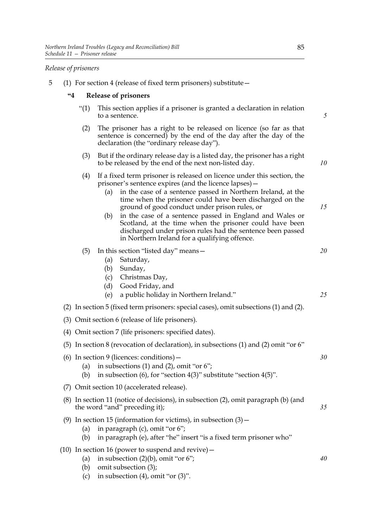# *Release of prisoners*

5 (1) For section 4 (release of fixed term prisoners) substitute—

# **"4 Release of prisoners**

- "(1) This section applies if a prisoner is granted a declaration in relation to a sentence.
- (2) The prisoner has a right to be released on licence (so far as that sentence is concerned) by the end of the day after the day of the declaration (the "ordinary release day").
- (3) But if the ordinary release day is a listed day, the prisoner has a right to be released by the end of the next non-listed day.
- (4) If a fixed term prisoner is released on licence under this section, the prisoner's sentence expires (and the licence lapses)—
	- (a) in the case of a sentence passed in Northern Ireland, at the time when the prisoner could have been discharged on the ground of good conduct under prison rules, or
	- (b) in the case of a sentence passed in England and Wales or Scotland, at the time when the prisoner could have been discharged under prison rules had the sentence been passed in Northern Ireland for a qualifying offence.

(5) In this section "listed day" means—

- (a) Saturday,
- (b) Sunday,
- (c) Christmas Day,
- (d) Good Friday, and
- (e) a public holiday in Northern Ireland."
- (2) In section 5 (fixed term prisoners: special cases), omit subsections (1) and (2).
- (3) Omit section 6 (release of life prisoners).
- (4) Omit section 7 (life prisoners: specified dates).
- (5) In section 8 (revocation of declaration), in subsections (1) and (2) omit "or 6"
- (6) In section 9 (licences: conditions)—
	- (a) in subsections (1) and (2), omit "or  $6$ ";
	- (b) in subsection  $(6)$ , for "section  $4(3)$ " substitute "section  $4(5)$ ".
- (7) Omit section 10 (accelerated release).
- (8) In section 11 (notice of decisions), in subsection (2), omit paragraph (b) (and the word "and" preceding it);
- (9) In section 15 (information for victims), in subsection  $(3)$  -
	- (a) in paragraph (c), omit "or 6";
	- (b) in paragraph (e), after "he" insert "is a fixed term prisoner who"
- (10) In section 16 (power to suspend and revive)—
	- (a) in subsection  $(2)(b)$ , omit "or 6";
	- (b) omit subsection (3);
	- (c) in subsection  $(4)$ , omit "or  $(3)$ ".

*5*

*10*

*15*

*20*

*25*

*30*

*35*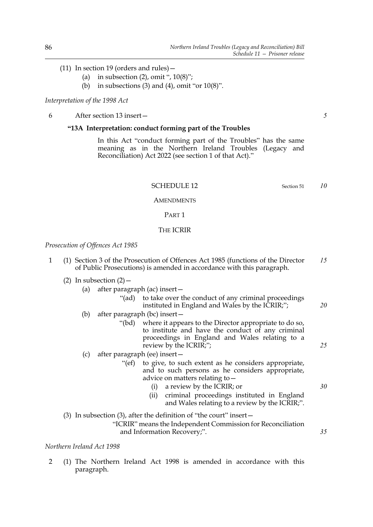- (11) In section 19 (orders and rules)—
	- (a) in subsection  $(2)$ , omit ",  $10(8)$ ";
	- (b) in subsections (3) and (4), omit "or  $10(8)$ ".

# *Interpretation of the 1998 Act*

6 After section 13 insert—

#### **"13A Interpretation: conduct forming part of the Troubles**

 In this Act "conduct forming part of the Troubles" has the same meaning as in the Northern Ireland Troubles (Legacy and Reconciliation) Act 2022 (see section 1 of that Act)."

SCHEDULE 12 Section 51

*10*

#### **AMENDMENTS**

#### PART 1

# THE ICRIR

*Prosecution of Offences Act 1985*

- 1 (1) Section 3 of the Prosecution of Offences Act 1985 (functions of the Director of Public Prosecutions) is amended in accordance with this paragraph. *15*
	- (2) In subsection  $(2)$ 
		- (a) after paragraph (ac) insert—
			- "(ad) to take over the conduct of any criminal proceedings instituted in England and Wales by the ICRIR;"; *20*
		- (b) after paragraph (bc) insert—
			- "(bd) where it appears to the Director appropriate to do so, to institute and have the conduct of any criminal proceedings in England and Wales relating to a review by the ICRIR;";
		- (c) after paragraph (ee) insert—
			- "(ef) to give, to such extent as he considers appropriate, and to such persons as he considers appropriate, advice on matters relating to—
				- (i) a review by the ICRIR; or
				- (ii) criminal proceedings instituted in England and Wales relating to a review by the ICRIR;".
	- (3) In subsection (3), after the definition of "the court" insert—

"ICRIR" means the Independent Commission for Reconciliation and Information Recovery;".

#### *Northern Ireland Act 1998*

2 (1) The Northern Ireland Act 1998 is amended in accordance with this paragraph.

*5*

*25*

*30*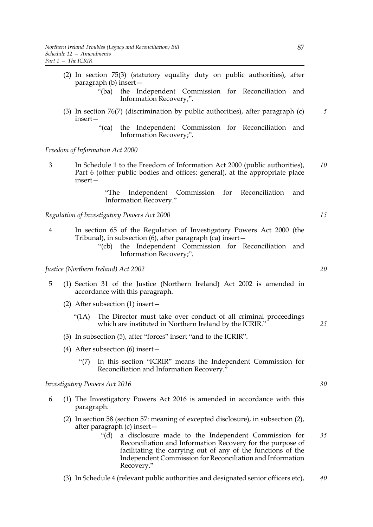- (2) In section 75(3) (statutory equality duty on public authorities), after paragraph (b) insert—
	- "(ba) the Independent Commission for Reconciliation and Information Recovery;".
- (3) In section 76(7) (discrimination by public authorities), after paragraph (c) insert—
	- "(ca) the Independent Commission for Reconciliation and Information Recovery;".

#### *Freedom of Information Act 2000*

3 In Schedule 1 to the Freedom of Information Act 2000 (public authorities), Part 6 (other public bodies and offices: general), at the appropriate place insert— *10*

> "The Independent Commission for Reconciliation and Information Recovery."

*Regulation of Investigatory Powers Act 2000*

- 4 In section 65 of the Regulation of Investigatory Powers Act 2000 (the Tribunal), in subsection  $(6)$ , after paragraph  $(ca)$  insert –
	- "(cb) the Independent Commission for Reconciliation and Information Recovery;".

*Justice (Northern Ireland) Act 2002*

- 5 (1) Section 31 of the Justice (Northern Ireland) Act 2002 is amended in accordance with this paragraph.
	- (2) After subsection (1) insert—
		- "(1A) The Director must take over conduct of all criminal proceedings which are instituted in Northern Ireland by the ICRIR."
	- (3) In subsection (5), after "forces" insert "and to the ICRIR".
	- (4) After subsection (6) insert—
		- "(7) In this section "ICRIR" means the Independent Commission for Reconciliation and Information Recovery."

*Investigatory Powers Act 2016*

- 6 (1) The Investigatory Powers Act 2016 is amended in accordance with this paragraph.
	- (2) In section 58 (section 57: meaning of excepted disclosure), in subsection (2), after paragraph (c) insert—
		- "(d) a disclosure made to the Independent Commission for Reconciliation and Information Recovery for the purpose of facilitating the carrying out of any of the functions of the Independent Commission for Reconciliation and Information Recovery." *35*
	- (3) In Schedule 4 (relevant public authorities and designated senior officers etc), *40*

*20*

*15*

*5*

*25*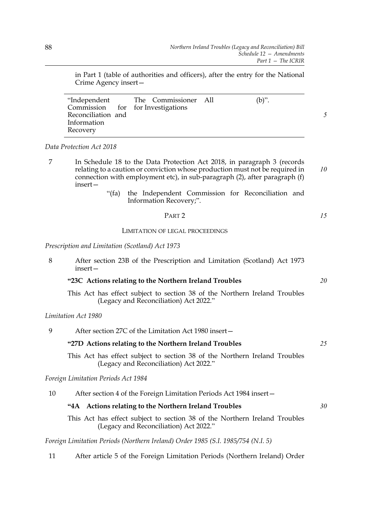in Part 1 (table of authorities and officers), after the entry for the National Crime Agency insert—

| "Independent       | The Commissioner All              | $(b)$ ". |
|--------------------|-----------------------------------|----------|
|                    | Commission for for Investigations |          |
| Reconciliation and |                                   |          |
| Information        |                                   |          |
| Recovery           |                                   |          |

*Data Protection Act 2018*

- 7 In Schedule 18 to the Data Protection Act 2018, in paragraph 3 (records relating to a caution or conviction whose production must not be required in connection with employment etc), in sub-paragraph (2), after paragraph (f) insert— *10*
	- "(fa) the Independent Commission for Reconciliation and Information Recovery;".

# PART 2

LIMITATION OF LEGAL PROCEEDINGS

# *Prescription and Limitation (Scotland) Act 1973*

| 8 | After section 23B of the Prescription and Limitation (Scotland) Act 1973<br>$insert-$                                |    |
|---|----------------------------------------------------------------------------------------------------------------------|----|
|   | "23C Actions relating to the Northern Ireland Troubles                                                               | 20 |
|   | This Act has effect subject to section 38 of the Northern Ireland Troubles<br>(Legacy and Reconciliation) Act 2022." |    |
|   | Limitation Act 1980                                                                                                  |    |
| 9 | After section 27C of the Limitation Act 1980 insert-                                                                 |    |
|   | "27D Actions relating to the Northern Ireland Troubles                                                               | 25 |
|   | This Act has effect subject to section 38 of the Northern Ireland Troubles                                           |    |

This Act has effect subject to section 38 of the Northern Ireland Troubles (Legacy and Reconciliation) Act 2022."

*Foreign Limitation Periods Act 1984*

| After section 4 of the Foreign Limitation Periods Act 1984 insert-<br>10 |  |
|--------------------------------------------------------------------------|--|
|--------------------------------------------------------------------------|--|

# **"4A Actions relating to the Northern Ireland Troubles**

This Act has effect subject to section 38 of the Northern Ireland Troubles (Legacy and Reconciliation) Act 2022."

*Foreign Limitation Periods (Northern Ireland) Order 1985 (S.I. 1985/754 (N.I. 5)*

11 After article 5 of the Foreign Limitation Periods (Northern Ireland) Order

*30*

*15*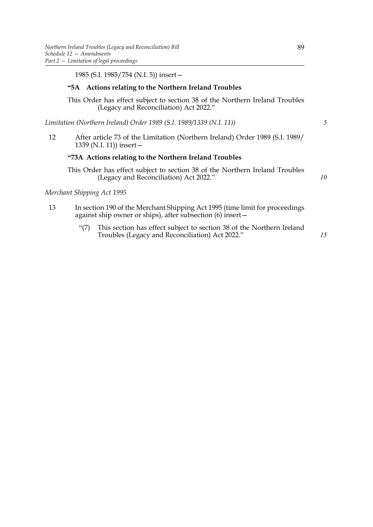# **"5A Actions relating to the Northern Ireland Troubles**

This Order has effect subject to section 38 of the Northern Ireland Troubles (Legacy and Reconciliation) Act 2022."

*Limitation (Northern Ireland) Order 1989 (S.I. 1989/1339 (N.I. 11))*

12 After article 73 of the Limitation (Northern Ireland) Order 1989 (S.I. 1989/ 1339 (N.I. 11)) insert—

# **"73A Actions relating to the Northern Ireland Troubles**

This Order has effect subject to section 38 of the Northern Ireland Troubles (Legacy and Reconciliation) Act 2022."

# *Merchant Shipping Act 1995*

- 13 In section 190 of the Merchant Shipping Act 1995 (time limit for proceedings against ship owner or ships), after subsection (6) insert—
	- "(7) This section has effect subject to section 38 of the Northern Ireland Troubles (Legacy and Reconciliation) Act 2022."

*15*

*10*